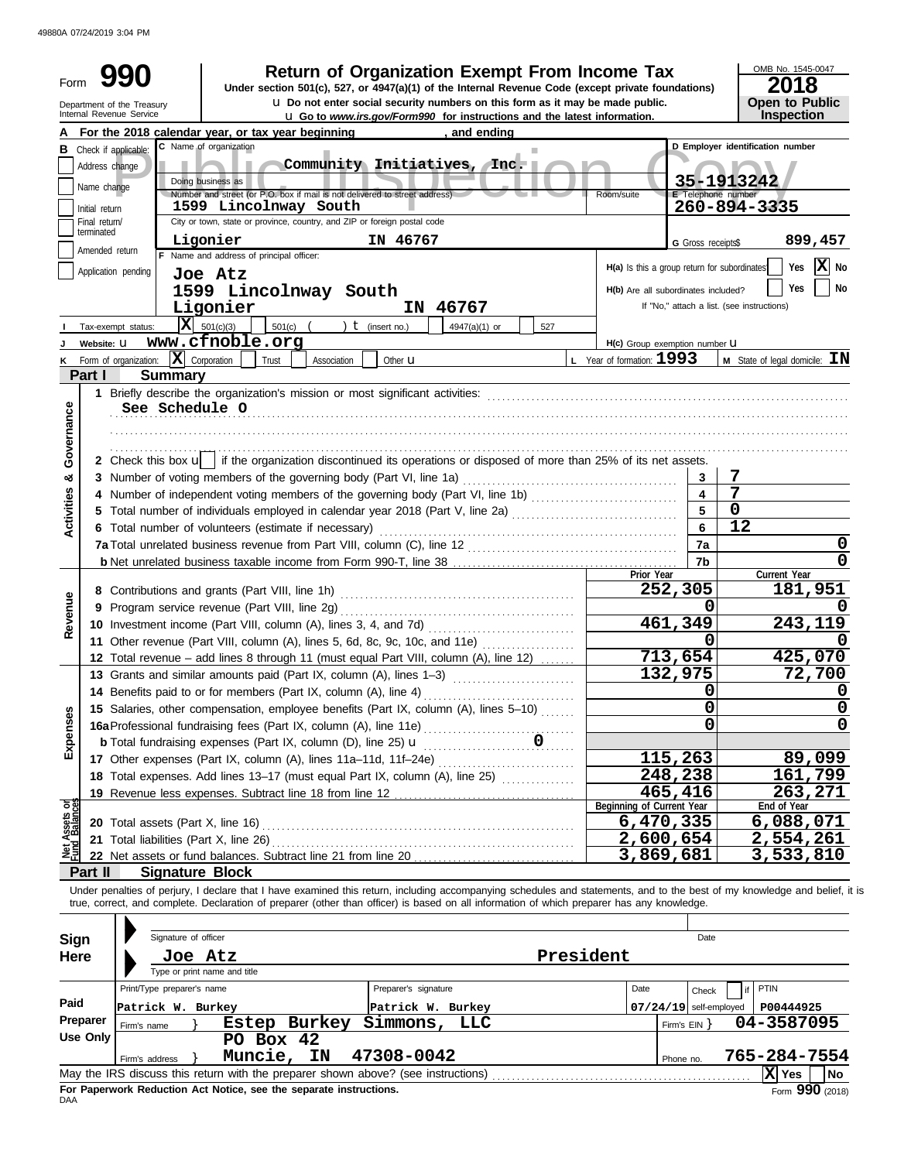49880A 07/24/2019 3:04 PM

| Form                       |                             |                                                                                                                                            |                                                                                                 |           |              |                      |                             | <b>Return of Organization Exempt From Income Tax</b><br>Under section 501(c), 527, or 4947(a)(1) of the Internal Revenue Code (except private foundations)<br><b>u</b> Do not enter social security numbers on this form as it may be made public. |                                              |                          | OMB No. 1545-0047<br>2018                                                                                                                                                  |
|----------------------------|-----------------------------|--------------------------------------------------------------------------------------------------------------------------------------------|-------------------------------------------------------------------------------------------------|-----------|--------------|----------------------|-----------------------------|----------------------------------------------------------------------------------------------------------------------------------------------------------------------------------------------------------------------------------------------------|----------------------------------------------|--------------------------|----------------------------------------------------------------------------------------------------------------------------------------------------------------------------|
|                            |                             | Department of the Treasury<br>Internal Revenue Service                                                                                     |                                                                                                 |           |              |                      |                             | <b>u</b> Go to www.irs.gov/Form990 for instructions and the latest information.                                                                                                                                                                    |                                              |                          | <b>Open to Public</b><br>Inspection                                                                                                                                        |
|                            |                             | For the 2018 calendar year, or tax year beginning                                                                                          |                                                                                                 |           |              |                      | , and ending                |                                                                                                                                                                                                                                                    |                                              |                          |                                                                                                                                                                            |
|                            |                             | <b>B</b> Check if applicable:                                                                                                              | C Name of organization                                                                          |           |              |                      |                             |                                                                                                                                                                                                                                                    |                                              |                          | D Employer identification number                                                                                                                                           |
|                            | Address change              |                                                                                                                                            |                                                                                                 |           |              |                      | Community Initiatives, Inc. |                                                                                                                                                                                                                                                    |                                              |                          |                                                                                                                                                                            |
|                            | Name change                 |                                                                                                                                            | Doing business as<br>Number and street (or P.O. box if mail is not delivered to street address) |           |              |                      |                             |                                                                                                                                                                                                                                                    | Room/suite                                   | E Telephone number       | 35-1913242                                                                                                                                                                 |
|                            | Initial return              |                                                                                                                                            | 1599 Lincolnway South                                                                           |           |              |                      |                             |                                                                                                                                                                                                                                                    |                                              |                          | 260-894-3335                                                                                                                                                               |
|                            | Final return/<br>terminated |                                                                                                                                            | City or town, state or province, country, and ZIP or foreign postal code                        |           |              |                      |                             |                                                                                                                                                                                                                                                    |                                              |                          |                                                                                                                                                                            |
|                            | Amended return              |                                                                                                                                            | Ligonier                                                                                        |           |              | IN 46767             |                             |                                                                                                                                                                                                                                                    |                                              | G Gross receipts\$       | 899,457                                                                                                                                                                    |
|                            |                             | Application pending                                                                                                                        | F Name and address of principal officer:                                                        |           |              |                      |                             |                                                                                                                                                                                                                                                    | H(a) Is this a group return for subordinates |                          | Yes $ \mathbf{X} $ No                                                                                                                                                      |
|                            |                             |                                                                                                                                            | Joe Atz<br>1599 Lincolnway South                                                                |           |              |                      |                             |                                                                                                                                                                                                                                                    | H(b) Are all subordinates included?          |                          | Yes<br>No                                                                                                                                                                  |
|                            |                             |                                                                                                                                            | Ligonier                                                                                        |           |              |                      | IN 46767                    |                                                                                                                                                                                                                                                    |                                              |                          | If "No," attach a list. (see instructions)                                                                                                                                 |
|                            |                             | Tax-exempt status:                                                                                                                         | $ \mathbf{X} $ 501(c)(3)                                                                        | 501(c)    |              | $t$ (insert no.)     | 4947(a)(1) or               | 527                                                                                                                                                                                                                                                |                                              |                          |                                                                                                                                                                            |
|                            | Website: U                  |                                                                                                                                            | www.cfnoble.org                                                                                 |           |              |                      |                             |                                                                                                                                                                                                                                                    | H(c) Group exemption number <b>U</b>         |                          |                                                                                                                                                                            |
| κ                          |                             | Form of organization:                                                                                                                      | $\mathbf{X}$ Corporation                                                                        | Trust     | Association  | Other <b>u</b>       |                             |                                                                                                                                                                                                                                                    | $L$ Year of formation: $1993$                |                          | <b>M</b> State of legal domicile: $\mathbf{IN}$                                                                                                                            |
|                            | Part I                      | <b>Summary</b>                                                                                                                             |                                                                                                 |           |              |                      |                             |                                                                                                                                                                                                                                                    |                                              |                          |                                                                                                                                                                            |
|                            |                             |                                                                                                                                            |                                                                                                 |           |              |                      |                             |                                                                                                                                                                                                                                                    |                                              |                          |                                                                                                                                                                            |
| Governance                 |                             | See Schedule O                                                                                                                             |                                                                                                 |           |              |                      |                             |                                                                                                                                                                                                                                                    |                                              |                          |                                                                                                                                                                            |
|                            |                             |                                                                                                                                            |                                                                                                 |           |              |                      |                             |                                                                                                                                                                                                                                                    |                                              |                          |                                                                                                                                                                            |
|                            |                             |                                                                                                                                            |                                                                                                 |           |              |                      |                             |                                                                                                                                                                                                                                                    |                                              |                          |                                                                                                                                                                            |
|                            |                             | 2 Check this box $\mathbf{u}$ if the organization discontinued its operations or disposed of more than 25% of its net assets.              |                                                                                                 |           |              |                      |                             |                                                                                                                                                                                                                                                    |                                              |                          |                                                                                                                                                                            |
| න්                         |                             | 3 Number of voting members of the governing body (Part VI, line 1a)                                                                        |                                                                                                 |           |              |                      |                             |                                                                                                                                                                                                                                                    |                                              | 3<br>4                   | 7<br>7                                                                                                                                                                     |
|                            |                             | 4 Number of independent voting members of the governing body (Part VI, line 1b)                                                            |                                                                                                 |           |              |                      |                             |                                                                                                                                                                                                                                                    |                                              | 5                        | 0                                                                                                                                                                          |
| <b>Activities</b>          |                             | 6 Total number of volunteers (estimate if necessary)                                                                                       |                                                                                                 |           |              |                      |                             |                                                                                                                                                                                                                                                    |                                              | 6                        | 12                                                                                                                                                                         |
|                            |                             |                                                                                                                                            |                                                                                                 |           |              |                      |                             |                                                                                                                                                                                                                                                    |                                              | 7a                       | 0                                                                                                                                                                          |
|                            |                             |                                                                                                                                            |                                                                                                 |           |              |                      |                             |                                                                                                                                                                                                                                                    |                                              | 7b                       | 0                                                                                                                                                                          |
|                            |                             |                                                                                                                                            |                                                                                                 |           |              |                      |                             |                                                                                                                                                                                                                                                    | Prior Year                                   |                          | Current Year                                                                                                                                                               |
|                            |                             |                                                                                                                                            |                                                                                                 |           |              |                      |                             |                                                                                                                                                                                                                                                    |                                              | 252,305                  | 181,951                                                                                                                                                                    |
| Revenue                    |                             |                                                                                                                                            |                                                                                                 |           |              |                      |                             |                                                                                                                                                                                                                                                    |                                              | 0<br>461,349             | 243,119                                                                                                                                                                    |
|                            |                             | 11 Other revenue (Part VIII, column (A), lines 5, 6d, 8c, 9c, 10c, and 11e)                                                                |                                                                                                 |           |              |                      |                             |                                                                                                                                                                                                                                                    |                                              | 0                        |                                                                                                                                                                            |
|                            |                             | 12 Total revenue – add lines 8 through 11 (must equal Part VIII, column (A), line 12)                                                      |                                                                                                 |           |              |                      |                             |                                                                                                                                                                                                                                                    |                                              | 713,654                  | 425,070                                                                                                                                                                    |
|                            |                             | 13 Grants and similar amounts paid (Part IX, column (A), lines 1-3)                                                                        |                                                                                                 |           |              |                      |                             |                                                                                                                                                                                                                                                    |                                              | 132,975                  | 72,700                                                                                                                                                                     |
|                            |                             | 14 Benefits paid to or for members (Part IX, column (A), line 4)                                                                           |                                                                                                 |           |              |                      |                             |                                                                                                                                                                                                                                                    |                                              | 0                        | 0                                                                                                                                                                          |
|                            |                             | 15 Salaries, other compensation, employee benefits (Part IX, column (A), lines 5-10)                                                       |                                                                                                 |           |              |                      |                             |                                                                                                                                                                                                                                                    |                                              | 0                        | $\overline{0}$                                                                                                                                                             |
| Expenses                   |                             | 16a Professional fundraising fees (Part IX, column (A), line 11e)                                                                          |                                                                                                 |           |              |                      |                             |                                                                                                                                                                                                                                                    |                                              | 0                        | $\overline{0}$                                                                                                                                                             |
|                            |                             |                                                                                                                                            |                                                                                                 |           |              |                      |                             |                                                                                                                                                                                                                                                    |                                              |                          |                                                                                                                                                                            |
|                            |                             | 17 Other expenses (Part IX, column (A), lines 11a-11d, 11f-24e)                                                                            |                                                                                                 |           |              |                      |                             |                                                                                                                                                                                                                                                    |                                              | 115,263                  | 89,099                                                                                                                                                                     |
|                            |                             | 18 Total expenses. Add lines 13-17 (must equal Part IX, column (A), line 25) [                                                             |                                                                                                 |           |              |                      |                             |                                                                                                                                                                                                                                                    |                                              | 248,238                  | 161,799                                                                                                                                                                    |
|                            |                             |                                                                                                                                            |                                                                                                 |           |              |                      |                             |                                                                                                                                                                                                                                                    | Beginning of Current Year                    | 465,416                  | 263,271<br>End of Year                                                                                                                                                     |
| Assets or                  |                             |                                                                                                                                            |                                                                                                 |           |              |                      |                             |                                                                                                                                                                                                                                                    |                                              | 6,470,335                | 6,088,071                                                                                                                                                                  |
|                            |                             | 21 Total liabilities (Part X, line 26)                                                                                                     |                                                                                                 |           |              |                      |                             |                                                                                                                                                                                                                                                    |                                              | 2,600,654                | 2,554,261                                                                                                                                                                  |
| <b>PED</b>                 |                             |                                                                                                                                            |                                                                                                 |           |              |                      |                             |                                                                                                                                                                                                                                                    | 3,869,681                                    |                          | 3,533,810                                                                                                                                                                  |
|                            | Part II                     |                                                                                                                                            | <b>Signature Block</b>                                                                          |           |              |                      |                             |                                                                                                                                                                                                                                                    |                                              |                          |                                                                                                                                                                            |
|                            |                             | true, correct, and complete. Declaration of preparer (other than officer) is based on all information of which preparer has any knowledge. |                                                                                                 |           |              |                      |                             |                                                                                                                                                                                                                                                    |                                              |                          | Under penalties of perjury, I declare that I have examined this return, including accompanying schedules and statements, and to the best of my knowledge and belief, it is |
|                            |                             | Signature of officer                                                                                                                       |                                                                                                 |           |              |                      |                             |                                                                                                                                                                                                                                                    |                                              | Date                     |                                                                                                                                                                            |
| <b>Sign</b><br><b>Here</b> |                             |                                                                                                                                            | Joe Atz                                                                                         |           |              |                      |                             | President                                                                                                                                                                                                                                          |                                              |                          |                                                                                                                                                                            |
|                            |                             |                                                                                                                                            | Type or print name and title                                                                    |           |              |                      |                             |                                                                                                                                                                                                                                                    |                                              |                          |                                                                                                                                                                            |
|                            |                             | Print/Type preparer's name                                                                                                                 |                                                                                                 |           |              | Preparer's signature |                             |                                                                                                                                                                                                                                                    | Date                                         | Check                    | PTIN                                                                                                                                                                       |
| Paid                       |                             | Patrick W. Burkey                                                                                                                          |                                                                                                 |           |              |                      | Patrick W. Burkey           |                                                                                                                                                                                                                                                    |                                              | $07/24/19$ self-employed | P00444925                                                                                                                                                                  |
|                            | Preparer                    | Firm's name                                                                                                                                |                                                                                                 |           | Estep Burkey | Simmons,             | LLC                         |                                                                                                                                                                                                                                                    |                                              | Firm's $EIN$ }           | 04-3587095                                                                                                                                                                 |
|                            | <b>Use Only</b>             |                                                                                                                                            |                                                                                                 | PO Box 42 |              |                      |                             |                                                                                                                                                                                                                                                    |                                              |                          |                                                                                                                                                                            |
|                            |                             | Firm's address                                                                                                                             | Muncie,                                                                                         |           | IN           | 47308-0042           |                             |                                                                                                                                                                                                                                                    |                                              | Phone no.                | 765-284-7554                                                                                                                                                               |
|                            |                             |                                                                                                                                            |                                                                                                 |           |              |                      |                             |                                                                                                                                                                                                                                                    |                                              |                          | X Yes<br><b>No</b>                                                                                                                                                         |

| Use Only                                                                                                  |                                                                    | $PO$ Box 42 |  |  |            |  |           |              |                   |  |  |
|-----------------------------------------------------------------------------------------------------------|--------------------------------------------------------------------|-------------|--|--|------------|--|-----------|--------------|-------------------|--|--|
|                                                                                                           | Firm's address                                                     | Muncie, IN  |  |  | 47308-0042 |  | Phone no. | 765-284-7554 |                   |  |  |
| May the IRS discuss this return with the preparer shown above? (see instructions)<br><b>X</b> Yes<br>l No |                                                                    |             |  |  |            |  |           |              |                   |  |  |
| DAA                                                                                                       | For Paperwork Reduction Act Notice, see the separate instructions. |             |  |  |            |  |           |              | Form $990$ (2018) |  |  |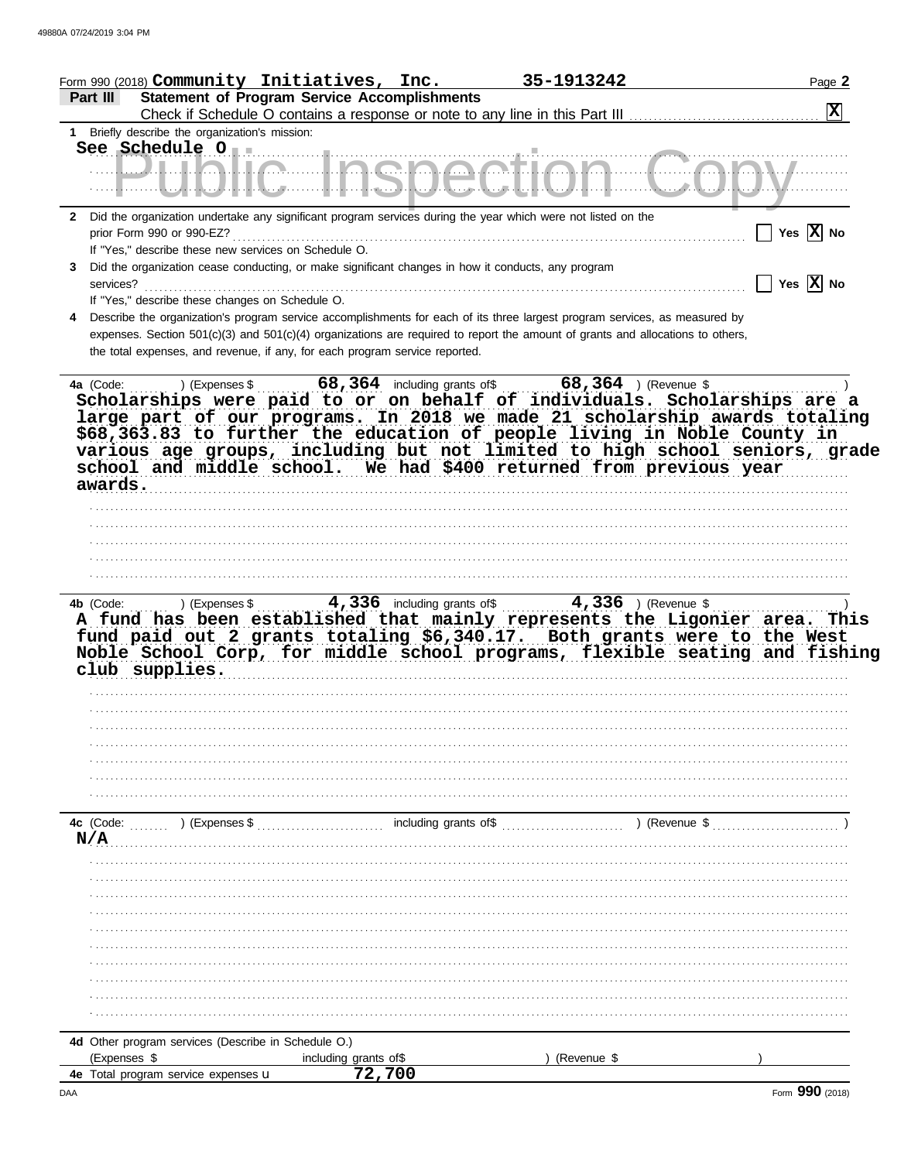| Form 990 (2018) Community Initiatives, Inc.                                                                                     |                                                                                                                       | 35-1913242           | Page 2                             |
|---------------------------------------------------------------------------------------------------------------------------------|-----------------------------------------------------------------------------------------------------------------------|----------------------|------------------------------------|
| <b>Statement of Program Service Accomplishments</b><br>Part III                                                                 |                                                                                                                       |                      |                                    |
|                                                                                                                                 |                                                                                                                       |                      | $\mathbf{X}$                       |
| 1 Briefly describe the organization's mission:                                                                                  |                                                                                                                       |                      |                                    |
| See Schedule 0                                                                                                                  |                                                                                                                       |                      |                                    |
| <u> ULIALIA LIAANAAtIAM</u>                                                                                                     |                                                                                                                       | Nama da kasance da G |                                    |
|                                                                                                                                 |                                                                                                                       |                      |                                    |
|                                                                                                                                 |                                                                                                                       |                      |                                    |
| Did the organization undertake any significant program services during the year which were not listed on the<br>2               |                                                                                                                       |                      | $\Box$ Yes $\overline{X}$ No       |
| If "Yes," describe these new services on Schedule O.                                                                            |                                                                                                                       |                      |                                    |
| Did the organization cease conducting, or make significant changes in how it conducts, any program<br>3.                        |                                                                                                                       |                      |                                    |
| services?                                                                                                                       |                                                                                                                       |                      | $\Box$ Yes $\boxed{\textbf{X}}$ No |
| If "Yes," describe these changes on Schedule O.                                                                                 |                                                                                                                       |                      |                                    |
| Describe the organization's program service accomplishments for each of its three largest program services, as measured by<br>4 |                                                                                                                       |                      |                                    |
| expenses. Section 501(c)(3) and 501(c)(4) organizations are required to report the amount of grants and allocations to others,  |                                                                                                                       |                      |                                    |
| the total expenses, and revenue, if any, for each program service reported.                                                     |                                                                                                                       |                      |                                    |
|                                                                                                                                 |                                                                                                                       |                      |                                    |
|                                                                                                                                 |                                                                                                                       |                      |                                    |
| Scholarships were paid to or on behalf of individuals. Scholarships are a                                                       |                                                                                                                       |                      |                                    |
| large part of our programs. In 2018 we made 21 scholarship awards totaling                                                      |                                                                                                                       |                      |                                    |
| \$68,363.83 to further the education of people living in Noble County in                                                        |                                                                                                                       |                      |                                    |
| various age groups, including but not limited to high school seniors, grade                                                     |                                                                                                                       |                      |                                    |
| school and middle school. We had \$400 returned from previous year                                                              |                                                                                                                       |                      |                                    |
| awards.                                                                                                                         |                                                                                                                       |                      |                                    |
|                                                                                                                                 |                                                                                                                       |                      |                                    |
|                                                                                                                                 |                                                                                                                       |                      |                                    |
|                                                                                                                                 |                                                                                                                       |                      |                                    |
|                                                                                                                                 |                                                                                                                       |                      |                                    |
|                                                                                                                                 |                                                                                                                       |                      |                                    |
|                                                                                                                                 |                                                                                                                       |                      |                                    |
|                                                                                                                                 |                                                                                                                       |                      |                                    |
| A fund has been established that mainly represents the Ligonier area. This                                                      |                                                                                                                       |                      |                                    |
| fund paid out 2 grants totaling \$6,340.17. Both grants were to the West                                                        |                                                                                                                       |                      |                                    |
| Noble School Corp, for middle school programs, flexible seating and fishing                                                     |                                                                                                                       |                      |                                    |
| club supplies.                                                                                                                  | <u> 1980 - Jan Samuel Barbara, margaretan basar da da shekara 1980 - 1980 - 1980 - 1980 - 1980 - 1980 - 1980 - 19</u> |                      |                                    |
|                                                                                                                                 |                                                                                                                       |                      |                                    |
|                                                                                                                                 |                                                                                                                       |                      |                                    |
|                                                                                                                                 |                                                                                                                       |                      |                                    |
|                                                                                                                                 |                                                                                                                       |                      |                                    |
|                                                                                                                                 |                                                                                                                       |                      |                                    |
|                                                                                                                                 |                                                                                                                       |                      |                                    |
|                                                                                                                                 |                                                                                                                       |                      |                                    |
|                                                                                                                                 |                                                                                                                       |                      |                                    |
| 4c (Code:<br>) (Expenses \$                                                                                                     | including grants of\$                                                                                                 | ) (Revenue \$        |                                    |
| N/A                                                                                                                             |                                                                                                                       |                      |                                    |
|                                                                                                                                 |                                                                                                                       |                      |                                    |
|                                                                                                                                 |                                                                                                                       |                      |                                    |
|                                                                                                                                 |                                                                                                                       |                      |                                    |
|                                                                                                                                 |                                                                                                                       |                      |                                    |
|                                                                                                                                 |                                                                                                                       |                      |                                    |
|                                                                                                                                 |                                                                                                                       |                      |                                    |
|                                                                                                                                 |                                                                                                                       |                      |                                    |
|                                                                                                                                 |                                                                                                                       |                      |                                    |
|                                                                                                                                 |                                                                                                                       |                      |                                    |
|                                                                                                                                 |                                                                                                                       |                      |                                    |
|                                                                                                                                 |                                                                                                                       |                      |                                    |
| 4d Other program services (Describe in Schedule O.)                                                                             |                                                                                                                       |                      |                                    |
| (Expenses \$<br>4e Total program service expenses u                                                                             | including grants of\$<br>72,700                                                                                       | (Revenue \$          |                                    |
|                                                                                                                                 |                                                                                                                       |                      |                                    |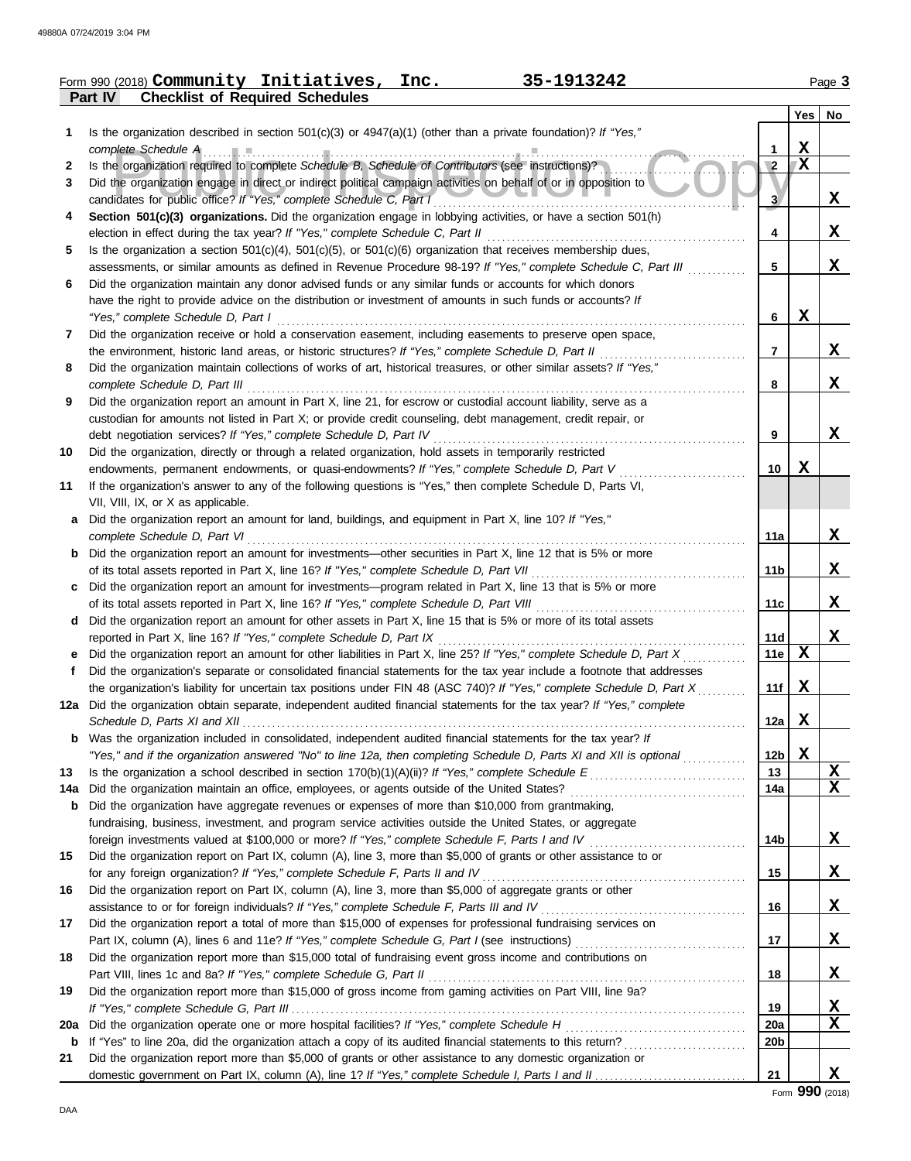|     | Form 990 (2018) Community Initiatives, Inc.<br>35-1913242                                                                                                                          |                 |   | Page 3      |
|-----|------------------------------------------------------------------------------------------------------------------------------------------------------------------------------------|-----------------|---|-------------|
|     | <b>Checklist of Required Schedules</b><br>Part IV                                                                                                                                  |                 |   |             |
|     |                                                                                                                                                                                    |                 |   | Yes   No    |
| 1   | Is the organization described in section $501(c)(3)$ or $4947(a)(1)$ (other than a private foundation)? If "Yes,"                                                                  |                 |   |             |
|     | complete Schedule A example and the schedule A complete Schedule A and the set of the schedule A and the schedule A                                                                | 1               | X |             |
| 2   | Is the organization required to complete Schedule B, Schedule of Contributors (see instructions)?                                                                                  | $\sqrt{2}$      | X |             |
| 3   | Did the organization engage in direct or indirect political campaign activities on behalf of or in opposition to                                                                   |                 |   |             |
|     | candidates for public office? If "Yes," complete Schedule C, Part I                                                                                                                | 3.              |   | X           |
| 4   | Section 501(c)(3) organizations. Did the organization engage in lobbying activities, or have a section 501(h)                                                                      |                 |   | X           |
| 5   | Is the organization a section $501(c)(4)$ , $501(c)(5)$ , or $501(c)(6)$ organization that receives membership dues,                                                               | 4               |   |             |
|     | assessments, or similar amounts as defined in Revenue Procedure 98-19? If "Yes," complete Schedule C, Part III                                                                     | 5               |   | X           |
| 6   | Did the organization maintain any donor advised funds or any similar funds or accounts for which donors                                                                            |                 |   |             |
|     | have the right to provide advice on the distribution or investment of amounts in such funds or accounts? If                                                                        |                 |   |             |
|     | "Yes," complete Schedule D, Part I                                                                                                                                                 | 6               | X |             |
| 7   | Did the organization receive or hold a conservation easement, including easements to preserve open space,                                                                          |                 |   |             |
|     | the environment, historic land areas, or historic structures? If "Yes," complete Schedule D, Part II                                                                               | $\overline{7}$  |   | X           |
| 8   | Did the organization maintain collections of works of art, historical treasures, or other similar assets? If "Yes,"                                                                |                 |   |             |
|     | complete Schedule D, Part III                                                                                                                                                      | 8               |   | $\mathbf x$ |
| 9   | Did the organization report an amount in Part X, line 21, for escrow or custodial account liability, serve as a                                                                    |                 |   |             |
|     | custodian for amounts not listed in Part X; or provide credit counseling, debt management, credit repair, or                                                                       |                 |   |             |
|     | debt negotiation services? If "Yes," complete Schedule D, Part IV                                                                                                                  | 9               |   | X           |
| 10  | Did the organization, directly or through a related organization, hold assets in temporarily restricted                                                                            |                 |   |             |
|     | endowments, permanent endowments, or quasi-endowments? If "Yes," complete Schedule D, Part V                                                                                       | 10              | x |             |
| 11  | If the organization's answer to any of the following questions is "Yes," then complete Schedule D, Parts VI,<br>VII, VIII, IX, or X as applicable.                                 |                 |   |             |
|     | Did the organization report an amount for land, buildings, and equipment in Part X, line 10? If "Yes,"                                                                             |                 |   |             |
|     | complete Schedule D, Part VI                                                                                                                                                       | 11a             |   | X           |
| b   | Did the organization report an amount for investments—other securities in Part X, line 12 that is 5% or more                                                                       |                 |   |             |
|     |                                                                                                                                                                                    | 11b             |   | X           |
| c   | Did the organization report an amount for investments—program related in Part X, line 13 that is 5% or more                                                                        |                 |   |             |
|     |                                                                                                                                                                                    | 11c             |   | X           |
| d   | Did the organization report an amount for other assets in Part X, line 15 that is 5% or more of its total assets                                                                   |                 |   |             |
|     | reported in Part X, line 16? If "Yes," complete Schedule D, Part IX                                                                                                                | 11d             |   | X           |
| e   | Did the organization report an amount for other liabilities in Part X, line 25? If "Yes," complete Schedule D, Part X                                                              | <b>11e</b>      | X |             |
| f   | Did the organization's separate or consolidated financial statements for the tax year include a footnote that addresses                                                            |                 |   |             |
|     | the organization's liability for uncertain tax positions under FIN 48 (ASC 740)? If "Yes," complete Schedule D, Part X                                                             | 11f             | X |             |
|     | 12a Did the organization obtain separate, independent audited financial statements for the tax year? If "Yes," complete                                                            |                 |   |             |
|     | Was the organization included in consolidated, independent audited financial statements for the tax year? If                                                                       | 12a             | X |             |
| b   | "Yes," and if the organization answered "No" to line 12a, then completing Schedule D, Parts XI and XII is optional                                                                 | 12 <sub>b</sub> | X |             |
| 13  |                                                                                                                                                                                    | 13              |   | X           |
| 14a |                                                                                                                                                                                    | 14a             |   | $\mathbf x$ |
| b   | Did the organization have aggregate revenues or expenses of more than \$10,000 from grantmaking,                                                                                   |                 |   |             |
|     | fundraising, business, investment, and program service activities outside the United States, or aggregate                                                                          |                 |   |             |
|     |                                                                                                                                                                                    | 14b             |   | X           |
| 15  | Did the organization report on Part IX, column (A), line 3, more than \$5,000 of grants or other assistance to or                                                                  |                 |   |             |
|     | for any foreign organization? If "Yes," complete Schedule F, Parts II and IV                                                                                                       | 15              |   | X           |
| 16  | Did the organization report on Part IX, column (A), line 3, more than \$5,000 of aggregate grants or other                                                                         |                 |   |             |
|     |                                                                                                                                                                                    | 16              |   | X           |
| 17  | Did the organization report a total of more than \$15,000 of expenses for professional fundraising services on                                                                     |                 |   |             |
|     |                                                                                                                                                                                    | 17              |   | X           |
| 18  | Did the organization report more than \$15,000 total of fundraising event gross income and contributions on                                                                        |                 |   | X           |
| 19  | Part VIII, lines 1c and 8a? If "Yes," complete Schedule G, Part II<br>Did the organization report more than \$15,000 of gross income from gaming activities on Part VIII, line 9a? | 18              |   |             |
|     |                                                                                                                                                                                    | 19              |   | X           |
| 20a | Did the organization operate one or more hospital facilities? If "Yes," complete Schedule H                                                                                        | 20a             |   | X           |
| b   |                                                                                                                                                                                    | 20 <sub>b</sub> |   |             |
| 21  | Did the organization report more than \$5,000 of grants or other assistance to any domestic organization or                                                                        |                 |   |             |
|     |                                                                                                                                                                                    | 21              |   | X           |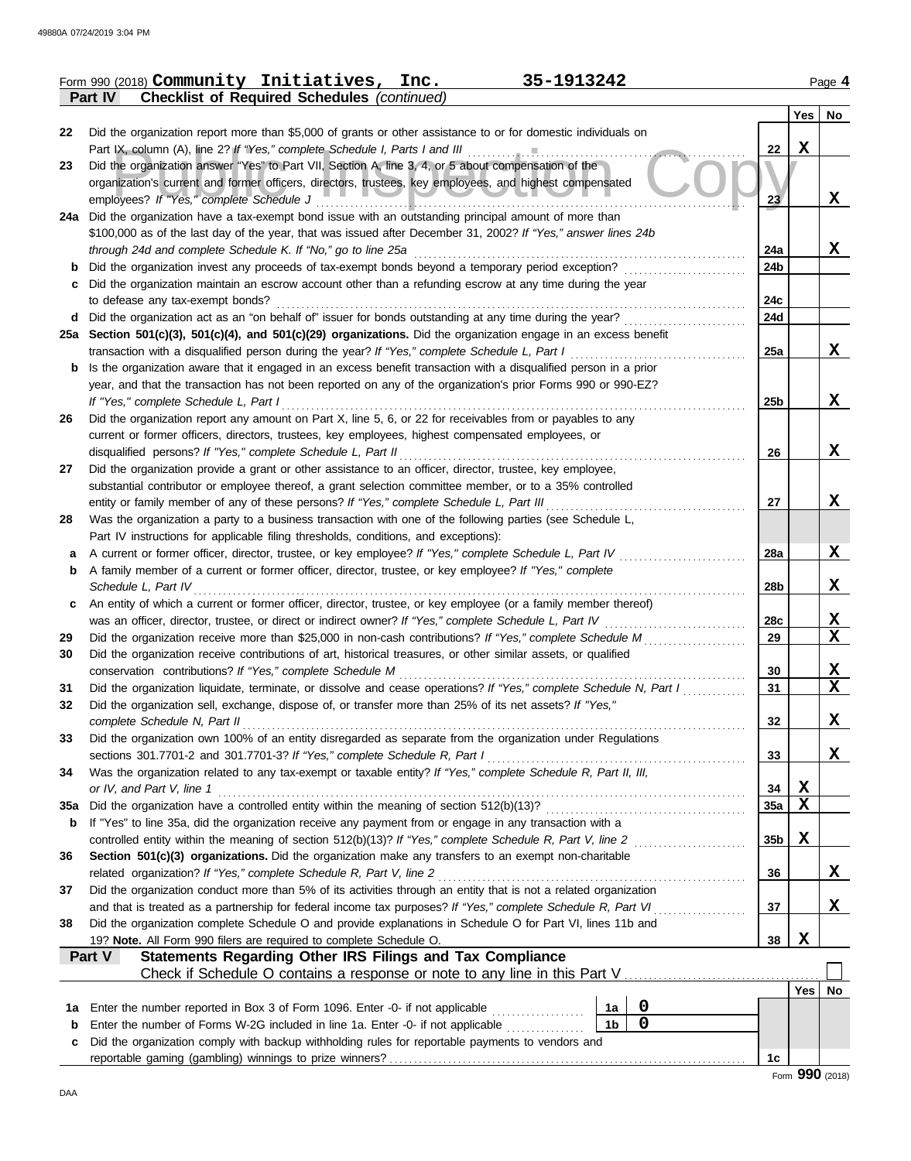| Part IV<br><b>Checklist of Required Schedules (continued)</b><br>No<br>Yes<br>Did the organization report more than \$5,000 of grants or other assistance to or for domestic individuals on<br>22<br>$\mathbf X$<br>Part IX, column (A), line 2? If "Yes," complete Schedule I, Parts I and III<br>22<br>Did the organization answer "Yes" to Part VII, Section A, line 3, 4, or 5 about compensation of the<br>23<br>organization's current and former officers, directors, trustees, key employees, and highest compensated<br>X<br>employees? If "Yes," complete Schedule J<br>23<br>24a Did the organization have a tax-exempt bond issue with an outstanding principal amount of more than<br>\$100,000 as of the last day of the year, that was issued after December 31, 2002? If "Yes," answer lines 24b<br>X<br>24a<br>through 24d and complete Schedule K. If "No," go to line 25a<br>Did the organization invest any proceeds of tax-exempt bonds beyond a temporary period exception?<br>24b<br>b<br>Did the organization maintain an escrow account other than a refunding escrow at any time during the year<br>с<br>24c<br>to defease any tax-exempt bonds?<br>Did the organization act as an "on behalf of" issuer for bonds outstanding at any time during the year?<br>24d<br>d<br>25a Section 501(c)(3), 501(c)(4), and 501(c)(29) organizations. Did the organization engage in an excess benefit<br>X<br>transaction with a disqualified person during the year? If "Yes," complete Schedule L, Part I<br>25a<br>Is the organization aware that it engaged in an excess benefit transaction with a disqualified person in a prior<br>b<br>year, and that the transaction has not been reported on any of the organization's prior Forms 990 or 990-EZ?<br>X<br>If "Yes," complete Schedule L, Part I<br>25 <sub>b</sub><br>Did the organization report any amount on Part X, line 5, 6, or 22 for receivables from or payables to any<br>current or former officers, directors, trustees, key employees, highest compensated employees, or<br>X<br>disqualified persons? If "Yes," complete Schedule L, Part II<br>26<br>Did the organization provide a grant or other assistance to an officer, director, trustee, key employee,<br>substantial contributor or employee thereof, a grant selection committee member, or to a 35% controlled<br>X<br>entity or family member of any of these persons? If "Yes," complete Schedule L, Part III<br>27<br>Was the organization a party to a business transaction with one of the following parties (see Schedule L,<br>Part IV instructions for applicable filing thresholds, conditions, and exceptions):<br>X<br>A current or former officer, director, trustee, or key employee? If "Yes," complete Schedule L, Part IV<br>28a<br>а<br>A family member of a current or former officer, director, trustee, or key employee? If "Yes," complete<br>b<br>X<br>Schedule L, Part IV<br>28b<br>An entity of which a current or former officer, director, trustee, or key employee (or a family member thereof)<br>c<br><u>x</u><br>was an officer, director, trustee, or direct or indirect owner? If "Yes," complete Schedule L, Part IV<br>28c<br>X<br>Did the organization receive more than \$25,000 in non-cash contributions? If "Yes," complete Schedule M<br>29<br>Did the organization receive contributions of art, historical treasures, or other similar assets, or qualified<br>X<br>conservation contributions? If "Yes," complete Schedule M<br>30<br>$\mathbf x$<br>Did the organization liquidate, terminate, or dissolve and cease operations? If "Yes," complete Schedule N, Part I<br>31<br>Did the organization sell, exchange, dispose of, or transfer more than 25% of its net assets? If "Yes,"<br>X<br>complete Schedule N, Part II<br>32<br>Did the organization own 100% of an entity disregarded as separate from the organization under Regulations<br>sections 301.7701-2 and 301.7701-3? If "Yes," complete Schedule R, Part I<br>X.<br>33<br>Was the organization related to any tax-exempt or taxable entity? If "Yes," complete Schedule R, Part II, III,<br>34<br>X<br>or IV, and Part V, line 1<br>34<br>X<br>Did the organization have a controlled entity within the meaning of section 512(b)(13)?<br>35a<br>35a<br>If "Yes" to line 35a, did the organization receive any payment from or engage in any transaction with a<br>b<br>X<br>controlled entity within the meaning of section 512(b)(13)? If "Yes," complete Schedule R, Part V, line 2<br>35b<br>Section 501(c)(3) organizations. Did the organization make any transfers to an exempt non-charitable<br>related organization? If "Yes," complete Schedule R, Part V, line 2<br>X<br>36<br>Did the organization conduct more than 5% of its activities through an entity that is not a related organization<br>X<br>and that is treated as a partnership for federal income tax purposes? If "Yes," complete Schedule R, Part VI<br>37<br>Did the organization complete Schedule O and provide explanations in Schedule O for Part VI, lines 11b and<br>$\mathbf x$<br>19? Note. All Form 990 filers are required to complete Schedule O.<br>38<br><b>Statements Regarding Other IRS Filings and Tax Compliance</b><br>Part V<br>Yes   No<br>0<br>Enter the number reported in Box 3 of Form 1096. Enter -0- if not applicable<br>1a<br>1a<br>$\pmb{0}$<br>1 <sub>b</sub><br>Enter the number of Forms W-2G included in line 1a. Enter -0- if not applicable<br>b<br>Did the organization comply with backup withholding rules for reportable payments to vendors and<br>c<br>1c |    | 35-1913242<br>Form 990 (2018) Community Initiatives, Inc. |  | Page 4 |
|----------------------------------------------------------------------------------------------------------------------------------------------------------------------------------------------------------------------------------------------------------------------------------------------------------------------------------------------------------------------------------------------------------------------------------------------------------------------------------------------------------------------------------------------------------------------------------------------------------------------------------------------------------------------------------------------------------------------------------------------------------------------------------------------------------------------------------------------------------------------------------------------------------------------------------------------------------------------------------------------------------------------------------------------------------------------------------------------------------------------------------------------------------------------------------------------------------------------------------------------------------------------------------------------------------------------------------------------------------------------------------------------------------------------------------------------------------------------------------------------------------------------------------------------------------------------------------------------------------------------------------------------------------------------------------------------------------------------------------------------------------------------------------------------------------------------------------------------------------------------------------------------------------------------------------------------------------------------------------------------------------------------------------------------------------------------------------------------------------------------------------------------------------------------------------------------------------------------------------------------------------------------------------------------------------------------------------------------------------------------------------------------------------------------------------------------------------------------------------------------------------------------------------------------------------------------------------------------------------------------------------------------------------------------------------------------------------------------------------------------------------------------------------------------------------------------------------------------------------------------------------------------------------------------------------------------------------------------------------------------------------------------------------------------------------------------------------------------------------------------------------------------------------------------------------------------------------------------------------------------------------------------------------------------------------------------------------------------------------------------------------------------------------------------------------------------------------------------------------------------------------------------------------------------------------------------------------------------------------------------------------------------------------------------------------------------------------------------------------------------------------------------------------------------------------------------------------------------------------------------------------------------------------------------------------------------------------------------------------------------------------------------------------------------------------------------------------------------------------------------------------------------------------------------------------------------------------------------------------------------------------------------------------------------------------------------------------------------------------------------------------------------------------------------------------------------------------------------------------------------------------------------------------------------------------------------------------------------------------------------------------------------------------------------------------------------------------------------------------------------------------------------------------------------------------------------------------------------------------------------------------------------------------------------------------------------------------------------------------------------------------------------------------------------------------------------------------------------------------------------------------------------------------------------------------------------------------------------------------------------------------------------------------------------------------------------------------------------------------------------------------------------------------------------------------------------------------------------------------------------------------------------------------------------------------------------------------------------------------------------------------------------------|----|-----------------------------------------------------------|--|--------|
|                                                                                                                                                                                                                                                                                                                                                                                                                                                                                                                                                                                                                                                                                                                                                                                                                                                                                                                                                                                                                                                                                                                                                                                                                                                                                                                                                                                                                                                                                                                                                                                                                                                                                                                                                                                                                                                                                                                                                                                                                                                                                                                                                                                                                                                                                                                                                                                                                                                                                                                                                                                                                                                                                                                                                                                                                                                                                                                                                                                                                                                                                                                                                                                                                                                                                                                                                                                                                                                                                                                                                                                                                                                                                                                                                                                                                                                                                                                                                                                                                                                                                                                                                                                                                                                                                                                                                                                                                                                                                                                                                                                                                                                                                                                                                                                                                                                                                                                                                                                                                                                                                                                                                                                                                                                                                                                                                                                                                                                                                                                                                                                                                                                    |    |                                                           |  |        |
|                                                                                                                                                                                                                                                                                                                                                                                                                                                                                                                                                                                                                                                                                                                                                                                                                                                                                                                                                                                                                                                                                                                                                                                                                                                                                                                                                                                                                                                                                                                                                                                                                                                                                                                                                                                                                                                                                                                                                                                                                                                                                                                                                                                                                                                                                                                                                                                                                                                                                                                                                                                                                                                                                                                                                                                                                                                                                                                                                                                                                                                                                                                                                                                                                                                                                                                                                                                                                                                                                                                                                                                                                                                                                                                                                                                                                                                                                                                                                                                                                                                                                                                                                                                                                                                                                                                                                                                                                                                                                                                                                                                                                                                                                                                                                                                                                                                                                                                                                                                                                                                                                                                                                                                                                                                                                                                                                                                                                                                                                                                                                                                                                                                    |    |                                                           |  |        |
|                                                                                                                                                                                                                                                                                                                                                                                                                                                                                                                                                                                                                                                                                                                                                                                                                                                                                                                                                                                                                                                                                                                                                                                                                                                                                                                                                                                                                                                                                                                                                                                                                                                                                                                                                                                                                                                                                                                                                                                                                                                                                                                                                                                                                                                                                                                                                                                                                                                                                                                                                                                                                                                                                                                                                                                                                                                                                                                                                                                                                                                                                                                                                                                                                                                                                                                                                                                                                                                                                                                                                                                                                                                                                                                                                                                                                                                                                                                                                                                                                                                                                                                                                                                                                                                                                                                                                                                                                                                                                                                                                                                                                                                                                                                                                                                                                                                                                                                                                                                                                                                                                                                                                                                                                                                                                                                                                                                                                                                                                                                                                                                                                                                    |    |                                                           |  |        |
|                                                                                                                                                                                                                                                                                                                                                                                                                                                                                                                                                                                                                                                                                                                                                                                                                                                                                                                                                                                                                                                                                                                                                                                                                                                                                                                                                                                                                                                                                                                                                                                                                                                                                                                                                                                                                                                                                                                                                                                                                                                                                                                                                                                                                                                                                                                                                                                                                                                                                                                                                                                                                                                                                                                                                                                                                                                                                                                                                                                                                                                                                                                                                                                                                                                                                                                                                                                                                                                                                                                                                                                                                                                                                                                                                                                                                                                                                                                                                                                                                                                                                                                                                                                                                                                                                                                                                                                                                                                                                                                                                                                                                                                                                                                                                                                                                                                                                                                                                                                                                                                                                                                                                                                                                                                                                                                                                                                                                                                                                                                                                                                                                                                    |    |                                                           |  |        |
|                                                                                                                                                                                                                                                                                                                                                                                                                                                                                                                                                                                                                                                                                                                                                                                                                                                                                                                                                                                                                                                                                                                                                                                                                                                                                                                                                                                                                                                                                                                                                                                                                                                                                                                                                                                                                                                                                                                                                                                                                                                                                                                                                                                                                                                                                                                                                                                                                                                                                                                                                                                                                                                                                                                                                                                                                                                                                                                                                                                                                                                                                                                                                                                                                                                                                                                                                                                                                                                                                                                                                                                                                                                                                                                                                                                                                                                                                                                                                                                                                                                                                                                                                                                                                                                                                                                                                                                                                                                                                                                                                                                                                                                                                                                                                                                                                                                                                                                                                                                                                                                                                                                                                                                                                                                                                                                                                                                                                                                                                                                                                                                                                                                    |    |                                                           |  |        |
|                                                                                                                                                                                                                                                                                                                                                                                                                                                                                                                                                                                                                                                                                                                                                                                                                                                                                                                                                                                                                                                                                                                                                                                                                                                                                                                                                                                                                                                                                                                                                                                                                                                                                                                                                                                                                                                                                                                                                                                                                                                                                                                                                                                                                                                                                                                                                                                                                                                                                                                                                                                                                                                                                                                                                                                                                                                                                                                                                                                                                                                                                                                                                                                                                                                                                                                                                                                                                                                                                                                                                                                                                                                                                                                                                                                                                                                                                                                                                                                                                                                                                                                                                                                                                                                                                                                                                                                                                                                                                                                                                                                                                                                                                                                                                                                                                                                                                                                                                                                                                                                                                                                                                                                                                                                                                                                                                                                                                                                                                                                                                                                                                                                    |    |                                                           |  |        |
|                                                                                                                                                                                                                                                                                                                                                                                                                                                                                                                                                                                                                                                                                                                                                                                                                                                                                                                                                                                                                                                                                                                                                                                                                                                                                                                                                                                                                                                                                                                                                                                                                                                                                                                                                                                                                                                                                                                                                                                                                                                                                                                                                                                                                                                                                                                                                                                                                                                                                                                                                                                                                                                                                                                                                                                                                                                                                                                                                                                                                                                                                                                                                                                                                                                                                                                                                                                                                                                                                                                                                                                                                                                                                                                                                                                                                                                                                                                                                                                                                                                                                                                                                                                                                                                                                                                                                                                                                                                                                                                                                                                                                                                                                                                                                                                                                                                                                                                                                                                                                                                                                                                                                                                                                                                                                                                                                                                                                                                                                                                                                                                                                                                    |    |                                                           |  |        |
|                                                                                                                                                                                                                                                                                                                                                                                                                                                                                                                                                                                                                                                                                                                                                                                                                                                                                                                                                                                                                                                                                                                                                                                                                                                                                                                                                                                                                                                                                                                                                                                                                                                                                                                                                                                                                                                                                                                                                                                                                                                                                                                                                                                                                                                                                                                                                                                                                                                                                                                                                                                                                                                                                                                                                                                                                                                                                                                                                                                                                                                                                                                                                                                                                                                                                                                                                                                                                                                                                                                                                                                                                                                                                                                                                                                                                                                                                                                                                                                                                                                                                                                                                                                                                                                                                                                                                                                                                                                                                                                                                                                                                                                                                                                                                                                                                                                                                                                                                                                                                                                                                                                                                                                                                                                                                                                                                                                                                                                                                                                                                                                                                                                    |    |                                                           |  |        |
|                                                                                                                                                                                                                                                                                                                                                                                                                                                                                                                                                                                                                                                                                                                                                                                                                                                                                                                                                                                                                                                                                                                                                                                                                                                                                                                                                                                                                                                                                                                                                                                                                                                                                                                                                                                                                                                                                                                                                                                                                                                                                                                                                                                                                                                                                                                                                                                                                                                                                                                                                                                                                                                                                                                                                                                                                                                                                                                                                                                                                                                                                                                                                                                                                                                                                                                                                                                                                                                                                                                                                                                                                                                                                                                                                                                                                                                                                                                                                                                                                                                                                                                                                                                                                                                                                                                                                                                                                                                                                                                                                                                                                                                                                                                                                                                                                                                                                                                                                                                                                                                                                                                                                                                                                                                                                                                                                                                                                                                                                                                                                                                                                                                    |    |                                                           |  |        |
|                                                                                                                                                                                                                                                                                                                                                                                                                                                                                                                                                                                                                                                                                                                                                                                                                                                                                                                                                                                                                                                                                                                                                                                                                                                                                                                                                                                                                                                                                                                                                                                                                                                                                                                                                                                                                                                                                                                                                                                                                                                                                                                                                                                                                                                                                                                                                                                                                                                                                                                                                                                                                                                                                                                                                                                                                                                                                                                                                                                                                                                                                                                                                                                                                                                                                                                                                                                                                                                                                                                                                                                                                                                                                                                                                                                                                                                                                                                                                                                                                                                                                                                                                                                                                                                                                                                                                                                                                                                                                                                                                                                                                                                                                                                                                                                                                                                                                                                                                                                                                                                                                                                                                                                                                                                                                                                                                                                                                                                                                                                                                                                                                                                    |    |                                                           |  |        |
|                                                                                                                                                                                                                                                                                                                                                                                                                                                                                                                                                                                                                                                                                                                                                                                                                                                                                                                                                                                                                                                                                                                                                                                                                                                                                                                                                                                                                                                                                                                                                                                                                                                                                                                                                                                                                                                                                                                                                                                                                                                                                                                                                                                                                                                                                                                                                                                                                                                                                                                                                                                                                                                                                                                                                                                                                                                                                                                                                                                                                                                                                                                                                                                                                                                                                                                                                                                                                                                                                                                                                                                                                                                                                                                                                                                                                                                                                                                                                                                                                                                                                                                                                                                                                                                                                                                                                                                                                                                                                                                                                                                                                                                                                                                                                                                                                                                                                                                                                                                                                                                                                                                                                                                                                                                                                                                                                                                                                                                                                                                                                                                                                                                    |    |                                                           |  |        |
|                                                                                                                                                                                                                                                                                                                                                                                                                                                                                                                                                                                                                                                                                                                                                                                                                                                                                                                                                                                                                                                                                                                                                                                                                                                                                                                                                                                                                                                                                                                                                                                                                                                                                                                                                                                                                                                                                                                                                                                                                                                                                                                                                                                                                                                                                                                                                                                                                                                                                                                                                                                                                                                                                                                                                                                                                                                                                                                                                                                                                                                                                                                                                                                                                                                                                                                                                                                                                                                                                                                                                                                                                                                                                                                                                                                                                                                                                                                                                                                                                                                                                                                                                                                                                                                                                                                                                                                                                                                                                                                                                                                                                                                                                                                                                                                                                                                                                                                                                                                                                                                                                                                                                                                                                                                                                                                                                                                                                                                                                                                                                                                                                                                    |    |                                                           |  |        |
|                                                                                                                                                                                                                                                                                                                                                                                                                                                                                                                                                                                                                                                                                                                                                                                                                                                                                                                                                                                                                                                                                                                                                                                                                                                                                                                                                                                                                                                                                                                                                                                                                                                                                                                                                                                                                                                                                                                                                                                                                                                                                                                                                                                                                                                                                                                                                                                                                                                                                                                                                                                                                                                                                                                                                                                                                                                                                                                                                                                                                                                                                                                                                                                                                                                                                                                                                                                                                                                                                                                                                                                                                                                                                                                                                                                                                                                                                                                                                                                                                                                                                                                                                                                                                                                                                                                                                                                                                                                                                                                                                                                                                                                                                                                                                                                                                                                                                                                                                                                                                                                                                                                                                                                                                                                                                                                                                                                                                                                                                                                                                                                                                                                    |    |                                                           |  |        |
|                                                                                                                                                                                                                                                                                                                                                                                                                                                                                                                                                                                                                                                                                                                                                                                                                                                                                                                                                                                                                                                                                                                                                                                                                                                                                                                                                                                                                                                                                                                                                                                                                                                                                                                                                                                                                                                                                                                                                                                                                                                                                                                                                                                                                                                                                                                                                                                                                                                                                                                                                                                                                                                                                                                                                                                                                                                                                                                                                                                                                                                                                                                                                                                                                                                                                                                                                                                                                                                                                                                                                                                                                                                                                                                                                                                                                                                                                                                                                                                                                                                                                                                                                                                                                                                                                                                                                                                                                                                                                                                                                                                                                                                                                                                                                                                                                                                                                                                                                                                                                                                                                                                                                                                                                                                                                                                                                                                                                                                                                                                                                                                                                                                    |    |                                                           |  |        |
|                                                                                                                                                                                                                                                                                                                                                                                                                                                                                                                                                                                                                                                                                                                                                                                                                                                                                                                                                                                                                                                                                                                                                                                                                                                                                                                                                                                                                                                                                                                                                                                                                                                                                                                                                                                                                                                                                                                                                                                                                                                                                                                                                                                                                                                                                                                                                                                                                                                                                                                                                                                                                                                                                                                                                                                                                                                                                                                                                                                                                                                                                                                                                                                                                                                                                                                                                                                                                                                                                                                                                                                                                                                                                                                                                                                                                                                                                                                                                                                                                                                                                                                                                                                                                                                                                                                                                                                                                                                                                                                                                                                                                                                                                                                                                                                                                                                                                                                                                                                                                                                                                                                                                                                                                                                                                                                                                                                                                                                                                                                                                                                                                                                    |    |                                                           |  |        |
|                                                                                                                                                                                                                                                                                                                                                                                                                                                                                                                                                                                                                                                                                                                                                                                                                                                                                                                                                                                                                                                                                                                                                                                                                                                                                                                                                                                                                                                                                                                                                                                                                                                                                                                                                                                                                                                                                                                                                                                                                                                                                                                                                                                                                                                                                                                                                                                                                                                                                                                                                                                                                                                                                                                                                                                                                                                                                                                                                                                                                                                                                                                                                                                                                                                                                                                                                                                                                                                                                                                                                                                                                                                                                                                                                                                                                                                                                                                                                                                                                                                                                                                                                                                                                                                                                                                                                                                                                                                                                                                                                                                                                                                                                                                                                                                                                                                                                                                                                                                                                                                                                                                                                                                                                                                                                                                                                                                                                                                                                                                                                                                                                                                    |    |                                                           |  |        |
|                                                                                                                                                                                                                                                                                                                                                                                                                                                                                                                                                                                                                                                                                                                                                                                                                                                                                                                                                                                                                                                                                                                                                                                                                                                                                                                                                                                                                                                                                                                                                                                                                                                                                                                                                                                                                                                                                                                                                                                                                                                                                                                                                                                                                                                                                                                                                                                                                                                                                                                                                                                                                                                                                                                                                                                                                                                                                                                                                                                                                                                                                                                                                                                                                                                                                                                                                                                                                                                                                                                                                                                                                                                                                                                                                                                                                                                                                                                                                                                                                                                                                                                                                                                                                                                                                                                                                                                                                                                                                                                                                                                                                                                                                                                                                                                                                                                                                                                                                                                                                                                                                                                                                                                                                                                                                                                                                                                                                                                                                                                                                                                                                                                    |    |                                                           |  |        |
|                                                                                                                                                                                                                                                                                                                                                                                                                                                                                                                                                                                                                                                                                                                                                                                                                                                                                                                                                                                                                                                                                                                                                                                                                                                                                                                                                                                                                                                                                                                                                                                                                                                                                                                                                                                                                                                                                                                                                                                                                                                                                                                                                                                                                                                                                                                                                                                                                                                                                                                                                                                                                                                                                                                                                                                                                                                                                                                                                                                                                                                                                                                                                                                                                                                                                                                                                                                                                                                                                                                                                                                                                                                                                                                                                                                                                                                                                                                                                                                                                                                                                                                                                                                                                                                                                                                                                                                                                                                                                                                                                                                                                                                                                                                                                                                                                                                                                                                                                                                                                                                                                                                                                                                                                                                                                                                                                                                                                                                                                                                                                                                                                                                    | 26 |                                                           |  |        |
|                                                                                                                                                                                                                                                                                                                                                                                                                                                                                                                                                                                                                                                                                                                                                                                                                                                                                                                                                                                                                                                                                                                                                                                                                                                                                                                                                                                                                                                                                                                                                                                                                                                                                                                                                                                                                                                                                                                                                                                                                                                                                                                                                                                                                                                                                                                                                                                                                                                                                                                                                                                                                                                                                                                                                                                                                                                                                                                                                                                                                                                                                                                                                                                                                                                                                                                                                                                                                                                                                                                                                                                                                                                                                                                                                                                                                                                                                                                                                                                                                                                                                                                                                                                                                                                                                                                                                                                                                                                                                                                                                                                                                                                                                                                                                                                                                                                                                                                                                                                                                                                                                                                                                                                                                                                                                                                                                                                                                                                                                                                                                                                                                                                    |    |                                                           |  |        |
|                                                                                                                                                                                                                                                                                                                                                                                                                                                                                                                                                                                                                                                                                                                                                                                                                                                                                                                                                                                                                                                                                                                                                                                                                                                                                                                                                                                                                                                                                                                                                                                                                                                                                                                                                                                                                                                                                                                                                                                                                                                                                                                                                                                                                                                                                                                                                                                                                                                                                                                                                                                                                                                                                                                                                                                                                                                                                                                                                                                                                                                                                                                                                                                                                                                                                                                                                                                                                                                                                                                                                                                                                                                                                                                                                                                                                                                                                                                                                                                                                                                                                                                                                                                                                                                                                                                                                                                                                                                                                                                                                                                                                                                                                                                                                                                                                                                                                                                                                                                                                                                                                                                                                                                                                                                                                                                                                                                                                                                                                                                                                                                                                                                    |    |                                                           |  |        |
|                                                                                                                                                                                                                                                                                                                                                                                                                                                                                                                                                                                                                                                                                                                                                                                                                                                                                                                                                                                                                                                                                                                                                                                                                                                                                                                                                                                                                                                                                                                                                                                                                                                                                                                                                                                                                                                                                                                                                                                                                                                                                                                                                                                                                                                                                                                                                                                                                                                                                                                                                                                                                                                                                                                                                                                                                                                                                                                                                                                                                                                                                                                                                                                                                                                                                                                                                                                                                                                                                                                                                                                                                                                                                                                                                                                                                                                                                                                                                                                                                                                                                                                                                                                                                                                                                                                                                                                                                                                                                                                                                                                                                                                                                                                                                                                                                                                                                                                                                                                                                                                                                                                                                                                                                                                                                                                                                                                                                                                                                                                                                                                                                                                    | 27 |                                                           |  |        |
|                                                                                                                                                                                                                                                                                                                                                                                                                                                                                                                                                                                                                                                                                                                                                                                                                                                                                                                                                                                                                                                                                                                                                                                                                                                                                                                                                                                                                                                                                                                                                                                                                                                                                                                                                                                                                                                                                                                                                                                                                                                                                                                                                                                                                                                                                                                                                                                                                                                                                                                                                                                                                                                                                                                                                                                                                                                                                                                                                                                                                                                                                                                                                                                                                                                                                                                                                                                                                                                                                                                                                                                                                                                                                                                                                                                                                                                                                                                                                                                                                                                                                                                                                                                                                                                                                                                                                                                                                                                                                                                                                                                                                                                                                                                                                                                                                                                                                                                                                                                                                                                                                                                                                                                                                                                                                                                                                                                                                                                                                                                                                                                                                                                    |    |                                                           |  |        |
|                                                                                                                                                                                                                                                                                                                                                                                                                                                                                                                                                                                                                                                                                                                                                                                                                                                                                                                                                                                                                                                                                                                                                                                                                                                                                                                                                                                                                                                                                                                                                                                                                                                                                                                                                                                                                                                                                                                                                                                                                                                                                                                                                                                                                                                                                                                                                                                                                                                                                                                                                                                                                                                                                                                                                                                                                                                                                                                                                                                                                                                                                                                                                                                                                                                                                                                                                                                                                                                                                                                                                                                                                                                                                                                                                                                                                                                                                                                                                                                                                                                                                                                                                                                                                                                                                                                                                                                                                                                                                                                                                                                                                                                                                                                                                                                                                                                                                                                                                                                                                                                                                                                                                                                                                                                                                                                                                                                                                                                                                                                                                                                                                                                    |    |                                                           |  |        |
|                                                                                                                                                                                                                                                                                                                                                                                                                                                                                                                                                                                                                                                                                                                                                                                                                                                                                                                                                                                                                                                                                                                                                                                                                                                                                                                                                                                                                                                                                                                                                                                                                                                                                                                                                                                                                                                                                                                                                                                                                                                                                                                                                                                                                                                                                                                                                                                                                                                                                                                                                                                                                                                                                                                                                                                                                                                                                                                                                                                                                                                                                                                                                                                                                                                                                                                                                                                                                                                                                                                                                                                                                                                                                                                                                                                                                                                                                                                                                                                                                                                                                                                                                                                                                                                                                                                                                                                                                                                                                                                                                                                                                                                                                                                                                                                                                                                                                                                                                                                                                                                                                                                                                                                                                                                                                                                                                                                                                                                                                                                                                                                                                                                    | 28 |                                                           |  |        |
|                                                                                                                                                                                                                                                                                                                                                                                                                                                                                                                                                                                                                                                                                                                                                                                                                                                                                                                                                                                                                                                                                                                                                                                                                                                                                                                                                                                                                                                                                                                                                                                                                                                                                                                                                                                                                                                                                                                                                                                                                                                                                                                                                                                                                                                                                                                                                                                                                                                                                                                                                                                                                                                                                                                                                                                                                                                                                                                                                                                                                                                                                                                                                                                                                                                                                                                                                                                                                                                                                                                                                                                                                                                                                                                                                                                                                                                                                                                                                                                                                                                                                                                                                                                                                                                                                                                                                                                                                                                                                                                                                                                                                                                                                                                                                                                                                                                                                                                                                                                                                                                                                                                                                                                                                                                                                                                                                                                                                                                                                                                                                                                                                                                    |    |                                                           |  |        |
|                                                                                                                                                                                                                                                                                                                                                                                                                                                                                                                                                                                                                                                                                                                                                                                                                                                                                                                                                                                                                                                                                                                                                                                                                                                                                                                                                                                                                                                                                                                                                                                                                                                                                                                                                                                                                                                                                                                                                                                                                                                                                                                                                                                                                                                                                                                                                                                                                                                                                                                                                                                                                                                                                                                                                                                                                                                                                                                                                                                                                                                                                                                                                                                                                                                                                                                                                                                                                                                                                                                                                                                                                                                                                                                                                                                                                                                                                                                                                                                                                                                                                                                                                                                                                                                                                                                                                                                                                                                                                                                                                                                                                                                                                                                                                                                                                                                                                                                                                                                                                                                                                                                                                                                                                                                                                                                                                                                                                                                                                                                                                                                                                                                    |    |                                                           |  |        |
|                                                                                                                                                                                                                                                                                                                                                                                                                                                                                                                                                                                                                                                                                                                                                                                                                                                                                                                                                                                                                                                                                                                                                                                                                                                                                                                                                                                                                                                                                                                                                                                                                                                                                                                                                                                                                                                                                                                                                                                                                                                                                                                                                                                                                                                                                                                                                                                                                                                                                                                                                                                                                                                                                                                                                                                                                                                                                                                                                                                                                                                                                                                                                                                                                                                                                                                                                                                                                                                                                                                                                                                                                                                                                                                                                                                                                                                                                                                                                                                                                                                                                                                                                                                                                                                                                                                                                                                                                                                                                                                                                                                                                                                                                                                                                                                                                                                                                                                                                                                                                                                                                                                                                                                                                                                                                                                                                                                                                                                                                                                                                                                                                                                    |    |                                                           |  |        |
|                                                                                                                                                                                                                                                                                                                                                                                                                                                                                                                                                                                                                                                                                                                                                                                                                                                                                                                                                                                                                                                                                                                                                                                                                                                                                                                                                                                                                                                                                                                                                                                                                                                                                                                                                                                                                                                                                                                                                                                                                                                                                                                                                                                                                                                                                                                                                                                                                                                                                                                                                                                                                                                                                                                                                                                                                                                                                                                                                                                                                                                                                                                                                                                                                                                                                                                                                                                                                                                                                                                                                                                                                                                                                                                                                                                                                                                                                                                                                                                                                                                                                                                                                                                                                                                                                                                                                                                                                                                                                                                                                                                                                                                                                                                                                                                                                                                                                                                                                                                                                                                                                                                                                                                                                                                                                                                                                                                                                                                                                                                                                                                                                                                    |    |                                                           |  |        |
|                                                                                                                                                                                                                                                                                                                                                                                                                                                                                                                                                                                                                                                                                                                                                                                                                                                                                                                                                                                                                                                                                                                                                                                                                                                                                                                                                                                                                                                                                                                                                                                                                                                                                                                                                                                                                                                                                                                                                                                                                                                                                                                                                                                                                                                                                                                                                                                                                                                                                                                                                                                                                                                                                                                                                                                                                                                                                                                                                                                                                                                                                                                                                                                                                                                                                                                                                                                                                                                                                                                                                                                                                                                                                                                                                                                                                                                                                                                                                                                                                                                                                                                                                                                                                                                                                                                                                                                                                                                                                                                                                                                                                                                                                                                                                                                                                                                                                                                                                                                                                                                                                                                                                                                                                                                                                                                                                                                                                                                                                                                                                                                                                                                    |    |                                                           |  |        |
|                                                                                                                                                                                                                                                                                                                                                                                                                                                                                                                                                                                                                                                                                                                                                                                                                                                                                                                                                                                                                                                                                                                                                                                                                                                                                                                                                                                                                                                                                                                                                                                                                                                                                                                                                                                                                                                                                                                                                                                                                                                                                                                                                                                                                                                                                                                                                                                                                                                                                                                                                                                                                                                                                                                                                                                                                                                                                                                                                                                                                                                                                                                                                                                                                                                                                                                                                                                                                                                                                                                                                                                                                                                                                                                                                                                                                                                                                                                                                                                                                                                                                                                                                                                                                                                                                                                                                                                                                                                                                                                                                                                                                                                                                                                                                                                                                                                                                                                                                                                                                                                                                                                                                                                                                                                                                                                                                                                                                                                                                                                                                                                                                                                    | 29 |                                                           |  |        |
|                                                                                                                                                                                                                                                                                                                                                                                                                                                                                                                                                                                                                                                                                                                                                                                                                                                                                                                                                                                                                                                                                                                                                                                                                                                                                                                                                                                                                                                                                                                                                                                                                                                                                                                                                                                                                                                                                                                                                                                                                                                                                                                                                                                                                                                                                                                                                                                                                                                                                                                                                                                                                                                                                                                                                                                                                                                                                                                                                                                                                                                                                                                                                                                                                                                                                                                                                                                                                                                                                                                                                                                                                                                                                                                                                                                                                                                                                                                                                                                                                                                                                                                                                                                                                                                                                                                                                                                                                                                                                                                                                                                                                                                                                                                                                                                                                                                                                                                                                                                                                                                                                                                                                                                                                                                                                                                                                                                                                                                                                                                                                                                                                                                    | 30 |                                                           |  |        |
|                                                                                                                                                                                                                                                                                                                                                                                                                                                                                                                                                                                                                                                                                                                                                                                                                                                                                                                                                                                                                                                                                                                                                                                                                                                                                                                                                                                                                                                                                                                                                                                                                                                                                                                                                                                                                                                                                                                                                                                                                                                                                                                                                                                                                                                                                                                                                                                                                                                                                                                                                                                                                                                                                                                                                                                                                                                                                                                                                                                                                                                                                                                                                                                                                                                                                                                                                                                                                                                                                                                                                                                                                                                                                                                                                                                                                                                                                                                                                                                                                                                                                                                                                                                                                                                                                                                                                                                                                                                                                                                                                                                                                                                                                                                                                                                                                                                                                                                                                                                                                                                                                                                                                                                                                                                                                                                                                                                                                                                                                                                                                                                                                                                    |    |                                                           |  |        |
|                                                                                                                                                                                                                                                                                                                                                                                                                                                                                                                                                                                                                                                                                                                                                                                                                                                                                                                                                                                                                                                                                                                                                                                                                                                                                                                                                                                                                                                                                                                                                                                                                                                                                                                                                                                                                                                                                                                                                                                                                                                                                                                                                                                                                                                                                                                                                                                                                                                                                                                                                                                                                                                                                                                                                                                                                                                                                                                                                                                                                                                                                                                                                                                                                                                                                                                                                                                                                                                                                                                                                                                                                                                                                                                                                                                                                                                                                                                                                                                                                                                                                                                                                                                                                                                                                                                                                                                                                                                                                                                                                                                                                                                                                                                                                                                                                                                                                                                                                                                                                                                                                                                                                                                                                                                                                                                                                                                                                                                                                                                                                                                                                                                    | 31 |                                                           |  |        |
|                                                                                                                                                                                                                                                                                                                                                                                                                                                                                                                                                                                                                                                                                                                                                                                                                                                                                                                                                                                                                                                                                                                                                                                                                                                                                                                                                                                                                                                                                                                                                                                                                                                                                                                                                                                                                                                                                                                                                                                                                                                                                                                                                                                                                                                                                                                                                                                                                                                                                                                                                                                                                                                                                                                                                                                                                                                                                                                                                                                                                                                                                                                                                                                                                                                                                                                                                                                                                                                                                                                                                                                                                                                                                                                                                                                                                                                                                                                                                                                                                                                                                                                                                                                                                                                                                                                                                                                                                                                                                                                                                                                                                                                                                                                                                                                                                                                                                                                                                                                                                                                                                                                                                                                                                                                                                                                                                                                                                                                                                                                                                                                                                                                    | 32 |                                                           |  |        |
|                                                                                                                                                                                                                                                                                                                                                                                                                                                                                                                                                                                                                                                                                                                                                                                                                                                                                                                                                                                                                                                                                                                                                                                                                                                                                                                                                                                                                                                                                                                                                                                                                                                                                                                                                                                                                                                                                                                                                                                                                                                                                                                                                                                                                                                                                                                                                                                                                                                                                                                                                                                                                                                                                                                                                                                                                                                                                                                                                                                                                                                                                                                                                                                                                                                                                                                                                                                                                                                                                                                                                                                                                                                                                                                                                                                                                                                                                                                                                                                                                                                                                                                                                                                                                                                                                                                                                                                                                                                                                                                                                                                                                                                                                                                                                                                                                                                                                                                                                                                                                                                                                                                                                                                                                                                                                                                                                                                                                                                                                                                                                                                                                                                    |    |                                                           |  |        |
|                                                                                                                                                                                                                                                                                                                                                                                                                                                                                                                                                                                                                                                                                                                                                                                                                                                                                                                                                                                                                                                                                                                                                                                                                                                                                                                                                                                                                                                                                                                                                                                                                                                                                                                                                                                                                                                                                                                                                                                                                                                                                                                                                                                                                                                                                                                                                                                                                                                                                                                                                                                                                                                                                                                                                                                                                                                                                                                                                                                                                                                                                                                                                                                                                                                                                                                                                                                                                                                                                                                                                                                                                                                                                                                                                                                                                                                                                                                                                                                                                                                                                                                                                                                                                                                                                                                                                                                                                                                                                                                                                                                                                                                                                                                                                                                                                                                                                                                                                                                                                                                                                                                                                                                                                                                                                                                                                                                                                                                                                                                                                                                                                                                    | 33 |                                                           |  |        |
|                                                                                                                                                                                                                                                                                                                                                                                                                                                                                                                                                                                                                                                                                                                                                                                                                                                                                                                                                                                                                                                                                                                                                                                                                                                                                                                                                                                                                                                                                                                                                                                                                                                                                                                                                                                                                                                                                                                                                                                                                                                                                                                                                                                                                                                                                                                                                                                                                                                                                                                                                                                                                                                                                                                                                                                                                                                                                                                                                                                                                                                                                                                                                                                                                                                                                                                                                                                                                                                                                                                                                                                                                                                                                                                                                                                                                                                                                                                                                                                                                                                                                                                                                                                                                                                                                                                                                                                                                                                                                                                                                                                                                                                                                                                                                                                                                                                                                                                                                                                                                                                                                                                                                                                                                                                                                                                                                                                                                                                                                                                                                                                                                                                    |    |                                                           |  |        |
|                                                                                                                                                                                                                                                                                                                                                                                                                                                                                                                                                                                                                                                                                                                                                                                                                                                                                                                                                                                                                                                                                                                                                                                                                                                                                                                                                                                                                                                                                                                                                                                                                                                                                                                                                                                                                                                                                                                                                                                                                                                                                                                                                                                                                                                                                                                                                                                                                                                                                                                                                                                                                                                                                                                                                                                                                                                                                                                                                                                                                                                                                                                                                                                                                                                                                                                                                                                                                                                                                                                                                                                                                                                                                                                                                                                                                                                                                                                                                                                                                                                                                                                                                                                                                                                                                                                                                                                                                                                                                                                                                                                                                                                                                                                                                                                                                                                                                                                                                                                                                                                                                                                                                                                                                                                                                                                                                                                                                                                                                                                                                                                                                                                    |    |                                                           |  |        |
|                                                                                                                                                                                                                                                                                                                                                                                                                                                                                                                                                                                                                                                                                                                                                                                                                                                                                                                                                                                                                                                                                                                                                                                                                                                                                                                                                                                                                                                                                                                                                                                                                                                                                                                                                                                                                                                                                                                                                                                                                                                                                                                                                                                                                                                                                                                                                                                                                                                                                                                                                                                                                                                                                                                                                                                                                                                                                                                                                                                                                                                                                                                                                                                                                                                                                                                                                                                                                                                                                                                                                                                                                                                                                                                                                                                                                                                                                                                                                                                                                                                                                                                                                                                                                                                                                                                                                                                                                                                                                                                                                                                                                                                                                                                                                                                                                                                                                                                                                                                                                                                                                                                                                                                                                                                                                                                                                                                                                                                                                                                                                                                                                                                    |    |                                                           |  |        |
|                                                                                                                                                                                                                                                                                                                                                                                                                                                                                                                                                                                                                                                                                                                                                                                                                                                                                                                                                                                                                                                                                                                                                                                                                                                                                                                                                                                                                                                                                                                                                                                                                                                                                                                                                                                                                                                                                                                                                                                                                                                                                                                                                                                                                                                                                                                                                                                                                                                                                                                                                                                                                                                                                                                                                                                                                                                                                                                                                                                                                                                                                                                                                                                                                                                                                                                                                                                                                                                                                                                                                                                                                                                                                                                                                                                                                                                                                                                                                                                                                                                                                                                                                                                                                                                                                                                                                                                                                                                                                                                                                                                                                                                                                                                                                                                                                                                                                                                                                                                                                                                                                                                                                                                                                                                                                                                                                                                                                                                                                                                                                                                                                                                    |    |                                                           |  |        |
|                                                                                                                                                                                                                                                                                                                                                                                                                                                                                                                                                                                                                                                                                                                                                                                                                                                                                                                                                                                                                                                                                                                                                                                                                                                                                                                                                                                                                                                                                                                                                                                                                                                                                                                                                                                                                                                                                                                                                                                                                                                                                                                                                                                                                                                                                                                                                                                                                                                                                                                                                                                                                                                                                                                                                                                                                                                                                                                                                                                                                                                                                                                                                                                                                                                                                                                                                                                                                                                                                                                                                                                                                                                                                                                                                                                                                                                                                                                                                                                                                                                                                                                                                                                                                                                                                                                                                                                                                                                                                                                                                                                                                                                                                                                                                                                                                                                                                                                                                                                                                                                                                                                                                                                                                                                                                                                                                                                                                                                                                                                                                                                                                                                    |    |                                                           |  |        |
|                                                                                                                                                                                                                                                                                                                                                                                                                                                                                                                                                                                                                                                                                                                                                                                                                                                                                                                                                                                                                                                                                                                                                                                                                                                                                                                                                                                                                                                                                                                                                                                                                                                                                                                                                                                                                                                                                                                                                                                                                                                                                                                                                                                                                                                                                                                                                                                                                                                                                                                                                                                                                                                                                                                                                                                                                                                                                                                                                                                                                                                                                                                                                                                                                                                                                                                                                                                                                                                                                                                                                                                                                                                                                                                                                                                                                                                                                                                                                                                                                                                                                                                                                                                                                                                                                                                                                                                                                                                                                                                                                                                                                                                                                                                                                                                                                                                                                                                                                                                                                                                                                                                                                                                                                                                                                                                                                                                                                                                                                                                                                                                                                                                    | 36 |                                                           |  |        |
|                                                                                                                                                                                                                                                                                                                                                                                                                                                                                                                                                                                                                                                                                                                                                                                                                                                                                                                                                                                                                                                                                                                                                                                                                                                                                                                                                                                                                                                                                                                                                                                                                                                                                                                                                                                                                                                                                                                                                                                                                                                                                                                                                                                                                                                                                                                                                                                                                                                                                                                                                                                                                                                                                                                                                                                                                                                                                                                                                                                                                                                                                                                                                                                                                                                                                                                                                                                                                                                                                                                                                                                                                                                                                                                                                                                                                                                                                                                                                                                                                                                                                                                                                                                                                                                                                                                                                                                                                                                                                                                                                                                                                                                                                                                                                                                                                                                                                                                                                                                                                                                                                                                                                                                                                                                                                                                                                                                                                                                                                                                                                                                                                                                    |    |                                                           |  |        |
|                                                                                                                                                                                                                                                                                                                                                                                                                                                                                                                                                                                                                                                                                                                                                                                                                                                                                                                                                                                                                                                                                                                                                                                                                                                                                                                                                                                                                                                                                                                                                                                                                                                                                                                                                                                                                                                                                                                                                                                                                                                                                                                                                                                                                                                                                                                                                                                                                                                                                                                                                                                                                                                                                                                                                                                                                                                                                                                                                                                                                                                                                                                                                                                                                                                                                                                                                                                                                                                                                                                                                                                                                                                                                                                                                                                                                                                                                                                                                                                                                                                                                                                                                                                                                                                                                                                                                                                                                                                                                                                                                                                                                                                                                                                                                                                                                                                                                                                                                                                                                                                                                                                                                                                                                                                                                                                                                                                                                                                                                                                                                                                                                                                    | 37 |                                                           |  |        |
|                                                                                                                                                                                                                                                                                                                                                                                                                                                                                                                                                                                                                                                                                                                                                                                                                                                                                                                                                                                                                                                                                                                                                                                                                                                                                                                                                                                                                                                                                                                                                                                                                                                                                                                                                                                                                                                                                                                                                                                                                                                                                                                                                                                                                                                                                                                                                                                                                                                                                                                                                                                                                                                                                                                                                                                                                                                                                                                                                                                                                                                                                                                                                                                                                                                                                                                                                                                                                                                                                                                                                                                                                                                                                                                                                                                                                                                                                                                                                                                                                                                                                                                                                                                                                                                                                                                                                                                                                                                                                                                                                                                                                                                                                                                                                                                                                                                                                                                                                                                                                                                                                                                                                                                                                                                                                                                                                                                                                                                                                                                                                                                                                                                    |    |                                                           |  |        |
|                                                                                                                                                                                                                                                                                                                                                                                                                                                                                                                                                                                                                                                                                                                                                                                                                                                                                                                                                                                                                                                                                                                                                                                                                                                                                                                                                                                                                                                                                                                                                                                                                                                                                                                                                                                                                                                                                                                                                                                                                                                                                                                                                                                                                                                                                                                                                                                                                                                                                                                                                                                                                                                                                                                                                                                                                                                                                                                                                                                                                                                                                                                                                                                                                                                                                                                                                                                                                                                                                                                                                                                                                                                                                                                                                                                                                                                                                                                                                                                                                                                                                                                                                                                                                                                                                                                                                                                                                                                                                                                                                                                                                                                                                                                                                                                                                                                                                                                                                                                                                                                                                                                                                                                                                                                                                                                                                                                                                                                                                                                                                                                                                                                    | 38 |                                                           |  |        |
|                                                                                                                                                                                                                                                                                                                                                                                                                                                                                                                                                                                                                                                                                                                                                                                                                                                                                                                                                                                                                                                                                                                                                                                                                                                                                                                                                                                                                                                                                                                                                                                                                                                                                                                                                                                                                                                                                                                                                                                                                                                                                                                                                                                                                                                                                                                                                                                                                                                                                                                                                                                                                                                                                                                                                                                                                                                                                                                                                                                                                                                                                                                                                                                                                                                                                                                                                                                                                                                                                                                                                                                                                                                                                                                                                                                                                                                                                                                                                                                                                                                                                                                                                                                                                                                                                                                                                                                                                                                                                                                                                                                                                                                                                                                                                                                                                                                                                                                                                                                                                                                                                                                                                                                                                                                                                                                                                                                                                                                                                                                                                                                                                                                    |    |                                                           |  |        |
|                                                                                                                                                                                                                                                                                                                                                                                                                                                                                                                                                                                                                                                                                                                                                                                                                                                                                                                                                                                                                                                                                                                                                                                                                                                                                                                                                                                                                                                                                                                                                                                                                                                                                                                                                                                                                                                                                                                                                                                                                                                                                                                                                                                                                                                                                                                                                                                                                                                                                                                                                                                                                                                                                                                                                                                                                                                                                                                                                                                                                                                                                                                                                                                                                                                                                                                                                                                                                                                                                                                                                                                                                                                                                                                                                                                                                                                                                                                                                                                                                                                                                                                                                                                                                                                                                                                                                                                                                                                                                                                                                                                                                                                                                                                                                                                                                                                                                                                                                                                                                                                                                                                                                                                                                                                                                                                                                                                                                                                                                                                                                                                                                                                    |    |                                                           |  |        |
|                                                                                                                                                                                                                                                                                                                                                                                                                                                                                                                                                                                                                                                                                                                                                                                                                                                                                                                                                                                                                                                                                                                                                                                                                                                                                                                                                                                                                                                                                                                                                                                                                                                                                                                                                                                                                                                                                                                                                                                                                                                                                                                                                                                                                                                                                                                                                                                                                                                                                                                                                                                                                                                                                                                                                                                                                                                                                                                                                                                                                                                                                                                                                                                                                                                                                                                                                                                                                                                                                                                                                                                                                                                                                                                                                                                                                                                                                                                                                                                                                                                                                                                                                                                                                                                                                                                                                                                                                                                                                                                                                                                                                                                                                                                                                                                                                                                                                                                                                                                                                                                                                                                                                                                                                                                                                                                                                                                                                                                                                                                                                                                                                                                    |    |                                                           |  |        |
|                                                                                                                                                                                                                                                                                                                                                                                                                                                                                                                                                                                                                                                                                                                                                                                                                                                                                                                                                                                                                                                                                                                                                                                                                                                                                                                                                                                                                                                                                                                                                                                                                                                                                                                                                                                                                                                                                                                                                                                                                                                                                                                                                                                                                                                                                                                                                                                                                                                                                                                                                                                                                                                                                                                                                                                                                                                                                                                                                                                                                                                                                                                                                                                                                                                                                                                                                                                                                                                                                                                                                                                                                                                                                                                                                                                                                                                                                                                                                                                                                                                                                                                                                                                                                                                                                                                                                                                                                                                                                                                                                                                                                                                                                                                                                                                                                                                                                                                                                                                                                                                                                                                                                                                                                                                                                                                                                                                                                                                                                                                                                                                                                                                    |    |                                                           |  |        |
|                                                                                                                                                                                                                                                                                                                                                                                                                                                                                                                                                                                                                                                                                                                                                                                                                                                                                                                                                                                                                                                                                                                                                                                                                                                                                                                                                                                                                                                                                                                                                                                                                                                                                                                                                                                                                                                                                                                                                                                                                                                                                                                                                                                                                                                                                                                                                                                                                                                                                                                                                                                                                                                                                                                                                                                                                                                                                                                                                                                                                                                                                                                                                                                                                                                                                                                                                                                                                                                                                                                                                                                                                                                                                                                                                                                                                                                                                                                                                                                                                                                                                                                                                                                                                                                                                                                                                                                                                                                                                                                                                                                                                                                                                                                                                                                                                                                                                                                                                                                                                                                                                                                                                                                                                                                                                                                                                                                                                                                                                                                                                                                                                                                    |    |                                                           |  |        |
|                                                                                                                                                                                                                                                                                                                                                                                                                                                                                                                                                                                                                                                                                                                                                                                                                                                                                                                                                                                                                                                                                                                                                                                                                                                                                                                                                                                                                                                                                                                                                                                                                                                                                                                                                                                                                                                                                                                                                                                                                                                                                                                                                                                                                                                                                                                                                                                                                                                                                                                                                                                                                                                                                                                                                                                                                                                                                                                                                                                                                                                                                                                                                                                                                                                                                                                                                                                                                                                                                                                                                                                                                                                                                                                                                                                                                                                                                                                                                                                                                                                                                                                                                                                                                                                                                                                                                                                                                                                                                                                                                                                                                                                                                                                                                                                                                                                                                                                                                                                                                                                                                                                                                                                                                                                                                                                                                                                                                                                                                                                                                                                                                                                    |    |                                                           |  |        |
|                                                                                                                                                                                                                                                                                                                                                                                                                                                                                                                                                                                                                                                                                                                                                                                                                                                                                                                                                                                                                                                                                                                                                                                                                                                                                                                                                                                                                                                                                                                                                                                                                                                                                                                                                                                                                                                                                                                                                                                                                                                                                                                                                                                                                                                                                                                                                                                                                                                                                                                                                                                                                                                                                                                                                                                                                                                                                                                                                                                                                                                                                                                                                                                                                                                                                                                                                                                                                                                                                                                                                                                                                                                                                                                                                                                                                                                                                                                                                                                                                                                                                                                                                                                                                                                                                                                                                                                                                                                                                                                                                                                                                                                                                                                                                                                                                                                                                                                                                                                                                                                                                                                                                                                                                                                                                                                                                                                                                                                                                                                                                                                                                                                    |    |                                                           |  |        |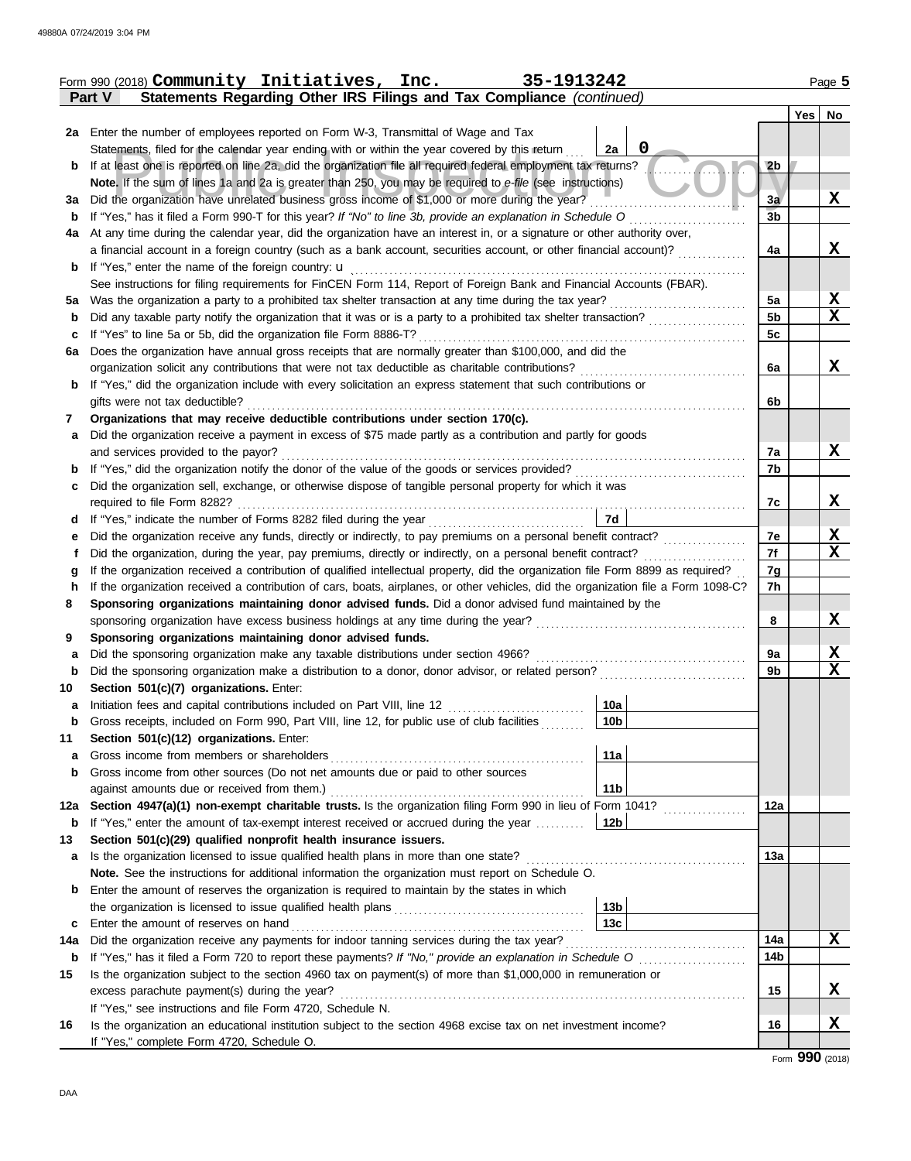|         | Form 990 (2018) Community Initiatives, Inc.<br>35-1913242                                                                                        |                | Page 5          |
|---------|--------------------------------------------------------------------------------------------------------------------------------------------------|----------------|-----------------|
|         | Statements Regarding Other IRS Filings and Tax Compliance (continued)<br><b>Part V</b>                                                           |                |                 |
|         |                                                                                                                                                  |                | $Yes \mid No$   |
|         | 2a Enter the number of employees reported on Form W-3, Transmittal of Wage and Tax                                                               |                |                 |
|         | 0<br>Statements, filed for the calendar year ending with or within the year covered by this return<br>2a                                         |                |                 |
| b       | If at least one is reported on line 2a, did the organization file all required federal employment tax returns?                                   | 2 <sub>b</sub> |                 |
|         | Note. If the sum of lines 1a and 2a is greater than 250, you may be required to e-file (see instructions)                                        |                |                 |
| За      | Did the organization have unrelated business gross income of \$1,000 or more during the year?                                                    | 3a             | X               |
| b       | If "Yes," has it filed a Form 990-T for this year? If "No" to line 3b, provide an explanation in Schedule O                                      | 3 <sub>b</sub> |                 |
| 4a      | At any time during the calendar year, did the organization have an interest in, or a signature or other authority over,                          |                |                 |
|         | a financial account in a foreign country (such as a bank account, securities account, or other financial account)?                               | 4a             | X               |
| b       | If "Yes," enter the name of the foreign country: <b>u</b>                                                                                        |                |                 |
|         | See instructions for filing requirements for FinCEN Form 114, Report of Foreign Bank and Financial Accounts (FBAR).                              |                |                 |
| 5a      | Was the organization a party to a prohibited tax shelter transaction at any time during the tax year?                                            | 5a             | $\mathbf x$     |
| b       | Did any taxable party notify the organization that it was or is a party to a prohibited tax shelter transaction?                                 | 5b             | $\mathbf x$     |
| c       | If "Yes" to line 5a or 5b, did the organization file Form 8886-T?                                                                                | 5c             |                 |
| 6a      | Does the organization have annual gross receipts that are normally greater than \$100,000, and did the                                           |                |                 |
|         | organization solicit any contributions that were not tax deductible as charitable contributions?                                                 | 6a             | X               |
| b       | If "Yes," did the organization include with every solicitation an express statement that such contributions or<br>gifts were not tax deductible? | 6b             |                 |
|         | Organizations that may receive deductible contributions under section 170(c).                                                                    |                |                 |
| 7       | Did the organization receive a payment in excess of \$75 made partly as a contribution and partly for goods                                      |                |                 |
| a       | and services provided to the payor?                                                                                                              | 7a             | X               |
| b       | If "Yes," did the organization notify the donor of the value of the goods or services provided?                                                  | 7b             |                 |
| c       | Did the organization sell, exchange, or otherwise dispose of tangible personal property for which it was                                         |                |                 |
|         | required to file Form 8282?                                                                                                                      | 7c             | X               |
| d       | 7d<br>If "Yes," indicate the number of Forms 8282 filed during the year                                                                          |                |                 |
| е       | Did the organization receive any funds, directly or indirectly, to pay premiums on a personal benefit contract?                                  | 7e             | X               |
| t       | Did the organization, during the year, pay premiums, directly or indirectly, on a personal benefit contract?                                     | 7f             | $\mathbf x$     |
| g       | If the organization received a contribution of qualified intellectual property, did the organization file Form 8899 as required?                 | 7g             |                 |
| h       | If the organization received a contribution of cars, boats, airplanes, or other vehicles, did the organization file a Form 1098-C?               | 7h             |                 |
| 8       | Sponsoring organizations maintaining donor advised funds. Did a donor advised fund maintained by the                                             |                |                 |
|         |                                                                                                                                                  | 8              | X               |
| 9       | Sponsoring organizations maintaining donor advised funds.                                                                                        |                |                 |
| a       | Did the sponsoring organization make any taxable distributions under section 4966?                                                               | 9a             | X               |
| b       | Did the sponsoring organization make a distribution to a donor, donor advisor, or related person?                                                | 9b             | X               |
| 10      | Section 501(c)(7) organizations. Enter:                                                                                                          |                |                 |
|         | 10a <br>Initiation fees and capital contributions included on Part VIII, line 12 [11][11][11][11][11][11][11][11][11][                           |                |                 |
| b       | 10 <sub>b</sub><br>Gross receipts, included on Form 990, Part VIII, line 12, for public use of club facilities                                   |                |                 |
| 11      | Section 501(c)(12) organizations. Enter:                                                                                                         |                |                 |
| a       | 11a<br>Gross income from members or shareholders                                                                                                 |                |                 |
| b       | Gross income from other sources (Do not net amounts due or paid to other sources                                                                 |                |                 |
|         | 11 <sub>b</sub><br>against amounts due or received from them.)                                                                                   |                |                 |
| 12a     | Section 4947(a)(1) non-exempt charitable trusts. Is the organization filing Form 990 in lieu of Form 1041?                                       | 12a            |                 |
| b       | If "Yes," enter the amount of tax-exempt interest received or accrued during the year<br>12 <sub>b</sub>                                         |                |                 |
| 13      | Section 501(c)(29) qualified nonprofit health insurance issuers.                                                                                 |                |                 |
| a       | Is the organization licensed to issue qualified health plans in more than one state?                                                             | 13а            |                 |
|         | Note. See the instructions for additional information the organization must report on Schedule O.                                                |                |                 |
| b       | Enter the amount of reserves the organization is required to maintain by the states in which                                                     |                |                 |
|         | 13 <sub>b</sub><br>13c                                                                                                                           |                |                 |
| c       | Enter the amount of reserves on hand<br>Did the organization receive any payments for indoor tanning services during the tax year?               | 14a            | X               |
| 14a     |                                                                                                                                                  | 14b            |                 |
| b<br>15 | Is the organization subject to the section 4960 tax on payment(s) of more than \$1,000,000 in remuneration or                                    |                |                 |
|         | excess parachute payment(s) during the year?                                                                                                     | 15             | X.              |
|         | If "Yes," see instructions and file Form 4720, Schedule N.                                                                                       |                |                 |
| 16      | Is the organization an educational institution subject to the section 4968 excise tax on net investment income?                                  | 16             | x               |
|         | If "Yes," complete Form 4720, Schedule O.                                                                                                        |                |                 |
|         |                                                                                                                                                  |                | Form 990 (2018) |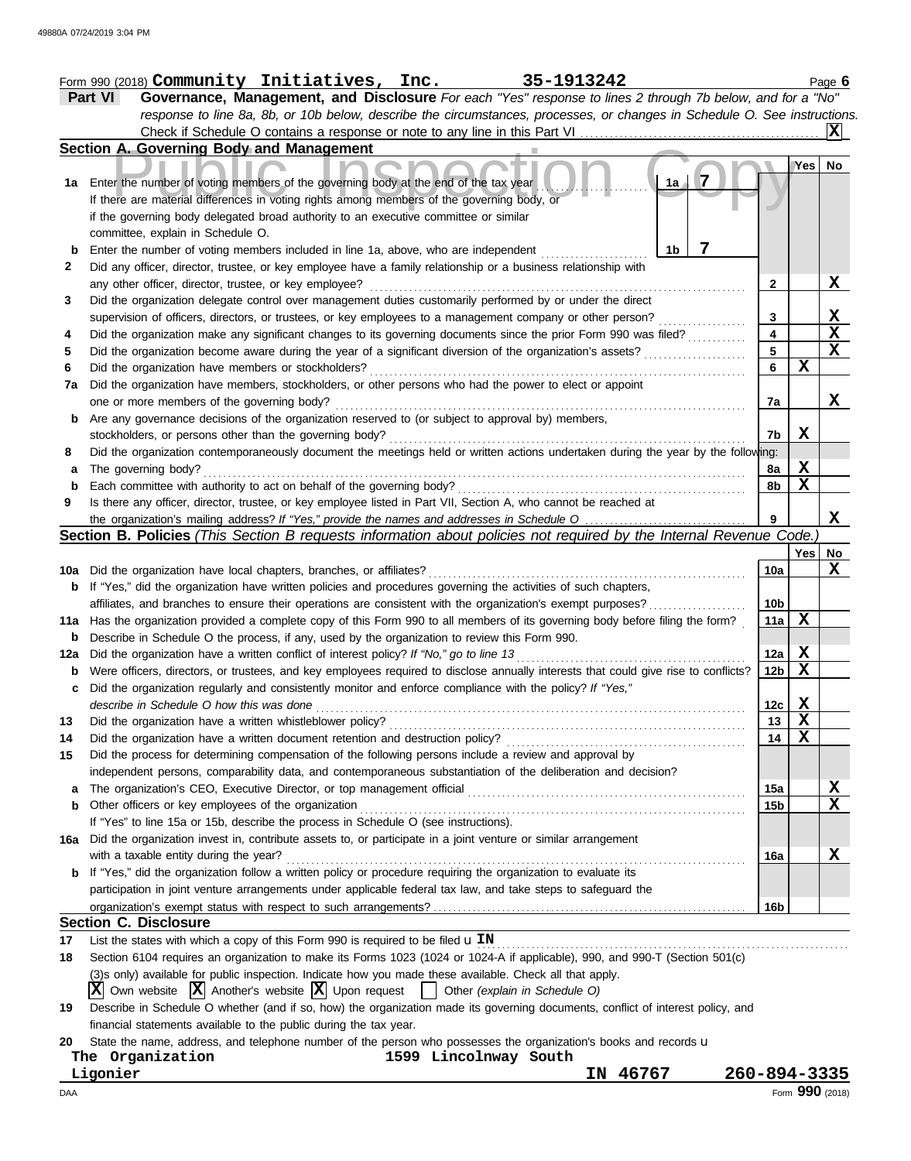| Governance, Management, and Disclosure For each "Yes" response to lines 2 through 7b below, and for a "No"<br>Part VI<br>response to line 8a, 8b, or 10b below, describe the circumstances, processes, or changes in Schedule O. See instructions.<br>Check if Schedule O contains a response or note to any line in this Part VI<br>Section A. Governing Body and Management<br>7<br>Enter the number of voting members of the governing body at the end of the tax year<br>1a<br>If there are material differences in voting rights among members of the governing body, or<br>if the governing body delegated broad authority to an executive committee or similar<br>committee, explain in Schedule O.<br>7<br>1b<br>Enter the number of voting members included in line 1a, above, who are independent<br>Did any officer, director, trustee, or key employee have a family relationship or a business relationship with<br>any other officer, director, trustee, or key employee?<br>Did the organization delegate control over management duties customarily performed by or under the direct<br>supervision of officers, directors, or trustees, or key employees to a management company or other person?<br>Did the organization make any significant changes to its governing documents since the prior Form 990 was filed?<br>Did the organization become aware during the year of a significant diversion of the organization's assets?<br>Did the organization have members or stockholders?<br>Did the organization have members, stockholders, or other persons who had the power to elect or appoint<br>one or more members of the governing body?<br>Are any governance decisions of the organization reserved to (or subject to approval by) members,<br>stockholders, or persons other than the governing body?<br>Did the organization contemporaneously document the meetings held or written actions undertaken during the year by the following:<br>The governing body?<br>Each committee with authority to act on behalf of the governing body?<br>Is there any officer, director, trustee, or key employee listed in Part VII, Section A, who cannot be reached at | 2<br>3<br>4<br>5<br>6<br>7a<br>7b<br>8a<br>8b                                                                                                                                                                                                                                                                                                                                                                                                                                                                                                                                                                                                                                                                                                                                                                                                                                                                                                       | Yes<br>$\mathbf X$<br>X                          | IXI<br>No<br>$\mathbf x$<br>$\frac{\mathbf{X}}{\mathbf{X}}$<br>$\overline{\mathbf{x}}$<br>X |
|----------------------------------------------------------------------------------------------------------------------------------------------------------------------------------------------------------------------------------------------------------------------------------------------------------------------------------------------------------------------------------------------------------------------------------------------------------------------------------------------------------------------------------------------------------------------------------------------------------------------------------------------------------------------------------------------------------------------------------------------------------------------------------------------------------------------------------------------------------------------------------------------------------------------------------------------------------------------------------------------------------------------------------------------------------------------------------------------------------------------------------------------------------------------------------------------------------------------------------------------------------------------------------------------------------------------------------------------------------------------------------------------------------------------------------------------------------------------------------------------------------------------------------------------------------------------------------------------------------------------------------------------------------------------------------------------------------------------------------------------------------------------------------------------------------------------------------------------------------------------------------------------------------------------------------------------------------------------------------------------------------------------------------------------------------------------------------------------------------------------------------------------------------------------------------------------|-----------------------------------------------------------------------------------------------------------------------------------------------------------------------------------------------------------------------------------------------------------------------------------------------------------------------------------------------------------------------------------------------------------------------------------------------------------------------------------------------------------------------------------------------------------------------------------------------------------------------------------------------------------------------------------------------------------------------------------------------------------------------------------------------------------------------------------------------------------------------------------------------------------------------------------------------------|--------------------------------------------------|---------------------------------------------------------------------------------------------|
|                                                                                                                                                                                                                                                                                                                                                                                                                                                                                                                                                                                                                                                                                                                                                                                                                                                                                                                                                                                                                                                                                                                                                                                                                                                                                                                                                                                                                                                                                                                                                                                                                                                                                                                                                                                                                                                                                                                                                                                                                                                                                                                                                                                              |                                                                                                                                                                                                                                                                                                                                                                                                                                                                                                                                                                                                                                                                                                                                                                                                                                                                                                                                                     |                                                  |                                                                                             |
|                                                                                                                                                                                                                                                                                                                                                                                                                                                                                                                                                                                                                                                                                                                                                                                                                                                                                                                                                                                                                                                                                                                                                                                                                                                                                                                                                                                                                                                                                                                                                                                                                                                                                                                                                                                                                                                                                                                                                                                                                                                                                                                                                                                              |                                                                                                                                                                                                                                                                                                                                                                                                                                                                                                                                                                                                                                                                                                                                                                                                                                                                                                                                                     |                                                  |                                                                                             |
|                                                                                                                                                                                                                                                                                                                                                                                                                                                                                                                                                                                                                                                                                                                                                                                                                                                                                                                                                                                                                                                                                                                                                                                                                                                                                                                                                                                                                                                                                                                                                                                                                                                                                                                                                                                                                                                                                                                                                                                                                                                                                                                                                                                              |                                                                                                                                                                                                                                                                                                                                                                                                                                                                                                                                                                                                                                                                                                                                                                                                                                                                                                                                                     |                                                  |                                                                                             |
|                                                                                                                                                                                                                                                                                                                                                                                                                                                                                                                                                                                                                                                                                                                                                                                                                                                                                                                                                                                                                                                                                                                                                                                                                                                                                                                                                                                                                                                                                                                                                                                                                                                                                                                                                                                                                                                                                                                                                                                                                                                                                                                                                                                              |                                                                                                                                                                                                                                                                                                                                                                                                                                                                                                                                                                                                                                                                                                                                                                                                                                                                                                                                                     |                                                  |                                                                                             |
|                                                                                                                                                                                                                                                                                                                                                                                                                                                                                                                                                                                                                                                                                                                                                                                                                                                                                                                                                                                                                                                                                                                                                                                                                                                                                                                                                                                                                                                                                                                                                                                                                                                                                                                                                                                                                                                                                                                                                                                                                                                                                                                                                                                              |                                                                                                                                                                                                                                                                                                                                                                                                                                                                                                                                                                                                                                                                                                                                                                                                                                                                                                                                                     |                                                  |                                                                                             |
|                                                                                                                                                                                                                                                                                                                                                                                                                                                                                                                                                                                                                                                                                                                                                                                                                                                                                                                                                                                                                                                                                                                                                                                                                                                                                                                                                                                                                                                                                                                                                                                                                                                                                                                                                                                                                                                                                                                                                                                                                                                                                                                                                                                              |                                                                                                                                                                                                                                                                                                                                                                                                                                                                                                                                                                                                                                                                                                                                                                                                                                                                                                                                                     |                                                  |                                                                                             |
|                                                                                                                                                                                                                                                                                                                                                                                                                                                                                                                                                                                                                                                                                                                                                                                                                                                                                                                                                                                                                                                                                                                                                                                                                                                                                                                                                                                                                                                                                                                                                                                                                                                                                                                                                                                                                                                                                                                                                                                                                                                                                                                                                                                              |                                                                                                                                                                                                                                                                                                                                                                                                                                                                                                                                                                                                                                                                                                                                                                                                                                                                                                                                                     |                                                  |                                                                                             |
|                                                                                                                                                                                                                                                                                                                                                                                                                                                                                                                                                                                                                                                                                                                                                                                                                                                                                                                                                                                                                                                                                                                                                                                                                                                                                                                                                                                                                                                                                                                                                                                                                                                                                                                                                                                                                                                                                                                                                                                                                                                                                                                                                                                              |                                                                                                                                                                                                                                                                                                                                                                                                                                                                                                                                                                                                                                                                                                                                                                                                                                                                                                                                                     |                                                  |                                                                                             |
|                                                                                                                                                                                                                                                                                                                                                                                                                                                                                                                                                                                                                                                                                                                                                                                                                                                                                                                                                                                                                                                                                                                                                                                                                                                                                                                                                                                                                                                                                                                                                                                                                                                                                                                                                                                                                                                                                                                                                                                                                                                                                                                                                                                              |                                                                                                                                                                                                                                                                                                                                                                                                                                                                                                                                                                                                                                                                                                                                                                                                                                                                                                                                                     |                                                  |                                                                                             |
|                                                                                                                                                                                                                                                                                                                                                                                                                                                                                                                                                                                                                                                                                                                                                                                                                                                                                                                                                                                                                                                                                                                                                                                                                                                                                                                                                                                                                                                                                                                                                                                                                                                                                                                                                                                                                                                                                                                                                                                                                                                                                                                                                                                              |                                                                                                                                                                                                                                                                                                                                                                                                                                                                                                                                                                                                                                                                                                                                                                                                                                                                                                                                                     |                                                  |                                                                                             |
|                                                                                                                                                                                                                                                                                                                                                                                                                                                                                                                                                                                                                                                                                                                                                                                                                                                                                                                                                                                                                                                                                                                                                                                                                                                                                                                                                                                                                                                                                                                                                                                                                                                                                                                                                                                                                                                                                                                                                                                                                                                                                                                                                                                              |                                                                                                                                                                                                                                                                                                                                                                                                                                                                                                                                                                                                                                                                                                                                                                                                                                                                                                                                                     |                                                  |                                                                                             |
|                                                                                                                                                                                                                                                                                                                                                                                                                                                                                                                                                                                                                                                                                                                                                                                                                                                                                                                                                                                                                                                                                                                                                                                                                                                                                                                                                                                                                                                                                                                                                                                                                                                                                                                                                                                                                                                                                                                                                                                                                                                                                                                                                                                              |                                                                                                                                                                                                                                                                                                                                                                                                                                                                                                                                                                                                                                                                                                                                                                                                                                                                                                                                                     |                                                  |                                                                                             |
|                                                                                                                                                                                                                                                                                                                                                                                                                                                                                                                                                                                                                                                                                                                                                                                                                                                                                                                                                                                                                                                                                                                                                                                                                                                                                                                                                                                                                                                                                                                                                                                                                                                                                                                                                                                                                                                                                                                                                                                                                                                                                                                                                                                              |                                                                                                                                                                                                                                                                                                                                                                                                                                                                                                                                                                                                                                                                                                                                                                                                                                                                                                                                                     |                                                  |                                                                                             |
|                                                                                                                                                                                                                                                                                                                                                                                                                                                                                                                                                                                                                                                                                                                                                                                                                                                                                                                                                                                                                                                                                                                                                                                                                                                                                                                                                                                                                                                                                                                                                                                                                                                                                                                                                                                                                                                                                                                                                                                                                                                                                                                                                                                              |                                                                                                                                                                                                                                                                                                                                                                                                                                                                                                                                                                                                                                                                                                                                                                                                                                                                                                                                                     |                                                  |                                                                                             |
|                                                                                                                                                                                                                                                                                                                                                                                                                                                                                                                                                                                                                                                                                                                                                                                                                                                                                                                                                                                                                                                                                                                                                                                                                                                                                                                                                                                                                                                                                                                                                                                                                                                                                                                                                                                                                                                                                                                                                                                                                                                                                                                                                                                              |                                                                                                                                                                                                                                                                                                                                                                                                                                                                                                                                                                                                                                                                                                                                                                                                                                                                                                                                                     |                                                  |                                                                                             |
|                                                                                                                                                                                                                                                                                                                                                                                                                                                                                                                                                                                                                                                                                                                                                                                                                                                                                                                                                                                                                                                                                                                                                                                                                                                                                                                                                                                                                                                                                                                                                                                                                                                                                                                                                                                                                                                                                                                                                                                                                                                                                                                                                                                              |                                                                                                                                                                                                                                                                                                                                                                                                                                                                                                                                                                                                                                                                                                                                                                                                                                                                                                                                                     |                                                  |                                                                                             |
|                                                                                                                                                                                                                                                                                                                                                                                                                                                                                                                                                                                                                                                                                                                                                                                                                                                                                                                                                                                                                                                                                                                                                                                                                                                                                                                                                                                                                                                                                                                                                                                                                                                                                                                                                                                                                                                                                                                                                                                                                                                                                                                                                                                              |                                                                                                                                                                                                                                                                                                                                                                                                                                                                                                                                                                                                                                                                                                                                                                                                                                                                                                                                                     |                                                  |                                                                                             |
|                                                                                                                                                                                                                                                                                                                                                                                                                                                                                                                                                                                                                                                                                                                                                                                                                                                                                                                                                                                                                                                                                                                                                                                                                                                                                                                                                                                                                                                                                                                                                                                                                                                                                                                                                                                                                                                                                                                                                                                                                                                                                                                                                                                              |                                                                                                                                                                                                                                                                                                                                                                                                                                                                                                                                                                                                                                                                                                                                                                                                                                                                                                                                                     |                                                  |                                                                                             |
|                                                                                                                                                                                                                                                                                                                                                                                                                                                                                                                                                                                                                                                                                                                                                                                                                                                                                                                                                                                                                                                                                                                                                                                                                                                                                                                                                                                                                                                                                                                                                                                                                                                                                                                                                                                                                                                                                                                                                                                                                                                                                                                                                                                              |                                                                                                                                                                                                                                                                                                                                                                                                                                                                                                                                                                                                                                                                                                                                                                                                                                                                                                                                                     |                                                  |                                                                                             |
|                                                                                                                                                                                                                                                                                                                                                                                                                                                                                                                                                                                                                                                                                                                                                                                                                                                                                                                                                                                                                                                                                                                                                                                                                                                                                                                                                                                                                                                                                                                                                                                                                                                                                                                                                                                                                                                                                                                                                                                                                                                                                                                                                                                              |                                                                                                                                                                                                                                                                                                                                                                                                                                                                                                                                                                                                                                                                                                                                                                                                                                                                                                                                                     |                                                  |                                                                                             |
|                                                                                                                                                                                                                                                                                                                                                                                                                                                                                                                                                                                                                                                                                                                                                                                                                                                                                                                                                                                                                                                                                                                                                                                                                                                                                                                                                                                                                                                                                                                                                                                                                                                                                                                                                                                                                                                                                                                                                                                                                                                                                                                                                                                              |                                                                                                                                                                                                                                                                                                                                                                                                                                                                                                                                                                                                                                                                                                                                                                                                                                                                                                                                                     |                                                  |                                                                                             |
|                                                                                                                                                                                                                                                                                                                                                                                                                                                                                                                                                                                                                                                                                                                                                                                                                                                                                                                                                                                                                                                                                                                                                                                                                                                                                                                                                                                                                                                                                                                                                                                                                                                                                                                                                                                                                                                                                                                                                                                                                                                                                                                                                                                              |                                                                                                                                                                                                                                                                                                                                                                                                                                                                                                                                                                                                                                                                                                                                                                                                                                                                                                                                                     | X                                                |                                                                                             |
|                                                                                                                                                                                                                                                                                                                                                                                                                                                                                                                                                                                                                                                                                                                                                                                                                                                                                                                                                                                                                                                                                                                                                                                                                                                                                                                                                                                                                                                                                                                                                                                                                                                                                                                                                                                                                                                                                                                                                                                                                                                                                                                                                                                              |                                                                                                                                                                                                                                                                                                                                                                                                                                                                                                                                                                                                                                                                                                                                                                                                                                                                                                                                                     | $\mathbf X$                                      |                                                                                             |
|                                                                                                                                                                                                                                                                                                                                                                                                                                                                                                                                                                                                                                                                                                                                                                                                                                                                                                                                                                                                                                                                                                                                                                                                                                                                                                                                                                                                                                                                                                                                                                                                                                                                                                                                                                                                                                                                                                                                                                                                                                                                                                                                                                                              |                                                                                                                                                                                                                                                                                                                                                                                                                                                                                                                                                                                                                                                                                                                                                                                                                                                                                                                                                     |                                                  |                                                                                             |
|                                                                                                                                                                                                                                                                                                                                                                                                                                                                                                                                                                                                                                                                                                                                                                                                                                                                                                                                                                                                                                                                                                                                                                                                                                                                                                                                                                                                                                                                                                                                                                                                                                                                                                                                                                                                                                                                                                                                                                                                                                                                                                                                                                                              | 9                                                                                                                                                                                                                                                                                                                                                                                                                                                                                                                                                                                                                                                                                                                                                                                                                                                                                                                                                   |                                                  | X                                                                                           |
| <b>Section B. Policies</b> (This Section B requests information about policies not required by the Internal Revenue Code.                                                                                                                                                                                                                                                                                                                                                                                                                                                                                                                                                                                                                                                                                                                                                                                                                                                                                                                                                                                                                                                                                                                                                                                                                                                                                                                                                                                                                                                                                                                                                                                                                                                                                                                                                                                                                                                                                                                                                                                                                                                                    |                                                                                                                                                                                                                                                                                                                                                                                                                                                                                                                                                                                                                                                                                                                                                                                                                                                                                                                                                     |                                                  |                                                                                             |
|                                                                                                                                                                                                                                                                                                                                                                                                                                                                                                                                                                                                                                                                                                                                                                                                                                                                                                                                                                                                                                                                                                                                                                                                                                                                                                                                                                                                                                                                                                                                                                                                                                                                                                                                                                                                                                                                                                                                                                                                                                                                                                                                                                                              |                                                                                                                                                                                                                                                                                                                                                                                                                                                                                                                                                                                                                                                                                                                                                                                                                                                                                                                                                     | Yes                                              | No                                                                                          |
| 10a Did the organization have local chapters, branches, or affiliates?                                                                                                                                                                                                                                                                                                                                                                                                                                                                                                                                                                                                                                                                                                                                                                                                                                                                                                                                                                                                                                                                                                                                                                                                                                                                                                                                                                                                                                                                                                                                                                                                                                                                                                                                                                                                                                                                                                                                                                                                                                                                                                                       | 10a                                                                                                                                                                                                                                                                                                                                                                                                                                                                                                                                                                                                                                                                                                                                                                                                                                                                                                                                                 |                                                  | X                                                                                           |
| If "Yes," did the organization have written policies and procedures governing the activities of such chapters,                                                                                                                                                                                                                                                                                                                                                                                                                                                                                                                                                                                                                                                                                                                                                                                                                                                                                                                                                                                                                                                                                                                                                                                                                                                                                                                                                                                                                                                                                                                                                                                                                                                                                                                                                                                                                                                                                                                                                                                                                                                                               |                                                                                                                                                                                                                                                                                                                                                                                                                                                                                                                                                                                                                                                                                                                                                                                                                                                                                                                                                     |                                                  |                                                                                             |
| affiliates, and branches to ensure their operations are consistent with the organization's exempt purposes?                                                                                                                                                                                                                                                                                                                                                                                                                                                                                                                                                                                                                                                                                                                                                                                                                                                                                                                                                                                                                                                                                                                                                                                                                                                                                                                                                                                                                                                                                                                                                                                                                                                                                                                                                                                                                                                                                                                                                                                                                                                                                  | 10 <sub>b</sub>                                                                                                                                                                                                                                                                                                                                                                                                                                                                                                                                                                                                                                                                                                                                                                                                                                                                                                                                     |                                                  |                                                                                             |
| 11a Has the organization provided a complete copy of this Form 990 to all members of its governing body before filing the form?                                                                                                                                                                                                                                                                                                                                                                                                                                                                                                                                                                                                                                                                                                                                                                                                                                                                                                                                                                                                                                                                                                                                                                                                                                                                                                                                                                                                                                                                                                                                                                                                                                                                                                                                                                                                                                                                                                                                                                                                                                                              | 11a                                                                                                                                                                                                                                                                                                                                                                                                                                                                                                                                                                                                                                                                                                                                                                                                                                                                                                                                                 | X                                                |                                                                                             |
| Describe in Schedule O the process, if any, used by the organization to review this Form 990.                                                                                                                                                                                                                                                                                                                                                                                                                                                                                                                                                                                                                                                                                                                                                                                                                                                                                                                                                                                                                                                                                                                                                                                                                                                                                                                                                                                                                                                                                                                                                                                                                                                                                                                                                                                                                                                                                                                                                                                                                                                                                                |                                                                                                                                                                                                                                                                                                                                                                                                                                                                                                                                                                                                                                                                                                                                                                                                                                                                                                                                                     |                                                  |                                                                                             |
| Did the organization have a written conflict of interest policy? If "No," go to line 13                                                                                                                                                                                                                                                                                                                                                                                                                                                                                                                                                                                                                                                                                                                                                                                                                                                                                                                                                                                                                                                                                                                                                                                                                                                                                                                                                                                                                                                                                                                                                                                                                                                                                                                                                                                                                                                                                                                                                                                                                                                                                                      | 12a                                                                                                                                                                                                                                                                                                                                                                                                                                                                                                                                                                                                                                                                                                                                                                                                                                                                                                                                                 | $\mathbf x$                                      |                                                                                             |
| Were officers, directors, or trustees, and key employees required to disclose annually interests that could give rise to conflicts?                                                                                                                                                                                                                                                                                                                                                                                                                                                                                                                                                                                                                                                                                                                                                                                                                                                                                                                                                                                                                                                                                                                                                                                                                                                                                                                                                                                                                                                                                                                                                                                                                                                                                                                                                                                                                                                                                                                                                                                                                                                          | 12 <sub>b</sub>                                                                                                                                                                                                                                                                                                                                                                                                                                                                                                                                                                                                                                                                                                                                                                                                                                                                                                                                     | $\mathbf x$                                      |                                                                                             |
| Did the organization regularly and consistently monitor and enforce compliance with the policy? If "Yes,"                                                                                                                                                                                                                                                                                                                                                                                                                                                                                                                                                                                                                                                                                                                                                                                                                                                                                                                                                                                                                                                                                                                                                                                                                                                                                                                                                                                                                                                                                                                                                                                                                                                                                                                                                                                                                                                                                                                                                                                                                                                                                    |                                                                                                                                                                                                                                                                                                                                                                                                                                                                                                                                                                                                                                                                                                                                                                                                                                                                                                                                                     |                                                  |                                                                                             |
| describe in Schedule O how this was done                                                                                                                                                                                                                                                                                                                                                                                                                                                                                                                                                                                                                                                                                                                                                                                                                                                                                                                                                                                                                                                                                                                                                                                                                                                                                                                                                                                                                                                                                                                                                                                                                                                                                                                                                                                                                                                                                                                                                                                                                                                                                                                                                     | 12c                                                                                                                                                                                                                                                                                                                                                                                                                                                                                                                                                                                                                                                                                                                                                                                                                                                                                                                                                 | Χ                                                |                                                                                             |
|                                                                                                                                                                                                                                                                                                                                                                                                                                                                                                                                                                                                                                                                                                                                                                                                                                                                                                                                                                                                                                                                                                                                                                                                                                                                                                                                                                                                                                                                                                                                                                                                                                                                                                                                                                                                                                                                                                                                                                                                                                                                                                                                                                                              |                                                                                                                                                                                                                                                                                                                                                                                                                                                                                                                                                                                                                                                                                                                                                                                                                                                                                                                                                     |                                                  |                                                                                             |
|                                                                                                                                                                                                                                                                                                                                                                                                                                                                                                                                                                                                                                                                                                                                                                                                                                                                                                                                                                                                                                                                                                                                                                                                                                                                                                                                                                                                                                                                                                                                                                                                                                                                                                                                                                                                                                                                                                                                                                                                                                                                                                                                                                                              |                                                                                                                                                                                                                                                                                                                                                                                                                                                                                                                                                                                                                                                                                                                                                                                                                                                                                                                                                     |                                                  |                                                                                             |
|                                                                                                                                                                                                                                                                                                                                                                                                                                                                                                                                                                                                                                                                                                                                                                                                                                                                                                                                                                                                                                                                                                                                                                                                                                                                                                                                                                                                                                                                                                                                                                                                                                                                                                                                                                                                                                                                                                                                                                                                                                                                                                                                                                                              |                                                                                                                                                                                                                                                                                                                                                                                                                                                                                                                                                                                                                                                                                                                                                                                                                                                                                                                                                     |                                                  |                                                                                             |
|                                                                                                                                                                                                                                                                                                                                                                                                                                                                                                                                                                                                                                                                                                                                                                                                                                                                                                                                                                                                                                                                                                                                                                                                                                                                                                                                                                                                                                                                                                                                                                                                                                                                                                                                                                                                                                                                                                                                                                                                                                                                                                                                                                                              |                                                                                                                                                                                                                                                                                                                                                                                                                                                                                                                                                                                                                                                                                                                                                                                                                                                                                                                                                     |                                                  |                                                                                             |
|                                                                                                                                                                                                                                                                                                                                                                                                                                                                                                                                                                                                                                                                                                                                                                                                                                                                                                                                                                                                                                                                                                                                                                                                                                                                                                                                                                                                                                                                                                                                                                                                                                                                                                                                                                                                                                                                                                                                                                                                                                                                                                                                                                                              |                                                                                                                                                                                                                                                                                                                                                                                                                                                                                                                                                                                                                                                                                                                                                                                                                                                                                                                                                     |                                                  | $\frac{\mathbf{x}}{\mathbf{x}}$                                                             |
|                                                                                                                                                                                                                                                                                                                                                                                                                                                                                                                                                                                                                                                                                                                                                                                                                                                                                                                                                                                                                                                                                                                                                                                                                                                                                                                                                                                                                                                                                                                                                                                                                                                                                                                                                                                                                                                                                                                                                                                                                                                                                                                                                                                              |                                                                                                                                                                                                                                                                                                                                                                                                                                                                                                                                                                                                                                                                                                                                                                                                                                                                                                                                                     |                                                  |                                                                                             |
|                                                                                                                                                                                                                                                                                                                                                                                                                                                                                                                                                                                                                                                                                                                                                                                                                                                                                                                                                                                                                                                                                                                                                                                                                                                                                                                                                                                                                                                                                                                                                                                                                                                                                                                                                                                                                                                                                                                                                                                                                                                                                                                                                                                              |                                                                                                                                                                                                                                                                                                                                                                                                                                                                                                                                                                                                                                                                                                                                                                                                                                                                                                                                                     |                                                  |                                                                                             |
|                                                                                                                                                                                                                                                                                                                                                                                                                                                                                                                                                                                                                                                                                                                                                                                                                                                                                                                                                                                                                                                                                                                                                                                                                                                                                                                                                                                                                                                                                                                                                                                                                                                                                                                                                                                                                                                                                                                                                                                                                                                                                                                                                                                              |                                                                                                                                                                                                                                                                                                                                                                                                                                                                                                                                                                                                                                                                                                                                                                                                                                                                                                                                                     |                                                  |                                                                                             |
|                                                                                                                                                                                                                                                                                                                                                                                                                                                                                                                                                                                                                                                                                                                                                                                                                                                                                                                                                                                                                                                                                                                                                                                                                                                                                                                                                                                                                                                                                                                                                                                                                                                                                                                                                                                                                                                                                                                                                                                                                                                                                                                                                                                              |                                                                                                                                                                                                                                                                                                                                                                                                                                                                                                                                                                                                                                                                                                                                                                                                                                                                                                                                                     |                                                  | X                                                                                           |
|                                                                                                                                                                                                                                                                                                                                                                                                                                                                                                                                                                                                                                                                                                                                                                                                                                                                                                                                                                                                                                                                                                                                                                                                                                                                                                                                                                                                                                                                                                                                                                                                                                                                                                                                                                                                                                                                                                                                                                                                                                                                                                                                                                                              |                                                                                                                                                                                                                                                                                                                                                                                                                                                                                                                                                                                                                                                                                                                                                                                                                                                                                                                                                     |                                                  |                                                                                             |
|                                                                                                                                                                                                                                                                                                                                                                                                                                                                                                                                                                                                                                                                                                                                                                                                                                                                                                                                                                                                                                                                                                                                                                                                                                                                                                                                                                                                                                                                                                                                                                                                                                                                                                                                                                                                                                                                                                                                                                                                                                                                                                                                                                                              |                                                                                                                                                                                                                                                                                                                                                                                                                                                                                                                                                                                                                                                                                                                                                                                                                                                                                                                                                     |                                                  |                                                                                             |
|                                                                                                                                                                                                                                                                                                                                                                                                                                                                                                                                                                                                                                                                                                                                                                                                                                                                                                                                                                                                                                                                                                                                                                                                                                                                                                                                                                                                                                                                                                                                                                                                                                                                                                                                                                                                                                                                                                                                                                                                                                                                                                                                                                                              |                                                                                                                                                                                                                                                                                                                                                                                                                                                                                                                                                                                                                                                                                                                                                                                                                                                                                                                                                     |                                                  |                                                                                             |
|                                                                                                                                                                                                                                                                                                                                                                                                                                                                                                                                                                                                                                                                                                                                                                                                                                                                                                                                                                                                                                                                                                                                                                                                                                                                                                                                                                                                                                                                                                                                                                                                                                                                                                                                                                                                                                                                                                                                                                                                                                                                                                                                                                                              |                                                                                                                                                                                                                                                                                                                                                                                                                                                                                                                                                                                                                                                                                                                                                                                                                                                                                                                                                     |                                                  |                                                                                             |
|                                                                                                                                                                                                                                                                                                                                                                                                                                                                                                                                                                                                                                                                                                                                                                                                                                                                                                                                                                                                                                                                                                                                                                                                                                                                                                                                                                                                                                                                                                                                                                                                                                                                                                                                                                                                                                                                                                                                                                                                                                                                                                                                                                                              |                                                                                                                                                                                                                                                                                                                                                                                                                                                                                                                                                                                                                                                                                                                                                                                                                                                                                                                                                     |                                                  |                                                                                             |
| List the states with which a copy of this Form 990 is required to be filed $\mathbf{u}$ IN                                                                                                                                                                                                                                                                                                                                                                                                                                                                                                                                                                                                                                                                                                                                                                                                                                                                                                                                                                                                                                                                                                                                                                                                                                                                                                                                                                                                                                                                                                                                                                                                                                                                                                                                                                                                                                                                                                                                                                                                                                                                                                   |                                                                                                                                                                                                                                                                                                                                                                                                                                                                                                                                                                                                                                                                                                                                                                                                                                                                                                                                                     |                                                  |                                                                                             |
| Section 6104 requires an organization to make its Forms 1023 (1024 or 1024-A if applicable), 990, and 990-T (Section 501(c)                                                                                                                                                                                                                                                                                                                                                                                                                                                                                                                                                                                                                                                                                                                                                                                                                                                                                                                                                                                                                                                                                                                                                                                                                                                                                                                                                                                                                                                                                                                                                                                                                                                                                                                                                                                                                                                                                                                                                                                                                                                                  |                                                                                                                                                                                                                                                                                                                                                                                                                                                                                                                                                                                                                                                                                                                                                                                                                                                                                                                                                     |                                                  |                                                                                             |
| (3)s only) available for public inspection. Indicate how you made these available. Check all that apply.<br>$\mathbf{X}$ Own website $\mathbf{X}$ Another's website $\mathbf{X}$ Upon request $\ \cdot\ $ Other (explain in Schedule O)                                                                                                                                                                                                                                                                                                                                                                                                                                                                                                                                                                                                                                                                                                                                                                                                                                                                                                                                                                                                                                                                                                                                                                                                                                                                                                                                                                                                                                                                                                                                                                                                                                                                                                                                                                                                                                                                                                                                                      |                                                                                                                                                                                                                                                                                                                                                                                                                                                                                                                                                                                                                                                                                                                                                                                                                                                                                                                                                     |                                                  |                                                                                             |
|                                                                                                                                                                                                                                                                                                                                                                                                                                                                                                                                                                                                                                                                                                                                                                                                                                                                                                                                                                                                                                                                                                                                                                                                                                                                                                                                                                                                                                                                                                                                                                                                                                                                                                                                                                                                                                                                                                                                                                                                                                                                                                                                                                                              | Did the organization have a written whistleblower policy?<br>Did the organization have a written document retention and destruction policy?<br>Did the process for determining compensation of the following persons include a review and approval by<br>independent persons, comparability data, and contemporaneous substantiation of the deliberation and decision?<br>Other officers or key employees of the organization<br>If "Yes" to line 15a or 15b, describe the process in Schedule O (see instructions).<br>Did the organization invest in, contribute assets to, or participate in a joint venture or similar arrangement<br>with a taxable entity during the year?<br>If "Yes," did the organization follow a written policy or procedure requiring the organization to evaluate its<br>participation in joint venture arrangements under applicable federal tax law, and take steps to safeguard the<br><b>Section C. Disclosure</b> | 13<br>14<br>15a<br>15 <sub>b</sub><br>16a<br>16b | X<br>X                                                                                      |

| 20 State the name, address, and telephone number of the person who possesses the organization's books and records u |  |  |  |  |
|---------------------------------------------------------------------------------------------------------------------|--|--|--|--|
|                                                                                                                     |  |  |  |  |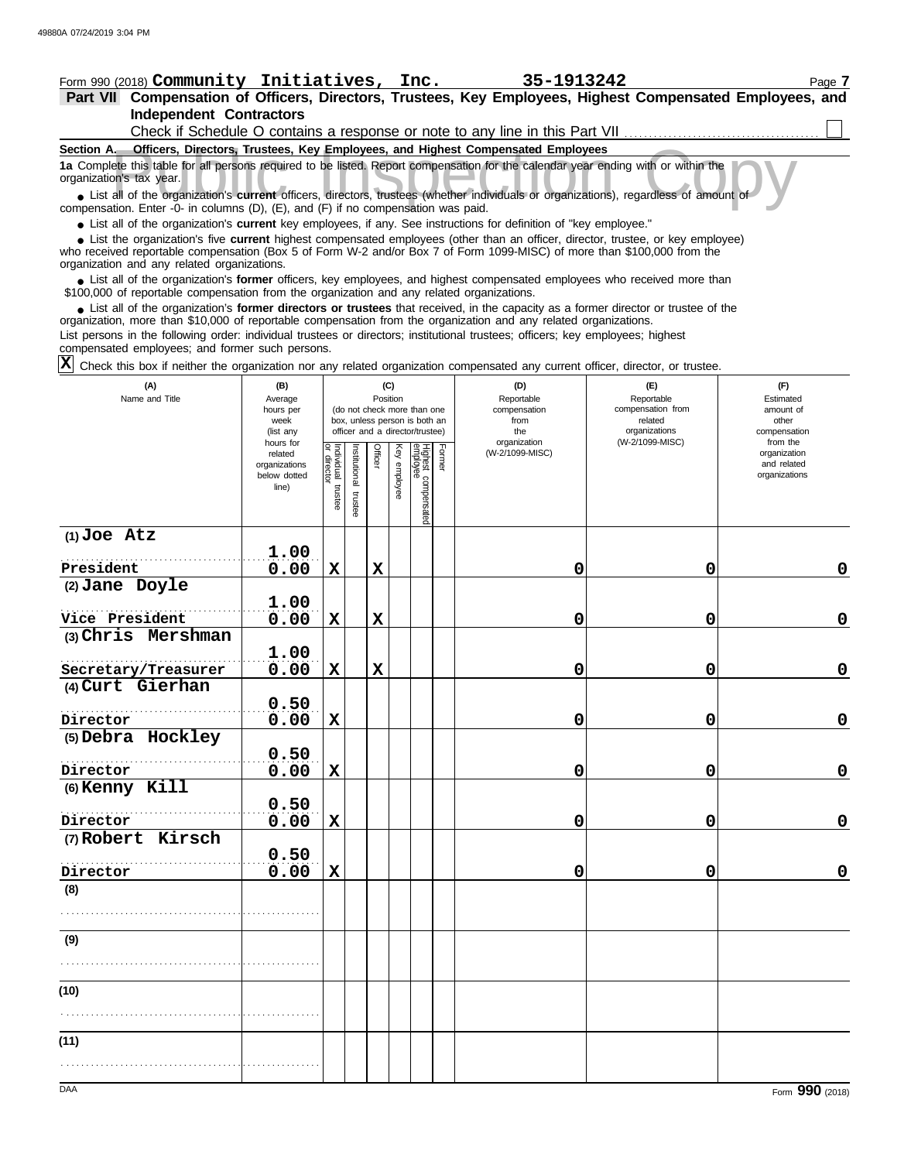### Form 990 (2018) Page **7 Community Initiatives, Inc. 35-1913242 Part VII Compensation of Officers, Directors, Trustees, Key Employees, Highest Compensated Employees, and Independent Contractors**  $\Box$ Check if Schedule O contains a response or note to any line in this Part VII.

| <u>UITOM II UMIGUUD O CONUMIO U TOODONOO OF HOIG IO UNIV III IO II INIIO FUNE TALLA III III IIII IIII IIIII IIII </u>                                         |
|---------------------------------------------------------------------------------------------------------------------------------------------------------------|
| Officers, Directors, Trustees, Key Employees, and Highest Compensated Employees<br>Section A.                                                                 |
| 1a Complete this table for all persons required to be listed. Report compensation for the calendar year ending with or within the<br>organization's tax year. |
| • List all of the organization's current officers, directors, trustees (whether individuals or organizations), regardless of amount of                        |
| compensation. Enter -0- in columns $(D)$ , $(E)$ , and $(F)$ if no compensation was paid.                                                                     |
| • List all of the organization's current key employees, if any. See instructions for definition of "key employee."                                            |
| • List the organization's five current highest compensated employees (other than an officer, director, trustee, or key employee)                              |

who received reportable compensation (Box 5 of Form W-2 and/or Box 7 of Form 1099-MISC) of more than \$100,000 from the organization and any related organizations. **•**

■ List all of the organization's **former** officers, key employees, and highest compensated employees who received more than<br>00,000 of reportable compensation from the organization and any related organizations \$100,000 of reportable compensation from the organization and any related organizations.

• List all of the organization's **former directors or trustees** that received, in the capacity as a former director or trustee of the prization more than \$10,000 of reportable compensation from the organization and any rel organization, more than \$10,000 of reportable compensation from the organization and any related organizations.

List persons in the following order: individual trustees or directors; institutional trustees; officers; key employees; highest compensated employees; and former such persons.

Check this box if neither the organization nor any related organization compensated any current officer, director, or trustee. **X**

| (A)<br>Name and Title | (B)<br>Average<br>hours per<br>week<br>(list any               |                                   | (C)<br>Position<br>(do not check more than one<br>box, unless person is both an<br>officer and a director/trustee) |             |              |                                 |        | (D)<br>Reportable<br>compensation<br>from<br>the<br>organization | (E)<br>Reportable<br>compensation from<br>related<br>organizations<br>(W-2/1099-MISC) | (F)<br>Estimated<br>amount of<br>other<br>compensation<br>from the |
|-----------------------|----------------------------------------------------------------|-----------------------------------|--------------------------------------------------------------------------------------------------------------------|-------------|--------------|---------------------------------|--------|------------------------------------------------------------------|---------------------------------------------------------------------------------------|--------------------------------------------------------------------|
|                       | hours for<br>related<br>organizations<br>below dotted<br>line) | Individual trustee<br>or director | Institutional trustee                                                                                              | Officer     | Key employee | Highest compensated<br>employee | Former | (W-2/1099-MISC)                                                  |                                                                                       | organization<br>and related<br>organizations                       |
| $(1)$ Joe Atz         | 1.00                                                           |                                   |                                                                                                                    |             |              |                                 |        |                                                                  |                                                                                       |                                                                    |
| President             | 0.00                                                           | $\mathbf X$                       |                                                                                                                    | $\mathbf X$ |              |                                 |        | 0                                                                | 0                                                                                     | 0                                                                  |
| (2) Jane Doyle        | 1.00                                                           |                                   |                                                                                                                    |             |              |                                 |        |                                                                  |                                                                                       |                                                                    |
| Vice President        | 0.00                                                           | $\mathbf X$                       |                                                                                                                    | $\mathbf x$ |              |                                 |        | 0                                                                | 0                                                                                     | $\mathbf 0$                                                        |
| (3) Chris Mershman    |                                                                |                                   |                                                                                                                    |             |              |                                 |        |                                                                  |                                                                                       |                                                                    |
|                       | 1.00                                                           |                                   |                                                                                                                    |             |              |                                 |        |                                                                  |                                                                                       |                                                                    |
| Secretary/Treasurer   | 0.00                                                           | X                                 |                                                                                                                    | $\mathbf x$ |              |                                 |        | 0                                                                | 0                                                                                     | $\mathbf 0$                                                        |
| (4) Curt Gierhan      |                                                                |                                   |                                                                                                                    |             |              |                                 |        |                                                                  |                                                                                       |                                                                    |
|                       | 0.50                                                           |                                   |                                                                                                                    |             |              |                                 |        |                                                                  |                                                                                       |                                                                    |
| Director              | 0.00                                                           | $\mathbf X$                       |                                                                                                                    |             |              |                                 |        | 0                                                                | 0                                                                                     | $\mathbf 0$                                                        |
| (5) Debra Hockley     | 0.50                                                           |                                   |                                                                                                                    |             |              |                                 |        |                                                                  |                                                                                       |                                                                    |
| Director              | 0.00                                                           | $\mathbf x$                       |                                                                                                                    |             |              |                                 |        | 0                                                                | 0                                                                                     | $\mathbf 0$                                                        |
| (6) Kenny Kill        | 0.50                                                           |                                   |                                                                                                                    |             |              |                                 |        |                                                                  |                                                                                       |                                                                    |
| Director              | 0.00                                                           | $\mathbf x$                       |                                                                                                                    |             |              |                                 |        | 0                                                                | 0                                                                                     | $\mathbf 0$                                                        |
| (7) Robert Kirsch     |                                                                |                                   |                                                                                                                    |             |              |                                 |        |                                                                  |                                                                                       |                                                                    |
|                       | 0.50                                                           |                                   |                                                                                                                    |             |              |                                 |        |                                                                  |                                                                                       |                                                                    |
| Director              | 0.00                                                           | $\mathbf X$                       |                                                                                                                    |             |              |                                 |        | 0                                                                | 0                                                                                     | $\mathbf 0$                                                        |
| (8)                   |                                                                |                                   |                                                                                                                    |             |              |                                 |        |                                                                  |                                                                                       |                                                                    |
|                       |                                                                |                                   |                                                                                                                    |             |              |                                 |        |                                                                  |                                                                                       |                                                                    |
| (9)                   |                                                                |                                   |                                                                                                                    |             |              |                                 |        |                                                                  |                                                                                       |                                                                    |
|                       |                                                                |                                   |                                                                                                                    |             |              |                                 |        |                                                                  |                                                                                       |                                                                    |
| (10)                  |                                                                |                                   |                                                                                                                    |             |              |                                 |        |                                                                  |                                                                                       |                                                                    |
|                       |                                                                |                                   |                                                                                                                    |             |              |                                 |        |                                                                  |                                                                                       |                                                                    |
| (11)                  |                                                                |                                   |                                                                                                                    |             |              |                                 |        |                                                                  |                                                                                       |                                                                    |
|                       |                                                                |                                   |                                                                                                                    |             |              |                                 |        |                                                                  |                                                                                       |                                                                    |
|                       |                                                                |                                   |                                                                                                                    |             |              |                                 |        |                                                                  |                                                                                       |                                                                    |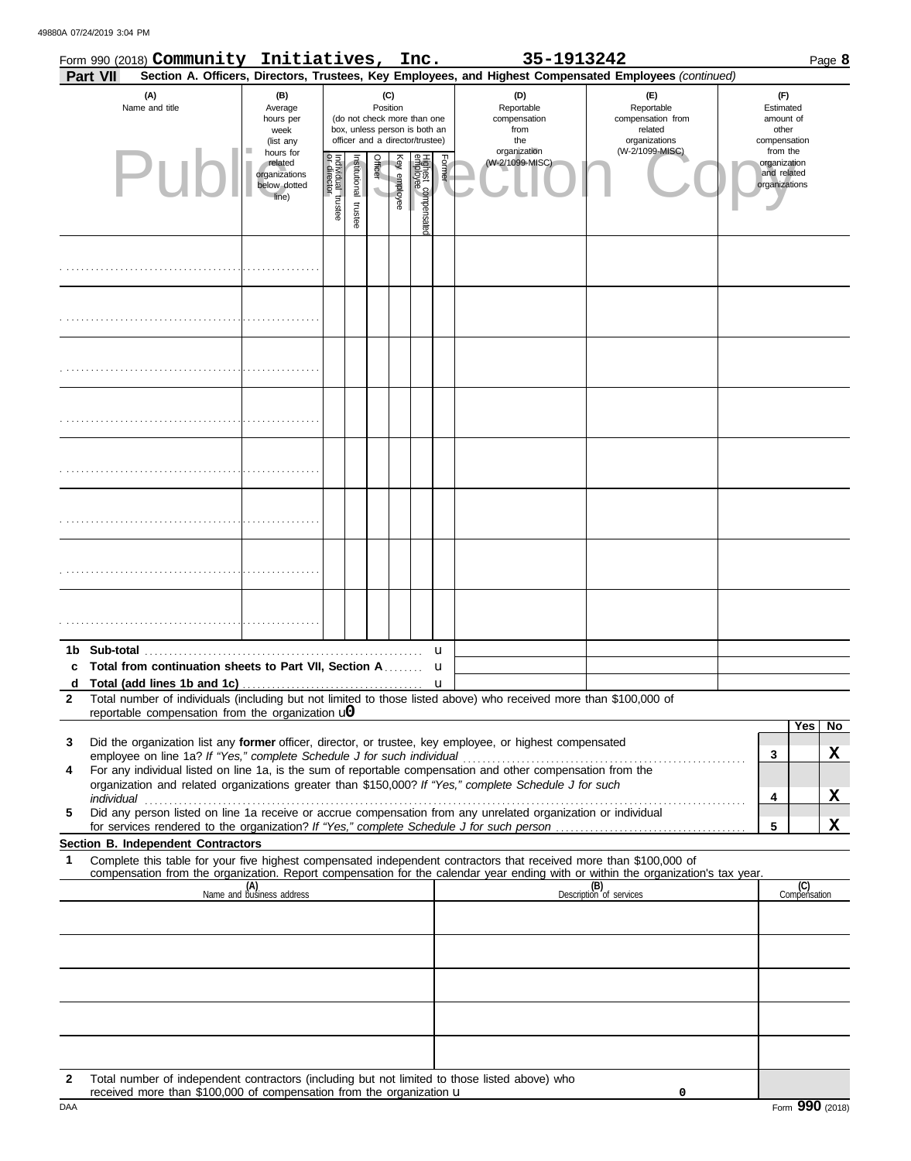49880A 07/24/2019 3:04 PM

|                   | Form 990 (2018) Community Initiatives, Inc.                                     |  |                                                                                           |                                   |                       |                                                                                                                               |              |                                 |        | 35-1913242                                                                                                                                                                                                           |                                                                                                                                                                                                  |  |                                                                                                   |                     | Page 8 |
|-------------------|---------------------------------------------------------------------------------|--|-------------------------------------------------------------------------------------------|-----------------------------------|-----------------------|-------------------------------------------------------------------------------------------------------------------------------|--------------|---------------------------------|--------|----------------------------------------------------------------------------------------------------------------------------------------------------------------------------------------------------------------------|--------------------------------------------------------------------------------------------------------------------------------------------------------------------------------------------------|--|---------------------------------------------------------------------------------------------------|---------------------|--------|
|                   | <b>Part VII</b><br>(A)<br>Name and title<br>Publ                                |  | (B)<br>Average<br>hours per<br>week<br>(list any<br>hours for<br>related<br>organizations |                                   |                       | (C)<br>Position<br>(do not check more than one<br>box, unless person is both an<br>officer and a director/trustee)<br>Officer |              |                                 | Former | (D)<br>Reportable<br>compensation<br>from<br>the<br>organization<br>(W-2/1099-MISC)                                                                                                                                  | Section A. Officers, Directors, Trustees, Key Employees, and Highest Compensated Employees (continued)<br>(E)<br>Reportable<br>compensation from<br>related<br>organizations<br>(W-2/1099-MISC). |  | (F)<br>Estimated<br>amount of<br>other<br>compensation<br>from the<br>organization<br>and related |                     |        |
|                   |                                                                                 |  | below dotted<br>line)                                                                     | Individual trustee<br>or director | Institutional trustee |                                                                                                                               | Key employee | Highest compensater<br>employee |        |                                                                                                                                                                                                                      |                                                                                                                                                                                                  |  | organizations                                                                                     |                     |        |
|                   |                                                                                 |  |                                                                                           |                                   |                       |                                                                                                                               |              |                                 |        |                                                                                                                                                                                                                      |                                                                                                                                                                                                  |  |                                                                                                   |                     |        |
|                   |                                                                                 |  |                                                                                           |                                   |                       |                                                                                                                               |              |                                 |        |                                                                                                                                                                                                                      |                                                                                                                                                                                                  |  |                                                                                                   |                     |        |
|                   |                                                                                 |  |                                                                                           |                                   |                       |                                                                                                                               |              |                                 |        |                                                                                                                                                                                                                      |                                                                                                                                                                                                  |  |                                                                                                   |                     |        |
|                   |                                                                                 |  |                                                                                           |                                   |                       |                                                                                                                               |              |                                 |        |                                                                                                                                                                                                                      |                                                                                                                                                                                                  |  |                                                                                                   |                     |        |
|                   |                                                                                 |  |                                                                                           |                                   |                       |                                                                                                                               |              |                                 |        |                                                                                                                                                                                                                      |                                                                                                                                                                                                  |  |                                                                                                   |                     |        |
|                   |                                                                                 |  |                                                                                           |                                   |                       |                                                                                                                               |              |                                 |        |                                                                                                                                                                                                                      |                                                                                                                                                                                                  |  |                                                                                                   |                     |        |
|                   |                                                                                 |  |                                                                                           |                                   |                       |                                                                                                                               |              |                                 |        |                                                                                                                                                                                                                      |                                                                                                                                                                                                  |  |                                                                                                   |                     |        |
|                   |                                                                                 |  |                                                                                           |                                   |                       |                                                                                                                               |              |                                 |        |                                                                                                                                                                                                                      |                                                                                                                                                                                                  |  |                                                                                                   |                     |        |
| c                 | Total from continuation sheets to Part VII, Section A                           |  |                                                                                           |                                   |                       |                                                                                                                               |              |                                 | u<br>u |                                                                                                                                                                                                                      |                                                                                                                                                                                                  |  |                                                                                                   |                     |        |
| d<br>$\mathbf{2}$ |                                                                                 |  |                                                                                           |                                   |                       |                                                                                                                               |              |                                 | u      | Total number of individuals (including but not limited to those listed above) who received more than \$100,000 of                                                                                                    |                                                                                                                                                                                                  |  |                                                                                                   |                     |        |
|                   | reportable compensation from the organization $\mathbf{u}$                      |  |                                                                                           |                                   |                       |                                                                                                                               |              |                                 |        |                                                                                                                                                                                                                      |                                                                                                                                                                                                  |  |                                                                                                   | Yes                 | No.    |
| 3                 | employee on line 1a? If "Yes," complete Schedule J for such individual          |  |                                                                                           |                                   |                       |                                                                                                                               |              |                                 |        | Did the organization list any former officer, director, or trustee, key employee, or highest compensated                                                                                                             |                                                                                                                                                                                                  |  | 3                                                                                                 |                     | X      |
| 4                 |                                                                                 |  |                                                                                           |                                   |                       |                                                                                                                               |              |                                 |        | For any individual listed on line 1a, is the sum of reportable compensation and other compensation from the<br>organization and related organizations greater than \$150,000? If "Yes," complete Schedule J for such |                                                                                                                                                                                                  |  |                                                                                                   |                     |        |
| 5                 | individual                                                                      |  |                                                                                           |                                   |                       |                                                                                                                               |              |                                 |        | Did any person listed on line 1a receive or accrue compensation from any unrelated organization or individual                                                                                                        |                                                                                                                                                                                                  |  | 4                                                                                                 |                     | X      |
|                   |                                                                                 |  |                                                                                           |                                   |                       |                                                                                                                               |              |                                 |        |                                                                                                                                                                                                                      |                                                                                                                                                                                                  |  | 5                                                                                                 |                     | X      |
| 1                 | Section B. Independent Contractors                                              |  |                                                                                           |                                   |                       |                                                                                                                               |              |                                 |        | Complete this table for your five highest compensated independent contractors that received more than \$100,000 of                                                                                                   |                                                                                                                                                                                                  |  |                                                                                                   |                     |        |
|                   |                                                                                 |  | (A)<br>Name and business address                                                          |                                   |                       |                                                                                                                               |              |                                 |        |                                                                                                                                                                                                                      | compensation from the organization. Report compensation for the calendar year ending with or within the organization's tax year.<br>(B)<br>Description of services                               |  |                                                                                                   | (C)<br>Compensation |        |
|                   |                                                                                 |  |                                                                                           |                                   |                       |                                                                                                                               |              |                                 |        |                                                                                                                                                                                                                      |                                                                                                                                                                                                  |  |                                                                                                   |                     |        |
|                   |                                                                                 |  |                                                                                           |                                   |                       |                                                                                                                               |              |                                 |        |                                                                                                                                                                                                                      |                                                                                                                                                                                                  |  |                                                                                                   |                     |        |
|                   |                                                                                 |  |                                                                                           |                                   |                       |                                                                                                                               |              |                                 |        |                                                                                                                                                                                                                      |                                                                                                                                                                                                  |  |                                                                                                   |                     |        |
|                   |                                                                                 |  |                                                                                           |                                   |                       |                                                                                                                               |              |                                 |        |                                                                                                                                                                                                                      |                                                                                                                                                                                                  |  |                                                                                                   |                     |        |
| $\mathbf{2}$      | received more than $$100,000$ of compensation from the organization $\mathbf u$ |  |                                                                                           |                                   |                       |                                                                                                                               |              |                                 |        | Total number of independent contractors (including but not limited to those listed above) who                                                                                                                        | 0                                                                                                                                                                                                |  |                                                                                                   |                     |        |

The received more than \$100,000 of compensation from the organization **u** the match of the state of the state of the state of the state of the state of the state of the state of the state of the state of the state of the s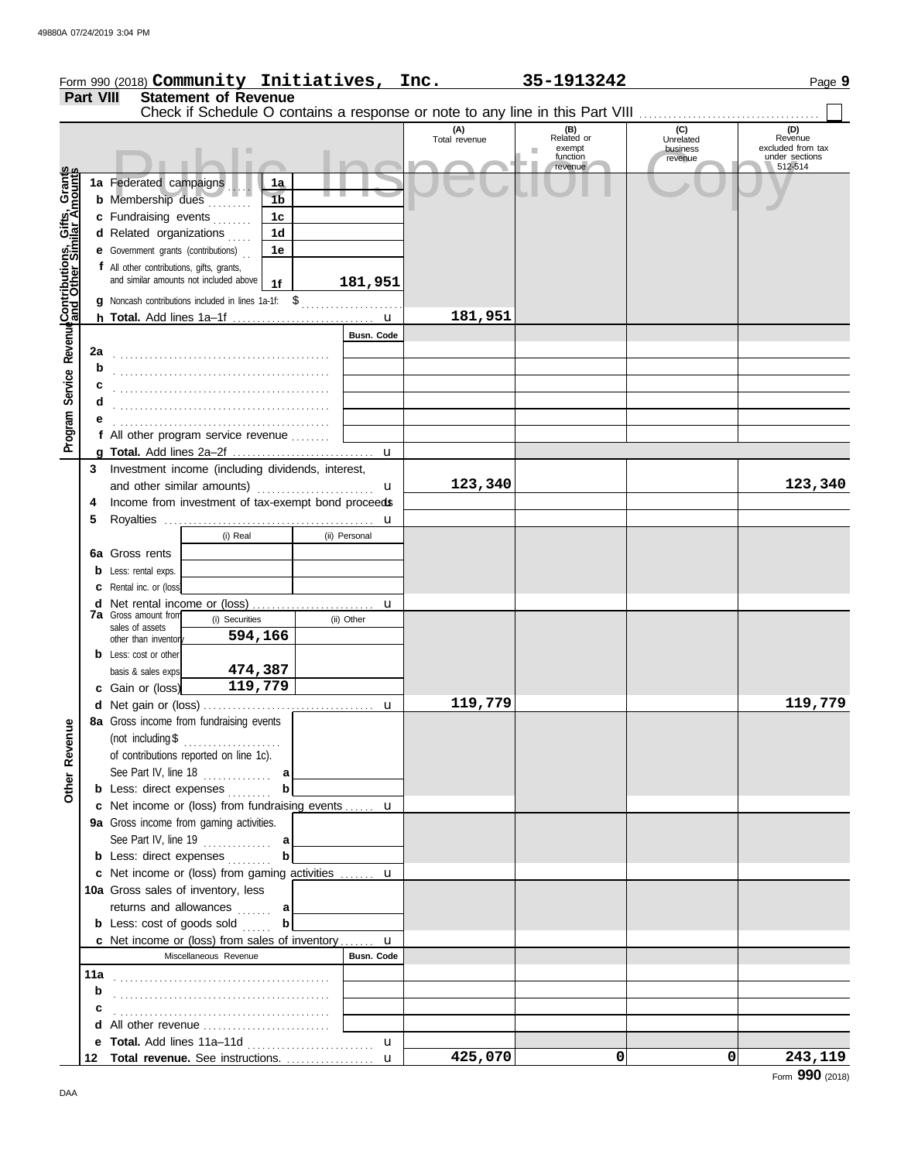|                                                             |                  |                                            |                                                     |                   | Form 990 (2018) Community Initiatives, Inc. | 35-1913242                                                                           |                                  | Page 9                                         |
|-------------------------------------------------------------|------------------|--------------------------------------------|-----------------------------------------------------|-------------------|---------------------------------------------|--------------------------------------------------------------------------------------|----------------------------------|------------------------------------------------|
|                                                             | <b>Part VIII</b> |                                            | <b>Statement of Revenue</b>                         |                   |                                             |                                                                                      |                                  |                                                |
|                                                             |                  |                                            |                                                     |                   | (A)                                         | Check if Schedule O contains a response or note to any line in this Part VIII<br>(B) | (C)                              | (D)                                            |
|                                                             |                  |                                            |                                                     |                   | Total revenue                               | Related or<br>exempt<br>ш<br>function                                                | Unrelated<br>business<br>revenue | Revenue<br>excluded from tax<br>under sections |
|                                                             |                  | 1a Federated campaigns                     |                                                     |                   |                                             | revenue                                                                              |                                  | 512-514                                        |
|                                                             |                  | <b>b</b> Membership dues                   | 1a<br>1 <sub>b</sub>                                |                   |                                             |                                                                                      |                                  |                                                |
|                                                             |                  | c Fundraising events                       | 1c                                                  |                   |                                             |                                                                                      |                                  |                                                |
|                                                             |                  | d Related organizations                    | 1 <sub>d</sub>                                      |                   |                                             |                                                                                      |                                  |                                                |
|                                                             |                  | <b>e</b> Government grants (contributions) | 1e                                                  |                   |                                             |                                                                                      |                                  |                                                |
|                                                             |                  | f All other contributions, gifts, grants,  |                                                     |                   |                                             |                                                                                      |                                  |                                                |
|                                                             |                  | and similar amounts not included above     | 1f                                                  | 181,951           |                                             |                                                                                      |                                  |                                                |
|                                                             |                  |                                            | g Noncash contributions included in lines 1a-1f: \$ |                   |                                             |                                                                                      |                                  |                                                |
|                                                             |                  |                                            |                                                     |                   | 181,951                                     |                                                                                      |                                  |                                                |
| Program Service Revenue <b>Contributions, Gifts, Grants</b> |                  |                                            |                                                     | <b>Busn. Code</b> |                                             |                                                                                      |                                  |                                                |
|                                                             | 2a               |                                            |                                                     |                   |                                             |                                                                                      |                                  |                                                |
|                                                             | b                |                                            |                                                     |                   |                                             |                                                                                      |                                  |                                                |
|                                                             | c                |                                            |                                                     |                   |                                             |                                                                                      |                                  |                                                |
|                                                             | d                |                                            |                                                     |                   |                                             |                                                                                      |                                  |                                                |
|                                                             |                  |                                            |                                                     |                   |                                             |                                                                                      |                                  |                                                |
|                                                             |                  |                                            | f All other program service revenue                 |                   |                                             |                                                                                      |                                  |                                                |
|                                                             |                  |                                            | 3 Investment income (including dividends, interest, |                   |                                             |                                                                                      |                                  |                                                |
|                                                             |                  |                                            | and other similar amounts)                          | u                 | 123,340                                     |                                                                                      |                                  | 123,340                                        |
|                                                             | 4                |                                            | Income from investment of tax-exempt bond proceeds  |                   |                                             |                                                                                      |                                  |                                                |
|                                                             | 5                |                                            |                                                     |                   |                                             |                                                                                      |                                  |                                                |
|                                                             |                  |                                            | (i) Real                                            | (ii) Personal     |                                             |                                                                                      |                                  |                                                |
|                                                             |                  | 6a Gross rents                             |                                                     |                   |                                             |                                                                                      |                                  |                                                |
|                                                             |                  | <b>b</b> Less: rental exps.                |                                                     |                   |                                             |                                                                                      |                                  |                                                |
|                                                             |                  | <b>c</b> Rental inc. or (loss)             |                                                     |                   |                                             |                                                                                      |                                  |                                                |
|                                                             |                  | <b>7a</b> Gross amount from                |                                                     |                   |                                             |                                                                                      |                                  |                                                |
|                                                             |                  | sales of assets                            | (i) Securities                                      | (ii) Other        |                                             |                                                                                      |                                  |                                                |
|                                                             |                  | other than inventory                       | 594,166                                             |                   |                                             |                                                                                      |                                  |                                                |
|                                                             |                  | <b>b</b> Less: cost or other               |                                                     |                   |                                             |                                                                                      |                                  |                                                |
|                                                             |                  | basis & sales exps.                        | 474,387<br>119,779                                  |                   |                                             |                                                                                      |                                  |                                                |
|                                                             |                  | c Gain or (loss)                           |                                                     |                   | 119,779                                     |                                                                                      |                                  | 119,779                                        |
|                                                             |                  |                                            | 8a Gross income from fundraising events             |                   |                                             |                                                                                      |                                  |                                                |
|                                                             |                  | (not including \$                          | .                                                   |                   |                                             |                                                                                      |                                  |                                                |
|                                                             |                  | of contributions reported on line 1c).     |                                                     |                   |                                             |                                                                                      |                                  |                                                |
|                                                             |                  | See Part IV, line $18$                     | a                                                   |                   |                                             |                                                                                      |                                  |                                                |
| Other Revenue                                               |                  | <b>b</b> Less: direct expenses             |                                                     |                   |                                             |                                                                                      |                                  |                                                |
|                                                             |                  |                                            | c Net income or (loss) from fundraising events  u   |                   |                                             |                                                                                      |                                  |                                                |
|                                                             |                  | 9a Gross income from gaming activities.    |                                                     |                   |                                             |                                                                                      |                                  |                                                |
|                                                             |                  |                                            |                                                     |                   |                                             |                                                                                      |                                  |                                                |
|                                                             |                  | <b>b</b> Less: direct expenses             | b                                                   |                   |                                             |                                                                                      |                                  |                                                |
|                                                             |                  |                                            | c Net income or (loss) from gaming activities  u    |                   |                                             |                                                                                      |                                  |                                                |
|                                                             |                  | 10a Gross sales of inventory, less         |                                                     |                   |                                             |                                                                                      |                                  |                                                |
|                                                             |                  | returns and allowances                     | a<br>b                                              |                   |                                             |                                                                                      |                                  |                                                |
|                                                             |                  | <b>b</b> Less: cost of goods sold          | c Net income or (loss) from sales of inventory u    |                   |                                             |                                                                                      |                                  |                                                |
|                                                             |                  |                                            | Miscellaneous Revenue                               | <b>Busn. Code</b> |                                             |                                                                                      |                                  |                                                |
|                                                             |                  |                                            |                                                     |                   |                                             |                                                                                      |                                  |                                                |
|                                                             | b                |                                            |                                                     |                   |                                             |                                                                                      |                                  |                                                |
|                                                             | c                |                                            |                                                     |                   |                                             |                                                                                      |                                  |                                                |
|                                                             |                  |                                            |                                                     |                   |                                             |                                                                                      |                                  |                                                |
|                                                             |                  | e Total. Add lines 11a-11d                 |                                                     | u                 |                                             |                                                                                      |                                  |                                                |
|                                                             |                  |                                            | 12 Total revenue. See instructions.  u              |                   | 425,070                                     | 0                                                                                    | 0                                | 243,119                                        |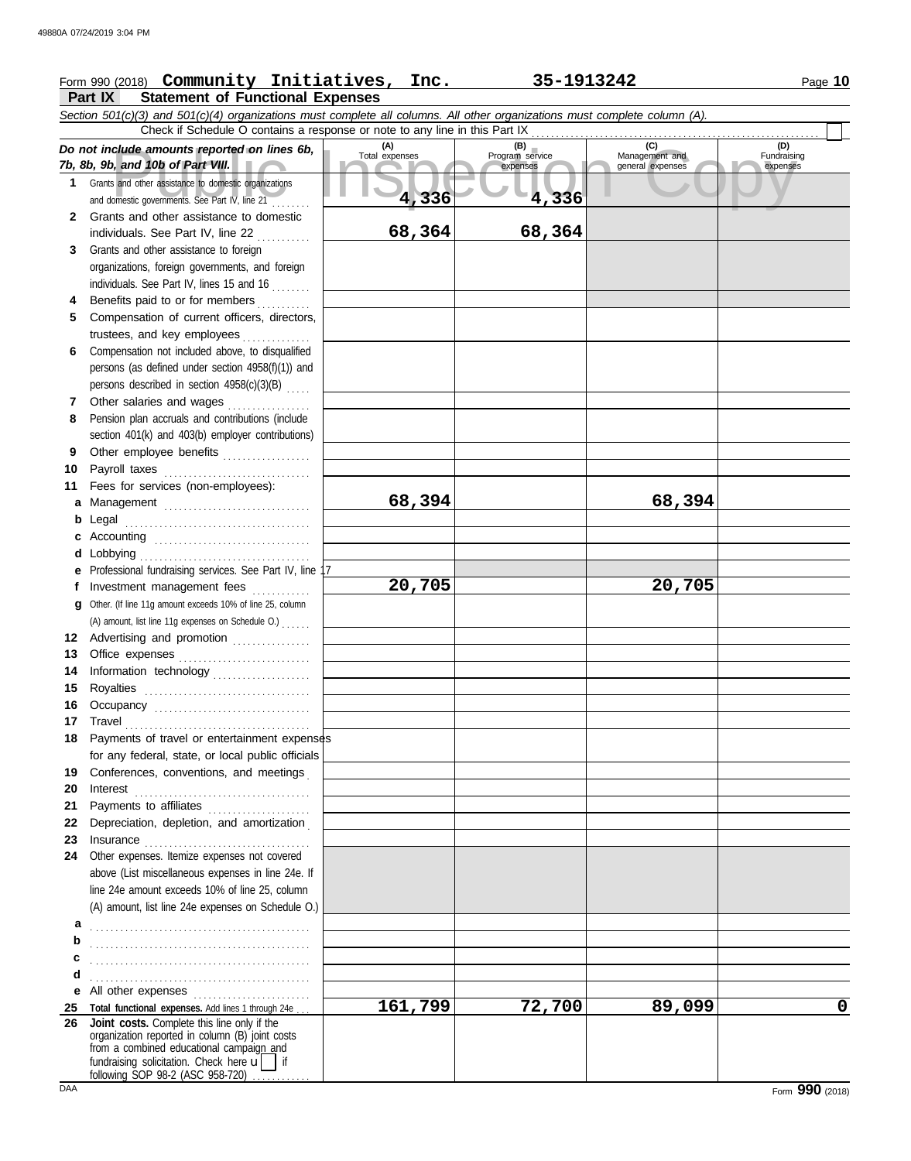# Form 990 (2018) Page **10 Community Initiatives, Inc. 35-1913242**

## **Part IX Statement of Functional Expenses**

|          | Section 501(c)(3) and 501(c)(4) organizations must complete all columns. All other organizations must complete column (A).<br>Check if Schedule O contains a response or note to any line in this Part IX                                                                                  |                                |                                             |                                           |                                |  |  |  |  |
|----------|--------------------------------------------------------------------------------------------------------------------------------------------------------------------------------------------------------------------------------------------------------------------------------------------|--------------------------------|---------------------------------------------|-------------------------------------------|--------------------------------|--|--|--|--|
| 1        | Do not include amounts reported on lines 6b,<br>7b, 8b, 9b, and 10b of Part VIII.<br>Grants and other assistance to domestic organizations<br>and domestic governments. See Part IV, line 21                                                                                               | (A)<br>Total expenses<br>4,336 | (B)<br>Program service<br>expenses<br>4,336 | (C)<br>Management and<br>general expenses | (D)<br>Fundraising<br>expenses |  |  |  |  |
| 2        | Grants and other assistance to domestic<br>individuals. See Part IV, line 22                                                                                                                                                                                                               | 68,364                         | 68,364                                      |                                           |                                |  |  |  |  |
| 3        | Grants and other assistance to foreign<br>organizations, foreign governments, and foreign<br>individuals. See Part IV, lines 15 and 16                                                                                                                                                     |                                |                                             |                                           |                                |  |  |  |  |
| 4        | Benefits paid to or for members                                                                                                                                                                                                                                                            |                                |                                             |                                           |                                |  |  |  |  |
| 5        | Compensation of current officers, directors,                                                                                                                                                                                                                                               |                                |                                             |                                           |                                |  |  |  |  |
| 6        | trustees, and key employees<br>Compensation not included above, to disqualified<br>persons (as defined under section 4958(f)(1)) and                                                                                                                                                       |                                |                                             |                                           |                                |  |  |  |  |
|          | persons described in section 4958(c)(3)(B)                                                                                                                                                                                                                                                 |                                |                                             |                                           |                                |  |  |  |  |
| 7<br>8   | Other salaries and wages<br>Pension plan accruals and contributions (include<br>section 401(k) and 403(b) employer contributions)                                                                                                                                                          |                                |                                             |                                           |                                |  |  |  |  |
| 9        | Other employee benefits                                                                                                                                                                                                                                                                    |                                |                                             |                                           |                                |  |  |  |  |
| 10       |                                                                                                                                                                                                                                                                                            |                                |                                             |                                           |                                |  |  |  |  |
| 11       | Fees for services (non-employees):<br>b                                                                                                                                                                                                                                                    | 68,394                         |                                             | 68,394                                    |                                |  |  |  |  |
|          |                                                                                                                                                                                                                                                                                            |                                |                                             |                                           |                                |  |  |  |  |
|          | d                                                                                                                                                                                                                                                                                          |                                |                                             |                                           |                                |  |  |  |  |
|          | Professional fundraising services. See Part IV, line<br>е                                                                                                                                                                                                                                  |                                |                                             |                                           |                                |  |  |  |  |
|          | Investment management fees<br>t                                                                                                                                                                                                                                                            | 20,705                         |                                             | 20,705                                    |                                |  |  |  |  |
|          | Other. (If line 11g amount exceeds 10% of line 25, column<br>g                                                                                                                                                                                                                             |                                |                                             |                                           |                                |  |  |  |  |
|          | (A) amount, list line 11g expenses on Schedule O.)                                                                                                                                                                                                                                         |                                |                                             |                                           |                                |  |  |  |  |
| 12<br>13 | Advertising and promotion [1] [1] Advertising and promotion                                                                                                                                                                                                                                |                                |                                             |                                           |                                |  |  |  |  |
| 14       | Office expenses<br>Information technology                                                                                                                                                                                                                                                  |                                |                                             |                                           |                                |  |  |  |  |
| 15       |                                                                                                                                                                                                                                                                                            |                                |                                             |                                           |                                |  |  |  |  |
| 16       |                                                                                                                                                                                                                                                                                            |                                |                                             |                                           |                                |  |  |  |  |
| 17       |                                                                                                                                                                                                                                                                                            |                                |                                             |                                           |                                |  |  |  |  |
|          | 18 Payments of travel or entertainment expenses                                                                                                                                                                                                                                            |                                |                                             |                                           |                                |  |  |  |  |
|          | for any federal, state, or local public officials                                                                                                                                                                                                                                          |                                |                                             |                                           |                                |  |  |  |  |
| 19       | Conferences, conventions, and meetings                                                                                                                                                                                                                                                     |                                |                                             |                                           |                                |  |  |  |  |
| 20       | $Interest$                                                                                                                                                                                                                                                                                 |                                |                                             |                                           |                                |  |  |  |  |
| 21       | Payments to affiliates [111] [11] Payments to affiliates                                                                                                                                                                                                                                   |                                |                                             |                                           |                                |  |  |  |  |
| 22<br>23 | Depreciation, depletion, and amortization                                                                                                                                                                                                                                                  |                                |                                             |                                           |                                |  |  |  |  |
| 24       | Insurance <b>continuous</b><br>Other expenses. Itemize expenses not covered                                                                                                                                                                                                                |                                |                                             |                                           |                                |  |  |  |  |
|          | above (List miscellaneous expenses in line 24e. If                                                                                                                                                                                                                                         |                                |                                             |                                           |                                |  |  |  |  |
|          | line 24e amount exceeds 10% of line 25, column                                                                                                                                                                                                                                             |                                |                                             |                                           |                                |  |  |  |  |
|          | (A) amount, list line 24e expenses on Schedule O.)                                                                                                                                                                                                                                         |                                |                                             |                                           |                                |  |  |  |  |
|          | а                                                                                                                                                                                                                                                                                          |                                |                                             |                                           |                                |  |  |  |  |
| b        |                                                                                                                                                                                                                                                                                            |                                |                                             |                                           |                                |  |  |  |  |
| с        |                                                                                                                                                                                                                                                                                            |                                |                                             |                                           |                                |  |  |  |  |
| d        |                                                                                                                                                                                                                                                                                            |                                |                                             |                                           |                                |  |  |  |  |
|          | All other expenses<br>е                                                                                                                                                                                                                                                                    | 161,799                        | 72,700                                      | 89,099                                    | 0                              |  |  |  |  |
| 25<br>26 | Total functional expenses. Add lines 1 through 24e<br>Joint costs. Complete this line only if the<br>organization reported in column (B) joint costs<br>from a combined educational campaign and<br>fundraising solicitation. Check here <b>u</b>   if<br>following SOP 98-2 (ASC 958-720) |                                |                                             |                                           |                                |  |  |  |  |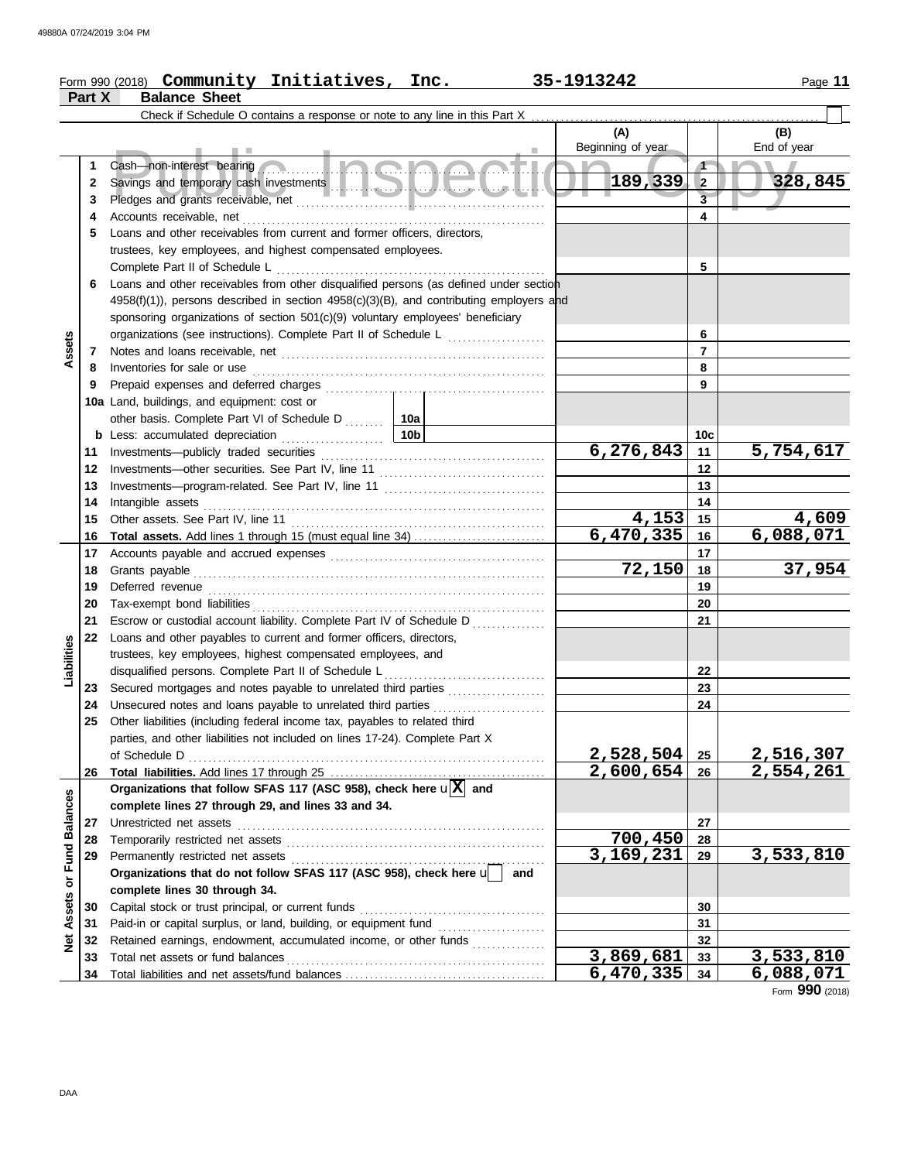### Form 990 (2018) Page **11 Community Initiatives, Inc. 35-1913242**

| r<br>æ<br>н |  |
|-------------|--|
|             |  |

|                      | Part X   | <b>Balance Sheet</b>                                                                                           |                          |                 |                           |
|----------------------|----------|----------------------------------------------------------------------------------------------------------------|--------------------------|-----------------|---------------------------|
|                      |          | Check if Schedule O contains a response or note to any line in this Part X.                                    |                          |                 |                           |
|                      |          |                                                                                                                | (A)<br>Beginning of year |                 | (B)<br>End of year        |
|                      | 1        | 5 I.D.Q.D.Q.Q.I.I<br>Cash-non-interest bearing                                                                 |                          | $\sqrt{ }$      | ◥                         |
|                      | 2        |                                                                                                                | 189,339                  | $\overline{2}$  | 328,845                   |
|                      | 3        |                                                                                                                |                          | $\overline{3}$  |                           |
|                      | 4        | Accounts receivable, net                                                                                       |                          | 4               |                           |
|                      | 5        | Loans and other receivables from current and former officers, directors,                                       |                          |                 |                           |
|                      |          | trustees, key employees, and highest compensated employees.                                                    |                          |                 |                           |
|                      |          | Complete Part II of Schedule L                                                                                 |                          | 5               |                           |
|                      | 6        | Loans and other receivables from other disqualified persons (as defined under section                          |                          |                 |                           |
|                      |          | $4958(f)(1)$ ), persons described in section $4958(c)(3)(B)$ , and contributing employers and                  |                          |                 |                           |
|                      |          | sponsoring organizations of section 501(c)(9) voluntary employees' beneficiary                                 |                          |                 |                           |
|                      |          | organizations (see instructions). Complete Part II of Schedule L                                               |                          | 6               |                           |
| Assets               | 7        |                                                                                                                |                          | $\overline{7}$  |                           |
|                      | 8        | Inventories for sale or use                                                                                    |                          | 8               |                           |
|                      | 9        |                                                                                                                |                          | 9               |                           |
|                      |          | 10a Land, buildings, and equipment: cost or                                                                    |                          |                 |                           |
|                      |          | other basis. Complete Part VI of Schedule D  10a                                                               |                          |                 |                           |
|                      | b        | 10b<br>Less: accumulated depreciation<br>.                                                                     |                          | 10 <sub>c</sub> |                           |
|                      | 11       | Investments-publicly traded securities                                                                         | 6,276,843                | 11              | 5,754,617                 |
|                      | 12       |                                                                                                                |                          | 12              |                           |
|                      | 13       |                                                                                                                |                          | 13              |                           |
|                      | 14       | Intangible assets                                                                                              |                          | 14              |                           |
|                      | 15       | Other assets. See Part IV, line 11                                                                             | 4,153<br>6,470,335       | 15              | $\frac{4,609}{6,088,071}$ |
|                      | 16<br>17 | <b>Total assets.</b> Add lines 1 through 15 (must equal line 34)                                               |                          | 16<br>17        |                           |
|                      | 18       | Accounts payable and accrued expenses [[11][11] Accounts payable and accrued expenses [[11] Accounts are not a | 72,150                   | 18              | 37,954                    |
|                      | 19       |                                                                                                                |                          | 19              |                           |
|                      | 20       |                                                                                                                |                          | 20              |                           |
|                      | 21       | Escrow or custodial account liability. Complete Part IV of Schedule D                                          |                          | 21              |                           |
|                      | 22       | Loans and other payables to current and former officers, directors,                                            |                          |                 |                           |
| Liabilities          |          | trustees, key employees, highest compensated employees, and                                                    |                          |                 |                           |
|                      |          | disqualified persons. Complete Part II of Schedule L                                                           |                          | 22              |                           |
|                      | 23       | Secured mortgages and notes payable to unrelated third parties                                                 |                          | 23              |                           |
|                      | 24       | Unsecured notes and loans payable to unrelated third parties                                                   |                          | 24              |                           |
|                      | 25       | Other liabilities (including federal income tax, payables to related third                                     |                          |                 |                           |
|                      |          | parties, and other liabilities not included on lines 17-24). Complete Part X                                   |                          |                 |                           |
|                      |          | of Schedule D                                                                                                  | 2,528,504                | 25              | 2,516,307                 |
|                      | 26       |                                                                                                                | 2,600,654                | 26              | $\overline{2,554,261}$    |
|                      |          | Organizations that follow SFAS 117 (ASC 958), check here $\mathbf{u}[\overline{X}]$ and                        |                          |                 |                           |
|                      |          | complete lines 27 through 29, and lines 33 and 34.                                                             |                          |                 |                           |
|                      | 27       | Unrestricted net assets                                                                                        |                          | 27              |                           |
|                      | 28       | Temporarily restricted net assets                                                                              | 700,450                  | 28              |                           |
| <b>Fund Balances</b> | 29       | Permanently restricted net assets                                                                              | 3,169,231                | 29              | 3,533,810                 |
| ŏ                    |          | Organizations that do not follow SFAS 117 (ASC 958), check here u<br>and                                       |                          |                 |                           |
|                      |          | complete lines 30 through 34.                                                                                  |                          |                 |                           |
| Assets               | 30       | Capital stock or trust principal, or current funds                                                             |                          | 30<br>31        |                           |
|                      | 31       | Retained earnings, endowment, accumulated income, or other funds                                               |                          | 32              |                           |
| <b>Net</b>           | 32<br>33 |                                                                                                                | 3,869,681                | 33              | 3,533,810                 |
|                      | 34       |                                                                                                                | 6,470,335                | 34              | <u>6,088,071</u>          |
|                      |          |                                                                                                                |                          |                 |                           |

Form **990** (2018)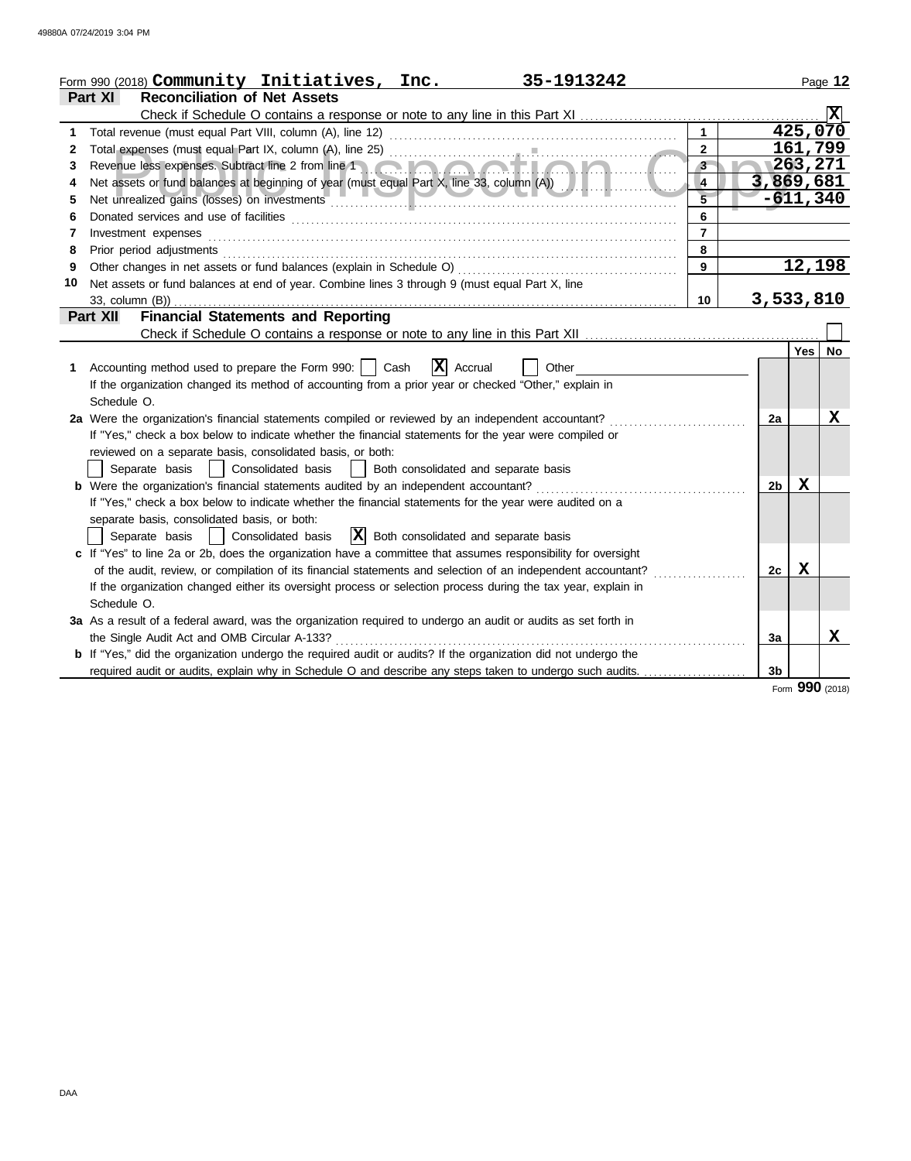|    | Form 990 (2018) Community Initiatives, Inc.<br>35-1913242                                                                                                                                                                      |                |                |            | Page 12 |
|----|--------------------------------------------------------------------------------------------------------------------------------------------------------------------------------------------------------------------------------|----------------|----------------|------------|---------|
|    | Part XI<br><b>Reconciliation of Net Assets</b>                                                                                                                                                                                 |                |                |            |         |
|    |                                                                                                                                                                                                                                |                |                |            |         |
| 1  | Total revenue (must equal Part VIII, column (A), line 12)                                                                                                                                                                      |                |                | 425,070    |         |
| 2  |                                                                                                                                                                                                                                | $\overline{2}$ |                | 161,799    |         |
| 3  |                                                                                                                                                                                                                                | $3 -$          |                | 1263,271   |         |
| 4  | Net assets or fund balances at beginning of year (must equal Part X, line 33, column (A))                                                                                                                                      | $\overline{4}$ | 3,869,681      |            |         |
| 5  | Net unrealized gains (losses) on investments                                                                                                                                                                                   | $\overline{5}$ |                | $-611,340$ |         |
| 6  |                                                                                                                                                                                                                                | 6              |                |            |         |
| 7  | Investment expenses                                                                                                                                                                                                            | $\overline{7}$ |                |            |         |
| 8  | Prior period adjustments [11, 12] and the contract of the contract of the contract of the contract of the contract of the contract of the contract of the contract of the contract of the contract of the contract of the cont | 8              |                |            |         |
| 9  |                                                                                                                                                                                                                                | 9              |                | 12,198     |         |
| 10 | Net assets or fund balances at end of year. Combine lines 3 through 9 (must equal Part X, line                                                                                                                                 |                |                |            |         |
|    | 33, column (B))                                                                                                                                                                                                                | 10             | 3,533,810      |            |         |
|    | <b>Financial Statements and Reporting</b><br>Part XII                                                                                                                                                                          |                |                |            |         |
|    |                                                                                                                                                                                                                                |                |                |            |         |
|    |                                                                                                                                                                                                                                |                |                | <b>Yes</b> | No.     |
| 1. | $ \mathbf{X} $ Accrual<br>Accounting method used to prepare the Form 990:     Cash<br>Other                                                                                                                                    |                |                |            |         |
|    | If the organization changed its method of accounting from a prior year or checked "Other," explain in                                                                                                                          |                |                |            |         |
|    | Schedule O.                                                                                                                                                                                                                    |                |                |            |         |
|    | 2a Were the organization's financial statements compiled or reviewed by an independent accountant?                                                                                                                             |                | 2a             |            | x       |
|    | If "Yes," check a box below to indicate whether the financial statements for the year were compiled or                                                                                                                         |                |                |            |         |
|    | reviewed on a separate basis, consolidated basis, or both:                                                                                                                                                                     |                |                |            |         |
|    | Separate basis<br>  Consolidated basis<br>  Both consolidated and separate basis                                                                                                                                               |                |                |            |         |
|    | <b>b</b> Were the organization's financial statements audited by an independent accountant?                                                                                                                                    |                | 2 <sub>b</sub> | X          |         |
|    | If "Yes," check a box below to indicate whether the financial statements for the year were audited on a                                                                                                                        |                |                |            |         |
|    | separate basis, consolidated basis, or both:                                                                                                                                                                                   |                |                |            |         |
|    | $ \mathbf{X} $ Both consolidated and separate basis<br>Separate basis   Consolidated basis                                                                                                                                     |                |                |            |         |
|    | c If "Yes" to line 2a or 2b, does the organization have a committee that assumes responsibility for oversight                                                                                                                  |                |                | x          |         |
|    | of the audit, review, or compilation of its financial statements and selection of an independent accountant?                                                                                                                   |                | 2c             |            |         |
|    | If the organization changed either its oversight process or selection process during the tax year, explain in<br>Schedule O.                                                                                                   |                |                |            |         |
|    |                                                                                                                                                                                                                                |                |                |            |         |
|    | 3a As a result of a federal award, was the organization required to undergo an audit or audits as set forth in<br>the Single Audit Act and OMB Circular A-133?                                                                 |                | 3a             |            | x       |
|    | b If "Yes," did the organization undergo the required audit or audits? If the organization did not undergo the                                                                                                                 |                |                |            |         |
|    | required audit or audits, explain why in Schedule O and describe any steps taken to undergo such audits.                                                                                                                       |                | 3 <sub>b</sub> |            |         |
|    |                                                                                                                                                                                                                                |                |                |            |         |

Form **990** (2018)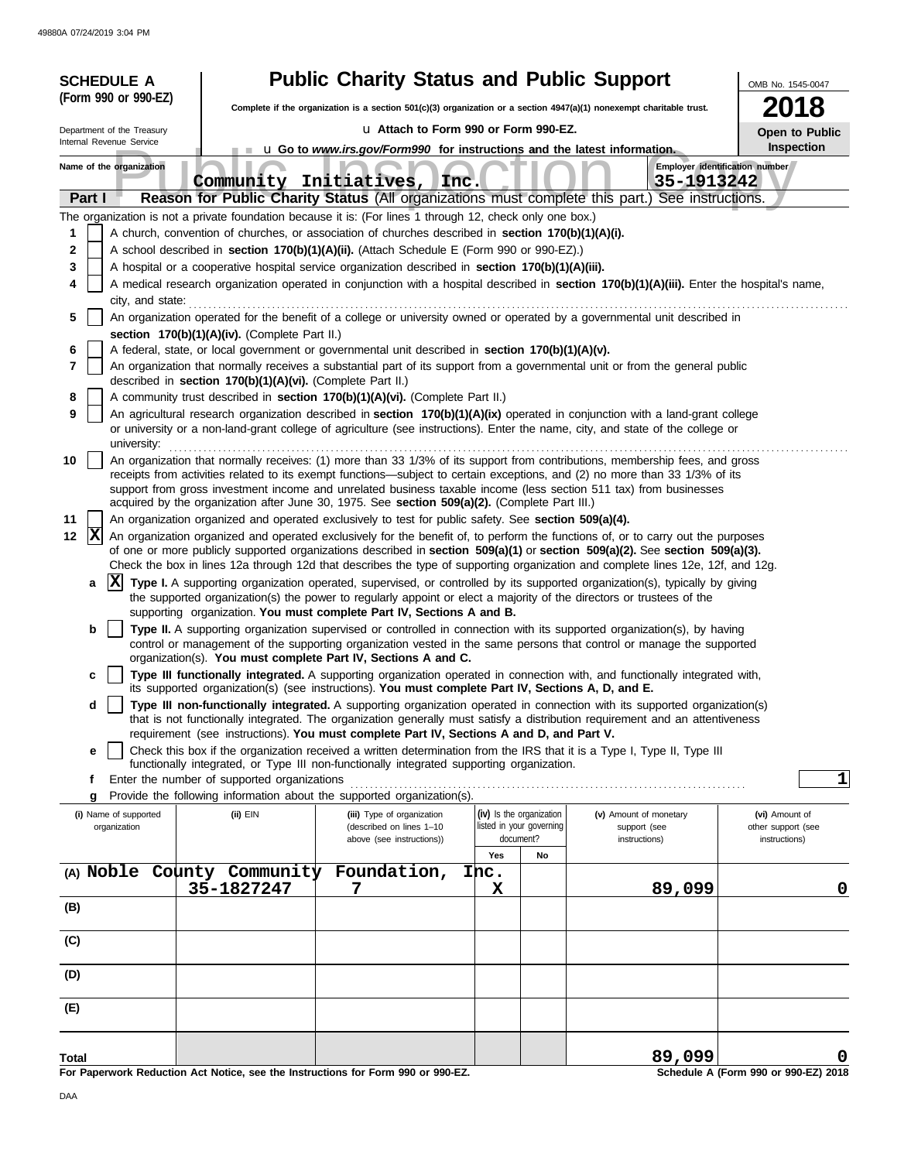|                                                                                                      | <b>SCHEDULE A</b>                     |                                                                                                                                                            | <b>Public Charity Status and Public Support</b>                                                                                                                                                                                                                                                                                                                                                                                                                                                                                                                                                                                                                                                                                                                                                                                                                                                                                                                                                                                                                                                                                                                                                                                                                                                                                                                                                                                                                                                                                                                                                                                                                                                                                                                                                                                                                                                                                                                                                                                                                                                                                                                                                                                                                                                                                                                                                                                                                                                                                                                                                                                                                                                                                                                                                                                                                                                                                                                                                                                                                                                                                                                                                                                                                                                                                                                                                                                                                                                                                                                                                                                                                                                                                                                                                                                                              |                                                                   |    |                                              |                       |                                      |  |
|------------------------------------------------------------------------------------------------------|---------------------------------------|------------------------------------------------------------------------------------------------------------------------------------------------------------|--------------------------------------------------------------------------------------------------------------------------------------------------------------------------------------------------------------------------------------------------------------------------------------------------------------------------------------------------------------------------------------------------------------------------------------------------------------------------------------------------------------------------------------------------------------------------------------------------------------------------------------------------------------------------------------------------------------------------------------------------------------------------------------------------------------------------------------------------------------------------------------------------------------------------------------------------------------------------------------------------------------------------------------------------------------------------------------------------------------------------------------------------------------------------------------------------------------------------------------------------------------------------------------------------------------------------------------------------------------------------------------------------------------------------------------------------------------------------------------------------------------------------------------------------------------------------------------------------------------------------------------------------------------------------------------------------------------------------------------------------------------------------------------------------------------------------------------------------------------------------------------------------------------------------------------------------------------------------------------------------------------------------------------------------------------------------------------------------------------------------------------------------------------------------------------------------------------------------------------------------------------------------------------------------------------------------------------------------------------------------------------------------------------------------------------------------------------------------------------------------------------------------------------------------------------------------------------------------------------------------------------------------------------------------------------------------------------------------------------------------------------------------------------------------------------------------------------------------------------------------------------------------------------------------------------------------------------------------------------------------------------------------------------------------------------------------------------------------------------------------------------------------------------------------------------------------------------------------------------------------------------------------------------------------------------------------------------------------------------------------------------------------------------------------------------------------------------------------------------------------------------------------------------------------------------------------------------------------------------------------------------------------------------------------------------------------------------------------------------------------------------------------------------------------------------------------------------------------------------|-------------------------------------------------------------------|----|----------------------------------------------|-----------------------|--------------------------------------|--|
|                                                                                                      | (Form 990 or 990-EZ)                  |                                                                                                                                                            | Complete if the organization is a section $501(c)(3)$ organization or a section $4947(a)(1)$ nonexempt charitable trust.                                                                                                                                                                                                                                                                                                                                                                                                                                                                                                                                                                                                                                                                                                                                                                                                                                                                                                                                                                                                                                                                                                                                                                                                                                                                                                                                                                                                                                                                                                                                                                                                                                                                                                                                                                                                                                                                                                                                                                                                                                                                                                                                                                                                                                                                                                                                                                                                                                                                                                                                                                                                                                                                                                                                                                                                                                                                                                                                                                                                                                                                                                                                                                                                                                                                                                                                                                                                                                                                                                                                                                                                                                                                                                                                     |                                                                   |    |                                              |                       | 18                                   |  |
| u Attach to Form 990 or Form 990-EZ.<br>Department of the Treasury                                   |                                       |                                                                                                                                                            |                                                                                                                                                                                                                                                                                                                                                                                                                                                                                                                                                                                                                                                                                                                                                                                                                                                                                                                                                                                                                                                                                                                                                                                                                                                                                                                                                                                                                                                                                                                                                                                                                                                                                                                                                                                                                                                                                                                                                                                                                                                                                                                                                                                                                                                                                                                                                                                                                                                                                                                                                                                                                                                                                                                                                                                                                                                                                                                                                                                                                                                                                                                                                                                                                                                                                                                                                                                                                                                                                                                                                                                                                                                                                                                                                                                                                                                              |                                                                   |    |                                              | <b>Open to Public</b> |                                      |  |
|                                                                                                      | Internal Revenue Service              |                                                                                                                                                            | u Go to www.irs.gov/Form990 for instructions and the latest information.                                                                                                                                                                                                                                                                                                                                                                                                                                                                                                                                                                                                                                                                                                                                                                                                                                                                                                                                                                                                                                                                                                                                                                                                                                                                                                                                                                                                                                                                                                                                                                                                                                                                                                                                                                                                                                                                                                                                                                                                                                                                                                                                                                                                                                                                                                                                                                                                                                                                                                                                                                                                                                                                                                                                                                                                                                                                                                                                                                                                                                                                                                                                                                                                                                                                                                                                                                                                                                                                                                                                                                                                                                                                                                                                                                                     |                                                                   |    |                                              |                       | Inspection                           |  |
| Name of the organization<br>Community Initiatives, Inc.                                              |                                       |                                                                                                                                                            |                                                                                                                                                                                                                                                                                                                                                                                                                                                                                                                                                                                                                                                                                                                                                                                                                                                                                                                                                                                                                                                                                                                                                                                                                                                                                                                                                                                                                                                                                                                                                                                                                                                                                                                                                                                                                                                                                                                                                                                                                                                                                                                                                                                                                                                                                                                                                                                                                                                                                                                                                                                                                                                                                                                                                                                                                                                                                                                                                                                                                                                                                                                                                                                                                                                                                                                                                                                                                                                                                                                                                                                                                                                                                                                                                                                                                                                              |                                                                   |    | Employer identification number<br>35-1913242 |                       |                                      |  |
| Part I                                                                                               |                                       |                                                                                                                                                            | Reason for Public Charity Status (All organizations must complete this part.) See instructions.                                                                                                                                                                                                                                                                                                                                                                                                                                                                                                                                                                                                                                                                                                                                                                                                                                                                                                                                                                                                                                                                                                                                                                                                                                                                                                                                                                                                                                                                                                                                                                                                                                                                                                                                                                                                                                                                                                                                                                                                                                                                                                                                                                                                                                                                                                                                                                                                                                                                                                                                                                                                                                                                                                                                                                                                                                                                                                                                                                                                                                                                                                                                                                                                                                                                                                                                                                                                                                                                                                                                                                                                                                                                                                                                                              |                                                                   |    |                                              |                       |                                      |  |
| 1<br>2<br>3<br>4<br>5<br>6<br>7<br>8<br>9<br>10<br>11<br> X<br>12<br>a<br>b<br>c<br>d<br>е<br>f<br>g | university:<br>$ {\bf X} $            | section 170(b)(1)(A)(iv). (Complete Part II.)<br>described in section 170(b)(1)(A)(vi). (Complete Part II.)<br>Enter the number of supported organizations | The organization is not a private foundation because it is: (For lines 1 through 12, check only one box.)<br>A church, convention of churches, or association of churches described in section 170(b)(1)(A)(i).<br>A school described in section 170(b)(1)(A)(ii). (Attach Schedule E (Form 990 or 990-EZ).)<br>A hospital or a cooperative hospital service organization described in section 170(b)(1)(A)(iii).<br>A medical research organization operated in conjunction with a hospital described in section 170(b)(1)(A)(iii). Enter the hospital's name,<br>city, and state:<br>An organization operated for the benefit of a college or university owned or operated by a governmental unit described in<br>A federal, state, or local government or governmental unit described in section 170(b)(1)(A)(v).<br>An organization that normally receives a substantial part of its support from a governmental unit or from the general public<br>A community trust described in section 170(b)(1)(A)(vi). (Complete Part II.)<br>An agricultural research organization described in section 170(b)(1)(A)(ix) operated in conjunction with a land-grant college<br>or university or a non-land-grant college of agriculture (see instructions). Enter the name, city, and state of the college or<br>An organization that normally receives: (1) more than 33 1/3% of its support from contributions, membership fees, and gross<br>receipts from activities related to its exempt functions—subject to certain exceptions, and (2) no more than 33 1/3% of its<br>support from gross investment income and unrelated business taxable income (less section 511 tax) from businesses<br>acquired by the organization after June 30, 1975. See section 509(a)(2). (Complete Part III.)<br>An organization organized and operated exclusively to test for public safety. See section 509(a)(4).<br>An organization organized and operated exclusively for the benefit of, to perform the functions of, or to carry out the purposes<br>of one or more publicly supported organizations described in section 509(a)(1) or section 509(a)(2). See section 509(a)(3).<br>Check the box in lines 12a through 12d that describes the type of supporting organization and complete lines 12e, 12f, and 12g.<br>Type I. A supporting organization operated, supervised, or controlled by its supported organization(s), typically by giving<br>the supported organization(s) the power to regularly appoint or elect a majority of the directors or trustees of the<br>supporting organization. You must complete Part IV, Sections A and B.<br>Type II. A supporting organization supervised or controlled in connection with its supported organization(s), by having<br>control or management of the supporting organization vested in the same persons that control or manage the supported<br>organization(s). You must complete Part IV, Sections A and C.<br>Type III functionally integrated. A supporting organization operated in connection with, and functionally integrated with,<br>its supported organization(s) (see instructions). You must complete Part IV, Sections A, D, and E.<br>Type III non-functionally integrated. A supporting organization operated in connection with its supported organization(s)<br>that is not functionally integrated. The organization generally must satisfy a distribution requirement and an attentiveness<br>requirement (see instructions). You must complete Part IV, Sections A and D, and Part V.<br>Check this box if the organization received a written determination from the IRS that it is a Type I, Type II, Type III<br>functionally integrated, or Type III non-functionally integrated supporting organization.<br>Provide the following information about the supported organization(s). |                                                                   |    |                                              |                       | 1                                    |  |
|                                                                                                      | (i) Name of supported<br>organization | $(ii)$ EIN                                                                                                                                                 | (iii) Type of organization<br>(described on lines 1-10<br>above (see instructions))                                                                                                                                                                                                                                                                                                                                                                                                                                                                                                                                                                                                                                                                                                                                                                                                                                                                                                                                                                                                                                                                                                                                                                                                                                                                                                                                                                                                                                                                                                                                                                                                                                                                                                                                                                                                                                                                                                                                                                                                                                                                                                                                                                                                                                                                                                                                                                                                                                                                                                                                                                                                                                                                                                                                                                                                                                                                                                                                                                                                                                                                                                                                                                                                                                                                                                                                                                                                                                                                                                                                                                                                                                                                                                                                                                          | (iv) Is the organization<br>listed in your governing<br>document? |    | (v) Amount of monetary<br>support (see       |                       | (vi) Amount of<br>other support (see |  |
|                                                                                                      |                                       |                                                                                                                                                            |                                                                                                                                                                                                                                                                                                                                                                                                                                                                                                                                                                                                                                                                                                                                                                                                                                                                                                                                                                                                                                                                                                                                                                                                                                                                                                                                                                                                                                                                                                                                                                                                                                                                                                                                                                                                                                                                                                                                                                                                                                                                                                                                                                                                                                                                                                                                                                                                                                                                                                                                                                                                                                                                                                                                                                                                                                                                                                                                                                                                                                                                                                                                                                                                                                                                                                                                                                                                                                                                                                                                                                                                                                                                                                                                                                                                                                                              | Yes                                                               | No | instructions)                                |                       | instructions)                        |  |
|                                                                                                      |                                       | (A) Noble County Community<br>35-1827247                                                                                                                   | Foundation,<br>7                                                                                                                                                                                                                                                                                                                                                                                                                                                                                                                                                                                                                                                                                                                                                                                                                                                                                                                                                                                                                                                                                                                                                                                                                                                                                                                                                                                                                                                                                                                                                                                                                                                                                                                                                                                                                                                                                                                                                                                                                                                                                                                                                                                                                                                                                                                                                                                                                                                                                                                                                                                                                                                                                                                                                                                                                                                                                                                                                                                                                                                                                                                                                                                                                                                                                                                                                                                                                                                                                                                                                                                                                                                                                                                                                                                                                                             | Inc.<br>x                                                         |    |                                              | 89,099                | 0                                    |  |
| (B)                                                                                                  |                                       |                                                                                                                                                            |                                                                                                                                                                                                                                                                                                                                                                                                                                                                                                                                                                                                                                                                                                                                                                                                                                                                                                                                                                                                                                                                                                                                                                                                                                                                                                                                                                                                                                                                                                                                                                                                                                                                                                                                                                                                                                                                                                                                                                                                                                                                                                                                                                                                                                                                                                                                                                                                                                                                                                                                                                                                                                                                                                                                                                                                                                                                                                                                                                                                                                                                                                                                                                                                                                                                                                                                                                                                                                                                                                                                                                                                                                                                                                                                                                                                                                                              |                                                                   |    |                                              |                       |                                      |  |
| (C)                                                                                                  |                                       |                                                                                                                                                            |                                                                                                                                                                                                                                                                                                                                                                                                                                                                                                                                                                                                                                                                                                                                                                                                                                                                                                                                                                                                                                                                                                                                                                                                                                                                                                                                                                                                                                                                                                                                                                                                                                                                                                                                                                                                                                                                                                                                                                                                                                                                                                                                                                                                                                                                                                                                                                                                                                                                                                                                                                                                                                                                                                                                                                                                                                                                                                                                                                                                                                                                                                                                                                                                                                                                                                                                                                                                                                                                                                                                                                                                                                                                                                                                                                                                                                                              |                                                                   |    |                                              |                       |                                      |  |
| (D)                                                                                                  |                                       |                                                                                                                                                            |                                                                                                                                                                                                                                                                                                                                                                                                                                                                                                                                                                                                                                                                                                                                                                                                                                                                                                                                                                                                                                                                                                                                                                                                                                                                                                                                                                                                                                                                                                                                                                                                                                                                                                                                                                                                                                                                                                                                                                                                                                                                                                                                                                                                                                                                                                                                                                                                                                                                                                                                                                                                                                                                                                                                                                                                                                                                                                                                                                                                                                                                                                                                                                                                                                                                                                                                                                                                                                                                                                                                                                                                                                                                                                                                                                                                                                                              |                                                                   |    |                                              |                       |                                      |  |
| (E)                                                                                                  |                                       |                                                                                                                                                            |                                                                                                                                                                                                                                                                                                                                                                                                                                                                                                                                                                                                                                                                                                                                                                                                                                                                                                                                                                                                                                                                                                                                                                                                                                                                                                                                                                                                                                                                                                                                                                                                                                                                                                                                                                                                                                                                                                                                                                                                                                                                                                                                                                                                                                                                                                                                                                                                                                                                                                                                                                                                                                                                                                                                                                                                                                                                                                                                                                                                                                                                                                                                                                                                                                                                                                                                                                                                                                                                                                                                                                                                                                                                                                                                                                                                                                                              |                                                                   |    |                                              |                       |                                      |  |
| Total                                                                                                |                                       |                                                                                                                                                            |                                                                                                                                                                                                                                                                                                                                                                                                                                                                                                                                                                                                                                                                                                                                                                                                                                                                                                                                                                                                                                                                                                                                                                                                                                                                                                                                                                                                                                                                                                                                                                                                                                                                                                                                                                                                                                                                                                                                                                                                                                                                                                                                                                                                                                                                                                                                                                                                                                                                                                                                                                                                                                                                                                                                                                                                                                                                                                                                                                                                                                                                                                                                                                                                                                                                                                                                                                                                                                                                                                                                                                                                                                                                                                                                                                                                                                                              |                                                                   |    |                                              | 89,099                |                                      |  |
|                                                                                                      |                                       |                                                                                                                                                            | For Paperwork Reduction Act Notice, see the Instructions for Form 990 or 990-EZ.                                                                                                                                                                                                                                                                                                                                                                                                                                                                                                                                                                                                                                                                                                                                                                                                                                                                                                                                                                                                                                                                                                                                                                                                                                                                                                                                                                                                                                                                                                                                                                                                                                                                                                                                                                                                                                                                                                                                                                                                                                                                                                                                                                                                                                                                                                                                                                                                                                                                                                                                                                                                                                                                                                                                                                                                                                                                                                                                                                                                                                                                                                                                                                                                                                                                                                                                                                                                                                                                                                                                                                                                                                                                                                                                                                             |                                                                   |    |                                              |                       | Schedule A (Form 990 or 990-EZ) 2018 |  |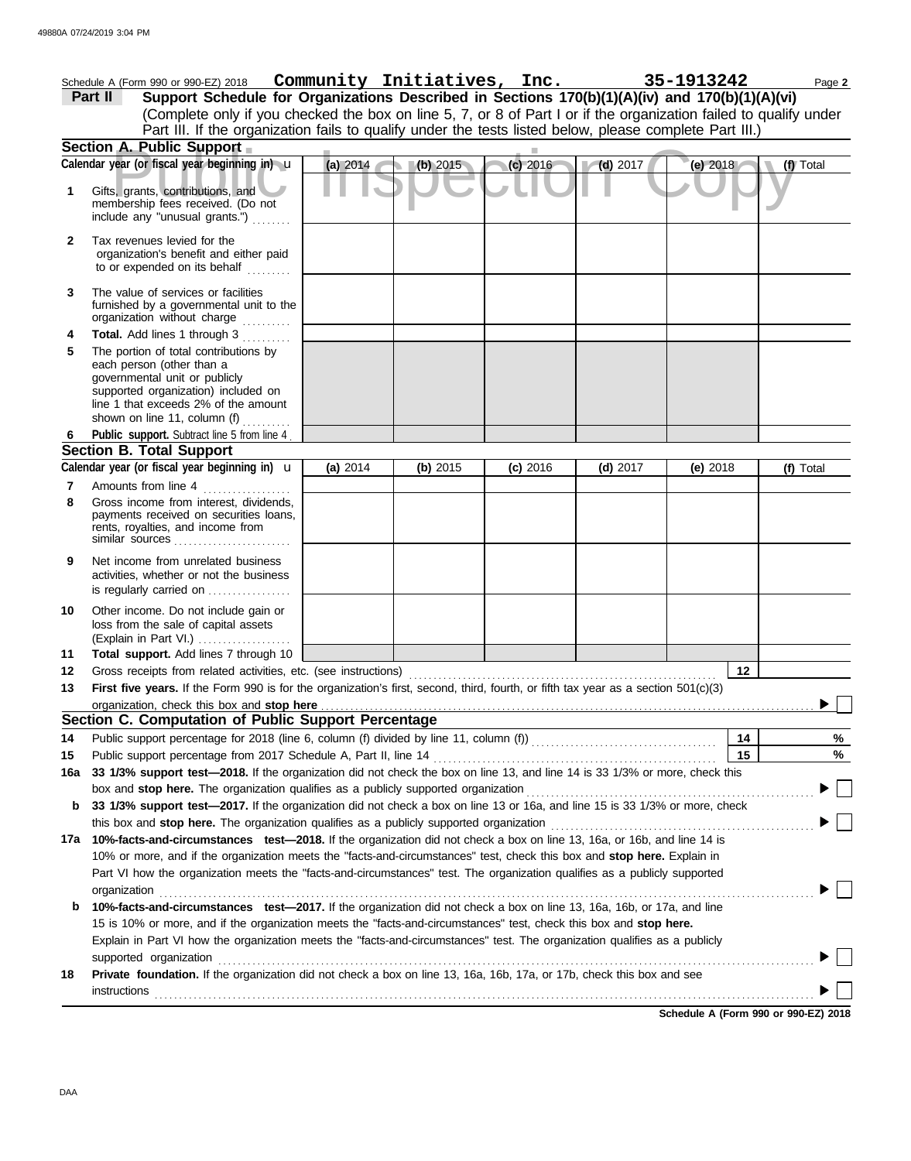|                                                                                                           | Schedule A (Form 990 or 990-EZ) 2018  Community Initiatives, Inc.                                                                                                                                                              |          |          |            |            | 35-1913242 | Page 2    |
|-----------------------------------------------------------------------------------------------------------|--------------------------------------------------------------------------------------------------------------------------------------------------------------------------------------------------------------------------------|----------|----------|------------|------------|------------|-----------|
| Support Schedule for Organizations Described in Sections 170(b)(1)(A)(iv) and 170(b)(1)(A)(vi)<br>Part II |                                                                                                                                                                                                                                |          |          |            |            |            |           |
|                                                                                                           | (Complete only if you checked the box on line 5, 7, or 8 of Part I or if the organization failed to qualify under                                                                                                              |          |          |            |            |            |           |
|                                                                                                           | Part III. If the organization fails to qualify under the tests listed below, please complete Part III.)                                                                                                                        |          |          |            |            |            |           |
|                                                                                                           | Section A. Public Support                                                                                                                                                                                                      |          |          |            |            |            |           |
|                                                                                                           | Calendar year (or fiscal year beginning in) u                                                                                                                                                                                  | (a) 2014 | (b) 2015 | $(c)$ 2016 | $(d)$ 2017 | (e) 2018   | (f) Total |
| 1                                                                                                         | Gifts, grants, contributions, and<br>membership fees received. (Do not<br>include any "unusual grants.")                                                                                                                       |          |          |            |            |            |           |
| $\mathbf{2}$                                                                                              | Tax revenues levied for the<br>organization's benefit and either paid<br>to or expended on its behalf                                                                                                                          |          |          |            |            |            |           |
| 3                                                                                                         | The value of services or facilities<br>furnished by a governmental unit to the<br>organization without charge                                                                                                                  |          |          |            |            |            |           |
| 4                                                                                                         | Total. Add lines 1 through 3                                                                                                                                                                                                   |          |          |            |            |            |           |
| 5                                                                                                         | The portion of total contributions by<br>each person (other than a<br>governmental unit or publicly<br>supported organization) included on<br>line 1 that exceeds 2% of the amount<br>shown on line 11, column (f) $\ldots$    |          |          |            |            |            |           |
| 6                                                                                                         | Public support. Subtract line 5 from line 4                                                                                                                                                                                    |          |          |            |            |            |           |
|                                                                                                           | <b>Section B. Total Support</b>                                                                                                                                                                                                |          |          |            |            |            |           |
|                                                                                                           | Calendar year (or fiscal year beginning in) $\mathbf u$                                                                                                                                                                        | (a) 2014 | (b) 2015 | $(c)$ 2016 | $(d)$ 2017 | (e) $2018$ | (f) Total |
| 7<br>8                                                                                                    | Amounts from line 4<br>.<br>Gross income from interest, dividends,<br>payments received on securities loans,<br>rents, royalties, and income from<br>similar sources                                                           |          |          |            |            |            |           |
| 9                                                                                                         | Net income from unrelated business<br>activities, whether or not the business<br>is regularly carried on                                                                                                                       |          |          |            |            |            |           |
| 10                                                                                                        | Other income. Do not include gain or<br>loss from the sale of capital assets<br>(Explain in Part VI.)                                                                                                                          |          |          |            |            |            |           |
| 11                                                                                                        | Total support. Add lines 7 through 10                                                                                                                                                                                          |          |          |            |            |            |           |
| 12                                                                                                        |                                                                                                                                                                                                                                |          |          |            |            | 12         |           |
| 13                                                                                                        | First five years. If the Form 990 is for the organization's first, second, third, fourth, or fifth tax year as a section 501(c)(3)                                                                                             |          |          |            |            |            |           |
|                                                                                                           |                                                                                                                                                                                                                                |          |          |            |            |            |           |
|                                                                                                           | Section C. Computation of Public Support Percentage                                                                                                                                                                            |          |          |            |            |            |           |
| 14                                                                                                        |                                                                                                                                                                                                                                |          |          |            |            | 14<br>15   | %         |
| 15<br>16a                                                                                                 | Public support percentage from 2017 Schedule A, Part II, line 14<br>33 1/3% support test-2018. If the organization did not check the box on line 13, and line 14 is 33 1/3% or more, check this                                |          |          |            |            |            | $\%$      |
|                                                                                                           | box and stop here. The organization qualifies as a publicly supported organization                                                                                                                                             |          |          |            |            |            |           |
| b                                                                                                         | 33 1/3% support test-2017. If the organization did not check a box on line 13 or 16a, and line 15 is 33 1/3% or more, check                                                                                                    |          |          |            |            |            |           |
|                                                                                                           | this box and stop here. The organization qualifies as a publicly supported organization                                                                                                                                        |          |          |            |            |            |           |
| 17a                                                                                                       | 10%-facts-and-circumstances test-2018. If the organization did not check a box on line 13, 16a, or 16b, and line 14 is                                                                                                         |          |          |            |            |            |           |
|                                                                                                           | 10% or more, and if the organization meets the "facts-and-circumstances" test, check this box and stop here. Explain in                                                                                                        |          |          |            |            |            |           |
|                                                                                                           | Part VI how the organization meets the "facts-and-circumstances" test. The organization qualifies as a publicly supported                                                                                                      |          |          |            |            |            |           |
|                                                                                                           | organization                                                                                                                                                                                                                   |          |          |            |            |            |           |
| b                                                                                                         | 10%-facts-and-circumstances test-2017. If the organization did not check a box on line 13, 16a, 16b, or 17a, and line                                                                                                          |          |          |            |            |            |           |
|                                                                                                           | 15 is 10% or more, and if the organization meets the "facts-and-circumstances" test, check this box and stop here.                                                                                                             |          |          |            |            |            |           |
|                                                                                                           | Explain in Part VI how the organization meets the "facts-and-circumstances" test. The organization qualifies as a publicly                                                                                                     |          |          |            |            |            |           |
|                                                                                                           | supported organization contains and contains a supported organization of the supported organization contains and contains a supported organization contains a supported or supported or supported or support of the support of |          |          |            |            |            |           |
| 18                                                                                                        | Private foundation. If the organization did not check a box on line 13, 16a, 16b, 17a, or 17b, check this box and see                                                                                                          |          |          |            |            |            |           |
|                                                                                                           | <b>instructions</b>                                                                                                                                                                                                            |          |          |            |            |            |           |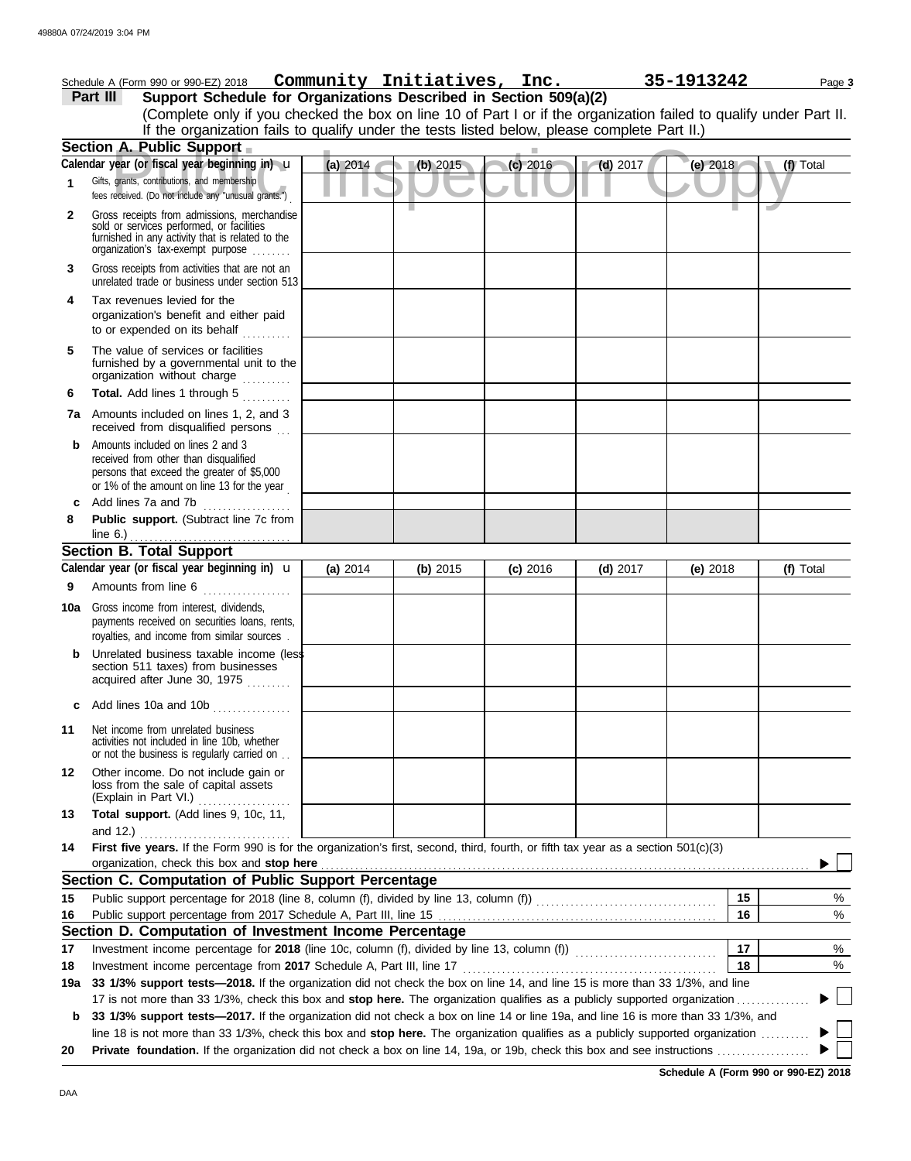|     | Schedule A (Form 990 or 990-EZ) 2018                                                                                                                                              |            | Community Initiatives, Inc. |            |            | 35-1913242 | Page 3    |
|-----|-----------------------------------------------------------------------------------------------------------------------------------------------------------------------------------|------------|-----------------------------|------------|------------|------------|-----------|
|     | Support Schedule for Organizations Described in Section 509(a)(2)<br>Part III                                                                                                     |            |                             |            |            |            |           |
|     | (Complete only if you checked the box on line 10 of Part I or if the organization failed to qualify under Part II.                                                                |            |                             |            |            |            |           |
|     | If the organization fails to qualify under the tests listed below, please complete Part II.)                                                                                      |            |                             |            |            |            |           |
|     | Section A. Public Support                                                                                                                                                         |            |                             |            |            |            |           |
|     | Calendar year (or fiscal year beginning in) u                                                                                                                                     | (a) 2014   | (b) 2015                    | $(c)$ 2016 | $(d)$ 2017 | (e) $2018$ | (f) Total |
| 1   | Gifts, grants, contributions, and membership<br>fees received. (Do not include any "unusual grants.")                                                                             |            |                             |            |            |            |           |
| 2   | Gross receipts from admissions, merchandise<br>sold or services performed, or facilities<br>furnished in any activity that is related to the<br>organization's tax-exempt purpose |            |                             |            |            |            |           |
| 3   | Gross receipts from activities that are not an<br>unrelated trade or business under section 513                                                                                   |            |                             |            |            |            |           |
| 4   | Tax revenues levied for the<br>organization's benefit and either paid<br>to or expended on its behalf                                                                             |            |                             |            |            |            |           |
| 5   | The value of services or facilities<br>furnished by a governmental unit to the<br>organization without charge                                                                     |            |                             |            |            |            |           |
| 6   | Total. Add lines 1 through 5                                                                                                                                                      |            |                             |            |            |            |           |
|     | 7a Amounts included on lines 1, 2, and 3<br>received from disqualified persons                                                                                                    |            |                             |            |            |            |           |
| b   | Amounts included on lines 2 and 3<br>received from other than disqualified<br>persons that exceed the greater of \$5,000<br>or 1% of the amount on line 13 for the year           |            |                             |            |            |            |           |
| c   | Add lines 7a and 7b<br>. <b>.</b> .                                                                                                                                               |            |                             |            |            |            |           |
| 8   | Public support. (Subtract line 7c from<br>line $6.$ )                                                                                                                             |            |                             |            |            |            |           |
|     | <b>Section B. Total Support</b>                                                                                                                                                   |            |                             |            |            |            |           |
|     | Calendar year (or fiscal year beginning in) <b>u</b>                                                                                                                              | (a) $2014$ | (b) 2015                    | $(c)$ 2016 | $(d)$ 2017 | (e) $2018$ | (f) Total |
| 9   | Amounts from line 6                                                                                                                                                               |            |                             |            |            |            |           |
| 10a | Gross income from interest, dividends,<br>payments received on securities loans, rents,<br>royalties, and income from similar sources.                                            |            |                             |            |            |            |           |
|     | Unrelated business taxable income (less<br>section 511 taxes) from businesses<br>acquired after June 30, 1975                                                                     |            |                             |            |            |            |           |
| С   | Add lines 10a and 10b                                                                                                                                                             |            |                             |            |            |            |           |
| 11  | Net income from unrelated business<br>activities not included in line 10b, whether<br>or not the business is regularly carried on                                                 |            |                             |            |            |            |           |
| 12  | Other income. Do not include gain or<br>loss from the sale of capital assets<br>(Explain in Part VI.)                                                                             |            |                             |            |            |            |           |
| 13  | Total support. (Add lines 9, 10c, 11,<br>and 12.)                                                                                                                                 |            |                             |            |            |            |           |
| 14  | First five years. If the Form 990 is for the organization's first, second, third, fourth, or fifth tax year as a section 501(c)(3)<br>organization, check this box and stop here  |            |                             |            |            |            |           |
|     | Section C. Computation of Public Support Percentage                                                                                                                               |            |                             |            |            |            |           |
| 15  |                                                                                                                                                                                   |            |                             |            |            | 15         | %         |
| 16  |                                                                                                                                                                                   |            |                             |            |            | 16         | %         |
|     | Section D. Computation of Investment Income Percentage                                                                                                                            |            |                             |            |            |            |           |
| 17  |                                                                                                                                                                                   |            |                             |            |            | 17         | %         |
| 18  | Investment income percentage from 2017 Schedule A, Part III, line 17                                                                                                              |            |                             |            |            | 18         | %         |
| 19a | 33 1/3% support tests—2018. If the organization did not check the box on line 14, and line 15 is more than 33 1/3%, and line                                                      |            |                             |            |            |            |           |
|     | 17 is not more than 33 1/3%, check this box and stop here. The organization qualifies as a publicly supported organization.                                                       |            |                             |            |            |            |           |
| b   | 33 1/3% support tests-2017. If the organization did not check a box on line 14 or line 19a, and line 16 is more than 33 1/3%, and                                                 |            |                             |            |            |            |           |
|     | line 18 is not more than 33 1/3%, check this box and stop here. The organization qualifies as a publicly supported organization                                                   |            |                             |            |            |            |           |
| 20  |                                                                                                                                                                                   |            |                             |            |            |            |           |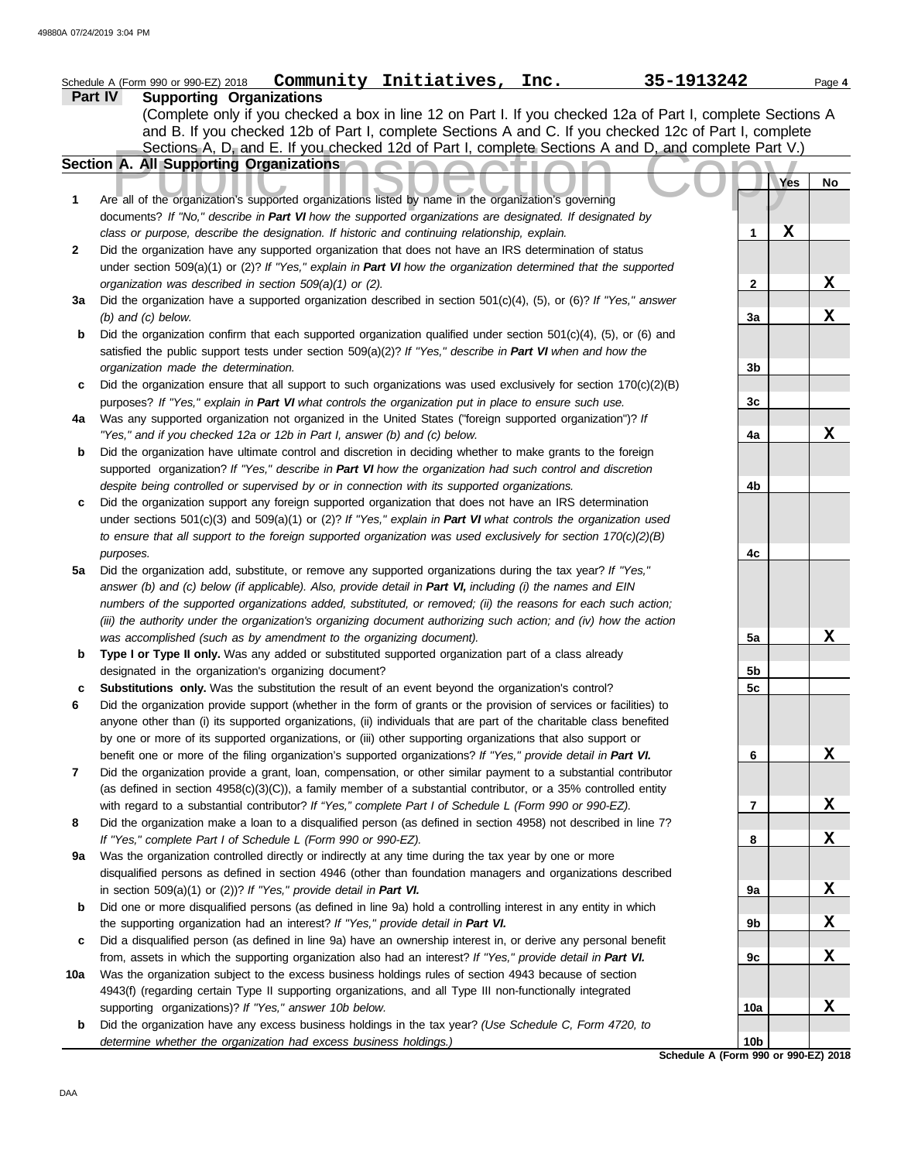|     | 35-1913242<br>Schedule A (Form 990 or 990-EZ) 2018  Community Initiatives, Inc.                                                                                                                                           |                 |     | Page 4 |
|-----|---------------------------------------------------------------------------------------------------------------------------------------------------------------------------------------------------------------------------|-----------------|-----|--------|
|     | <b>Supporting Organizations</b><br>Part IV                                                                                                                                                                                |                 |     |        |
|     | (Complete only if you checked a box in line 12 on Part I. If you checked 12a of Part I, complete Sections A                                                                                                               |                 |     |        |
|     | and B. If you checked 12b of Part I, complete Sections A and C. If you checked 12c of Part I, complete                                                                                                                    |                 |     |        |
|     | Sections A, D, and E. If you checked 12d of Part I, complete Sections A and D, and complete Part V.)                                                                                                                      |                 |     |        |
|     | Section A. All Supporting Organizations                                                                                                                                                                                   |                 |     |        |
|     |                                                                                                                                                                                                                           |                 | Yes | No     |
| 1   | Are all of the organization's supported organizations listed by name in the organization's governing                                                                                                                      |                 |     |        |
|     | documents? If "No," describe in Part VI how the supported organizations are designated. If designated by                                                                                                                  |                 |     |        |
|     | class or purpose, describe the designation. If historic and continuing relationship, explain.                                                                                                                             | 1               | X   |        |
| 2   | Did the organization have any supported organization that does not have an IRS determination of status                                                                                                                    |                 |     |        |
|     | under section 509(a)(1) or (2)? If "Yes," explain in Part VI how the organization determined that the supported                                                                                                           |                 |     |        |
|     | organization was described in section 509(a)(1) or (2).                                                                                                                                                                   | $\mathbf{2}$    |     | X      |
| 3a  | Did the organization have a supported organization described in section $501(c)(4)$ , (5), or (6)? If "Yes," answer                                                                                                       |                 |     |        |
|     | $(b)$ and $(c)$ below.                                                                                                                                                                                                    | 3a              |     | X      |
| b   | Did the organization confirm that each supported organization qualified under section $501(c)(4)$ , (5), or (6) and                                                                                                       |                 |     |        |
|     | satisfied the public support tests under section $509(a)(2)$ ? If "Yes," describe in Part VI when and how the                                                                                                             |                 |     |        |
|     | organization made the determination.                                                                                                                                                                                      | 3b              |     |        |
| c   | Did the organization ensure that all support to such organizations was used exclusively for section $170(c)(2)(B)$                                                                                                        |                 |     |        |
|     | purposes? If "Yes," explain in Part VI what controls the organization put in place to ensure such use.                                                                                                                    | 3c              |     |        |
| 4a  | Was any supported organization not organized in the United States ("foreign supported organization")? If                                                                                                                  |                 |     | X      |
|     | "Yes," and if you checked 12a or 12b in Part I, answer (b) and (c) below.                                                                                                                                                 | 4a              |     |        |
| b   | Did the organization have ultimate control and discretion in deciding whether to make grants to the foreign<br>supported organization? If "Yes," describe in Part VI how the organization had such control and discretion |                 |     |        |
|     | despite being controlled or supervised by or in connection with its supported organizations.                                                                                                                              | 4b              |     |        |
|     | Did the organization support any foreign supported organization that does not have an IRS determination                                                                                                                   |                 |     |        |
|     | under sections $501(c)(3)$ and $509(a)(1)$ or $(2)$ ? If "Yes," explain in Part VI what controls the organization used                                                                                                    |                 |     |        |
|     | to ensure that all support to the foreign supported organization was used exclusively for section $170(c)(2)(B)$                                                                                                          |                 |     |        |
|     | purposes.                                                                                                                                                                                                                 | 4c              |     |        |
| 5a  | Did the organization add, substitute, or remove any supported organizations during the tax year? If "Yes,"                                                                                                                |                 |     |        |
|     | answer (b) and (c) below (if applicable). Also, provide detail in Part VI, including (i) the names and EIN                                                                                                                |                 |     |        |
|     | numbers of the supported organizations added, substituted, or removed; (ii) the reasons for each such action;                                                                                                             |                 |     |        |
|     | (iii) the authority under the organization's organizing document authorizing such action; and (iv) how the action                                                                                                         |                 |     |        |
|     | was accomplished (such as by amendment to the organizing document).                                                                                                                                                       | 5a              |     | X      |
| b   | Type I or Type II only. Was any added or substituted supported organization part of a class already                                                                                                                       |                 |     |        |
|     | designated in the organization's organizing document?                                                                                                                                                                     | 5b              |     |        |
|     | Substitutions only. Was the substitution the result of an event beyond the organization's control?                                                                                                                        | 5c              |     |        |
|     | Did the organization provide support (whether in the form of grants or the provision of services or facilities) to                                                                                                        |                 |     |        |
|     | anyone other than (i) its supported organizations, (ii) individuals that are part of the charitable class benefited                                                                                                       |                 |     |        |
|     | by one or more of its supported organizations, or (iii) other supporting organizations that also support or                                                                                                               |                 |     |        |
|     | benefit one or more of the filing organization's supported organizations? If "Yes," provide detail in Part VI.                                                                                                            | 6               |     | X      |
| 7   | Did the organization provide a grant, loan, compensation, or other similar payment to a substantial contributor                                                                                                           |                 |     |        |
|     | (as defined in section $4958(c)(3)(C)$ ), a family member of a substantial contributor, or a 35% controlled entity                                                                                                        |                 |     |        |
|     | with regard to a substantial contributor? If "Yes," complete Part I of Schedule L (Form 990 or 990-EZ).                                                                                                                   | 7               |     | X      |
| 8   | Did the organization make a loan to a disqualified person (as defined in section 4958) not described in line 7?                                                                                                           |                 |     |        |
|     | If "Yes," complete Part I of Schedule L (Form 990 or 990-EZ).                                                                                                                                                             | 8               |     | X      |
| 9a  | Was the organization controlled directly or indirectly at any time during the tax year by one or more                                                                                                                     |                 |     |        |
|     | disqualified persons as defined in section 4946 (other than foundation managers and organizations described                                                                                                               |                 |     |        |
|     | in section $509(a)(1)$ or $(2)$ ? If "Yes," provide detail in Part VI.                                                                                                                                                    | 9а              |     | X      |
| b   | Did one or more disqualified persons (as defined in line 9a) hold a controlling interest in any entity in which                                                                                                           |                 |     |        |
|     | the supporting organization had an interest? If "Yes," provide detail in Part VI.                                                                                                                                         | 9b              |     | X      |
| c   | Did a disqualified person (as defined in line 9a) have an ownership interest in, or derive any personal benefit                                                                                                           |                 |     |        |
|     | from, assets in which the supporting organization also had an interest? If "Yes," provide detail in Part VI.                                                                                                              | 9с              |     | X      |
| 10a | Was the organization subject to the excess business holdings rules of section 4943 because of section                                                                                                                     |                 |     |        |
|     | 4943(f) (regarding certain Type II supporting organizations, and all Type III non-functionally integrated<br>supporting organizations)? If "Yes," answer 10b below.                                                       | 10a             |     | X      |
| b   | Did the organization have any excess business holdings in the tax year? (Use Schedule C, Form 4720, to                                                                                                                    |                 |     |        |
|     | determine whether the organization had excess business holdings.)                                                                                                                                                         | 10 <sub>b</sub> |     |        |
|     | Schedule A (Form 990 or 990-EZ) 2018                                                                                                                                                                                      |                 |     |        |
|     |                                                                                                                                                                                                                           |                 |     |        |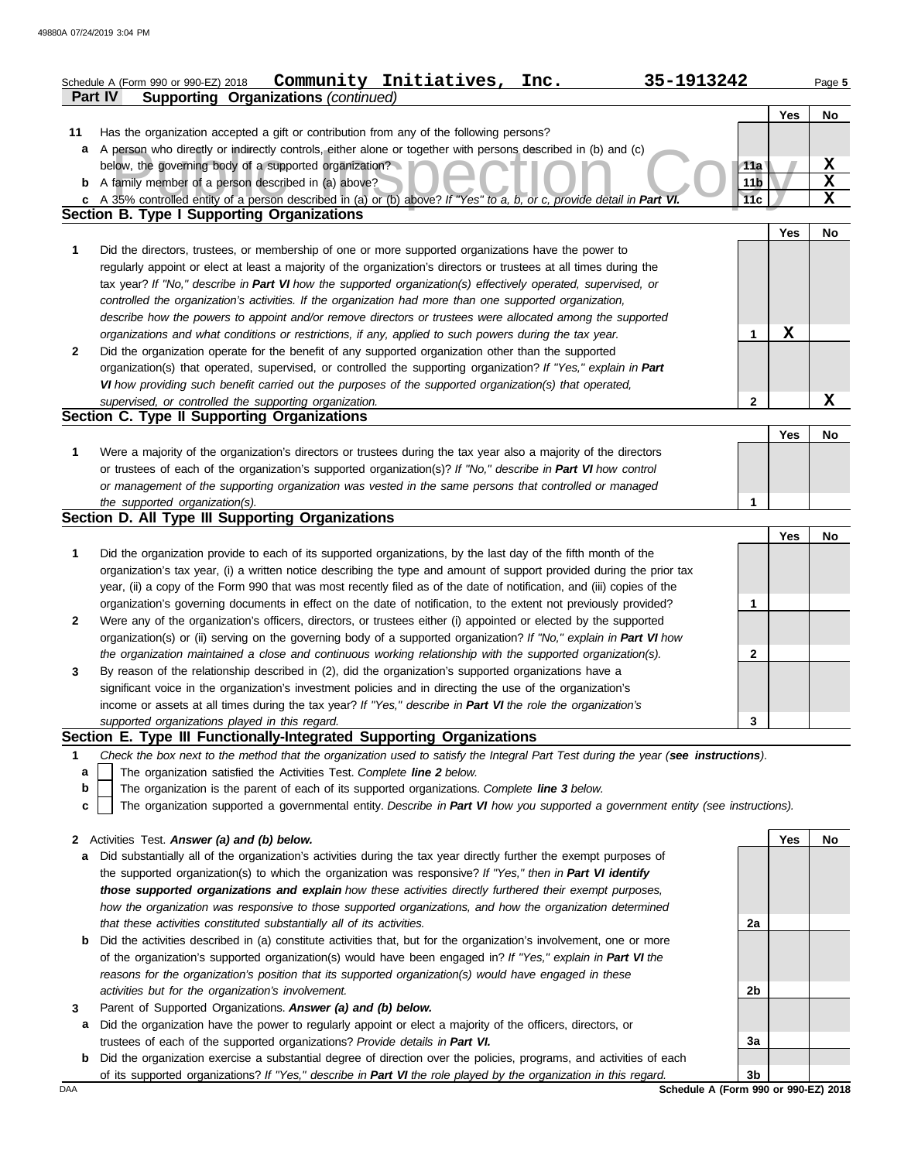|              | 35-1913242<br>Community Initiatives,<br>Inc.<br>Schedule A (Form 990 or 990-EZ) 2018                                                                                                                                                       |                 |     | Page 5      |
|--------------|--------------------------------------------------------------------------------------------------------------------------------------------------------------------------------------------------------------------------------------------|-----------------|-----|-------------|
|              | <b>Supporting Organizations (continued)</b><br>Part IV                                                                                                                                                                                     |                 |     |             |
|              |                                                                                                                                                                                                                                            |                 | Yes | No          |
| 11           | Has the organization accepted a gift or contribution from any of the following persons?                                                                                                                                                    |                 |     |             |
| a            | A person who directly or indirectly controls, either alone or together with persons described in (b) and (c)                                                                                                                               |                 |     |             |
|              | below, the governing body of a supported organization?                                                                                                                                                                                     | 11a             |     | X           |
| b            | A family member of a person described in (a) above?                                                                                                                                                                                        | 11 <sub>b</sub> |     | $\mathbf x$ |
| C            | A 35% controlled entity of a person described in (a) or (b) above? If "Yes" to a, b, or c, provide detail in Part VI.                                                                                                                      | 11c             |     | $\mathbf X$ |
|              | <b>Section B. Type I Supporting Organizations</b>                                                                                                                                                                                          |                 | Yes | No          |
| 1            | Did the directors, trustees, or membership of one or more supported organizations have the power to                                                                                                                                        |                 |     |             |
|              | regularly appoint or elect at least a majority of the organization's directors or trustees at all times during the                                                                                                                         |                 |     |             |
|              | tax year? If "No," describe in Part VI how the supported organization(s) effectively operated, supervised, or                                                                                                                              |                 |     |             |
|              | controlled the organization's activities. If the organization had more than one supported organization,                                                                                                                                    |                 |     |             |
|              | describe how the powers to appoint and/or remove directors or trustees were allocated among the supported                                                                                                                                  |                 |     |             |
|              | organizations and what conditions or restrictions, if any, applied to such powers during the tax year.                                                                                                                                     | 1               | X   |             |
| $\mathbf{2}$ | Did the organization operate for the benefit of any supported organization other than the supported                                                                                                                                        |                 |     |             |
|              | organization(s) that operated, supervised, or controlled the supporting organization? If "Yes," explain in Part                                                                                                                            |                 |     |             |
|              | VI how providing such benefit carried out the purposes of the supported organization(s) that operated,                                                                                                                                     |                 |     |             |
|              | supervised, or controlled the supporting organization.                                                                                                                                                                                     | $\mathbf{2}$    |     | $\mathbf x$ |
|              | Section C. Type II Supporting Organizations                                                                                                                                                                                                |                 |     |             |
|              |                                                                                                                                                                                                                                            |                 | Yes | No          |
| 1            | Were a majority of the organization's directors or trustees during the tax year also a majority of the directors                                                                                                                           |                 |     |             |
|              | or trustees of each of the organization's supported organization(s)? If "No," describe in Part VI how control                                                                                                                              |                 |     |             |
|              | or management of the supporting organization was vested in the same persons that controlled or managed                                                                                                                                     |                 |     |             |
|              | the supported organization(s).                                                                                                                                                                                                             | 1               |     |             |
|              | Section D. All Type III Supporting Organizations                                                                                                                                                                                           |                 |     |             |
|              |                                                                                                                                                                                                                                            |                 | Yes | No          |
| 1            | Did the organization provide to each of its supported organizations, by the last day of the fifth month of the                                                                                                                             |                 |     |             |
|              | organization's tax year, (i) a written notice describing the type and amount of support provided during the prior tax                                                                                                                      |                 |     |             |
|              | year, (ii) a copy of the Form 990 that was most recently filed as of the date of notification, and (iii) copies of the<br>organization's governing documents in effect on the date of notification, to the extent not previously provided? | 1               |     |             |
| $\mathbf{2}$ | Were any of the organization's officers, directors, or trustees either (i) appointed or elected by the supported                                                                                                                           |                 |     |             |
|              | organization(s) or (ii) serving on the governing body of a supported organization? If "No," explain in Part VI how                                                                                                                         |                 |     |             |
|              | the organization maintained a close and continuous working relationship with the supported organization(s).                                                                                                                                | 2               |     |             |
| 3            | By reason of the relationship described in (2), did the organization's supported organizations have a                                                                                                                                      |                 |     |             |
|              | significant voice in the organization's investment policies and in directing the use of the organization's                                                                                                                                 |                 |     |             |
|              | income or assets at all times during the tax year? If "Yes," describe in Part VI the role the organization's                                                                                                                               |                 |     |             |
|              | supported organizations played in this regard.                                                                                                                                                                                             | 3               |     |             |
|              | Section E. Type III Functionally-Integrated Supporting Organizations                                                                                                                                                                       |                 |     |             |
| 1            | Check the box next to the method that the organization used to satisfy the Integral Part Test during the year (see instructions).                                                                                                          |                 |     |             |
| a            | The organization satisfied the Activities Test. Complete line 2 below.                                                                                                                                                                     |                 |     |             |
| b            | The organization is the parent of each of its supported organizations. Complete line 3 below.                                                                                                                                              |                 |     |             |
| c            | The organization supported a governmental entity. Describe in Part VI how you supported a government entity (see instructions).                                                                                                            |                 |     |             |
|              |                                                                                                                                                                                                                                            |                 |     |             |
|              | 2 Activities Test. Answer (a) and (b) below.                                                                                                                                                                                               |                 | Yes | No          |
| a            | Did substantially all of the organization's activities during the tax year directly further the exempt purposes of                                                                                                                         |                 |     |             |
|              | the supported organization(s) to which the organization was responsive? If "Yes," then in Part VI identify                                                                                                                                 |                 |     |             |
|              | those supported organizations and explain how these activities directly furthered their exempt purposes,                                                                                                                                   |                 |     |             |
|              | how the organization was responsive to those supported organizations, and how the organization determined                                                                                                                                  | 2a              |     |             |
| b            | that these activities constituted substantially all of its activities.<br>Did the activities described in (a) constitute activities that, but for the organization's involvement, one or more                                              |                 |     |             |
|              | of the organization's supported organization(s) would have been engaged in? If "Yes," explain in Part VI the                                                                                                                               |                 |     |             |
|              | reasons for the organization's position that its supported organization(s) would have engaged in these                                                                                                                                     |                 |     |             |
|              | activities but for the organization's involvement.                                                                                                                                                                                         | 2b              |     |             |
| 3            | Parent of Supported Organizations. Answer (a) and (b) below.                                                                                                                                                                               |                 |     |             |
| a            | Did the organization have the power to regularly appoint or elect a majority of the officers, directors, or                                                                                                                                |                 |     |             |
|              | trustees of each of the supported organizations? Provide details in Part VI.                                                                                                                                                               | 3a              |     |             |

**b** Did the organization exercise a substantial degree of direction over the policies, programs, and activities of each of its supported organizations? *If "Yes," describe in Part VI the role played by the organization in this regard.* **3b**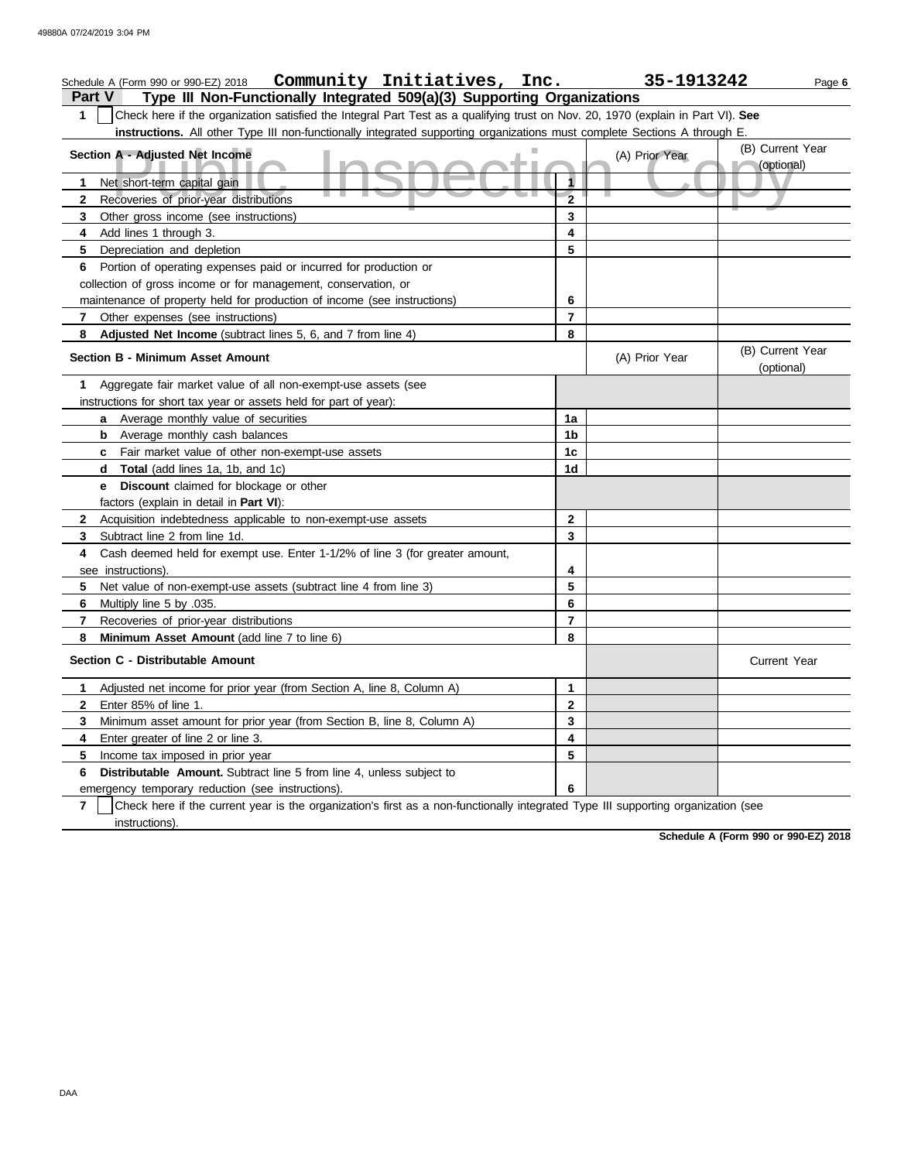| Community Initiatives, Inc.<br>Schedule A (Form 990 or 990-EZ) 2018                                                                                 |                         | 35-1913242     | Page 6                         |
|-----------------------------------------------------------------------------------------------------------------------------------------------------|-------------------------|----------------|--------------------------------|
| Type III Non-Functionally Integrated 509(a)(3) Supporting Organizations<br><b>Part V</b>                                                            |                         |                |                                |
| 1<br>Check here if the organization satisfied the Integral Part Test as a qualifying trust on Nov. 20, 1970 (explain in Part VI). See               |                         |                |                                |
| instructions. All other Type III non-functionally integrated supporting organizations must complete Sections A through E.                           |                         |                |                                |
| Section A - Adjusted Net Income                                                                                                                     |                         | (A) Prior Year | (B) Current Year               |
|                                                                                                                                                     | 1                       |                | (optional)                     |
| Net short-term capital gain<br>1                                                                                                                    | $\overline{\mathbf{2}}$ |                |                                |
| Recoveries of prior-year distributions<br>$\mathbf{2}$<br>Other gross income (see instructions)<br>3                                                | 3                       |                |                                |
| Add lines 1 through 3.<br>4                                                                                                                         | 4                       |                |                                |
| 5<br>Depreciation and depletion                                                                                                                     | 5                       |                |                                |
| Portion of operating expenses paid or incurred for production or<br>6                                                                               |                         |                |                                |
| collection of gross income or for management, conservation, or                                                                                      |                         |                |                                |
| maintenance of property held for production of income (see instructions)                                                                            | 6                       |                |                                |
| Other expenses (see instructions)<br>7                                                                                                              | 7                       |                |                                |
| 8<br>Adjusted Net Income (subtract lines 5, 6, and 7 from line 4)                                                                                   | 8                       |                |                                |
| Section B - Minimum Asset Amount                                                                                                                    |                         | (A) Prior Year | (B) Current Year<br>(optional) |
| Aggregate fair market value of all non-exempt-use assets (see<br>1                                                                                  |                         |                |                                |
| instructions for short tax year or assets held for part of year):                                                                                   |                         |                |                                |
| Average monthly value of securities<br>a                                                                                                            | 1a                      |                |                                |
| Average monthly cash balances<br>b                                                                                                                  | 1b                      |                |                                |
| Fair market value of other non-exempt-use assets<br>C                                                                                               | 1 <sub>c</sub>          |                |                                |
| Total (add lines 1a, 1b, and 1c)<br>d                                                                                                               | 1d                      |                |                                |
| <b>Discount</b> claimed for blockage or other<br>е                                                                                                  |                         |                |                                |
| factors (explain in detail in Part VI):                                                                                                             |                         |                |                                |
| Acquisition indebtedness applicable to non-exempt-use assets<br>$\mathbf{2}$                                                                        | $\mathbf{2}$            |                |                                |
| 3<br>Subtract line 2 from line 1d.                                                                                                                  | 3                       |                |                                |
| Cash deemed held for exempt use. Enter 1-1/2% of line 3 (for greater amount,<br>4                                                                   |                         |                |                                |
| see instructions).                                                                                                                                  | 4                       |                |                                |
| 5<br>Net value of non-exempt-use assets (subtract line 4 from line 3)                                                                               | 5                       |                |                                |
| Multiply line 5 by .035.<br>6                                                                                                                       | 6                       |                |                                |
| $\overline{7}$<br>Recoveries of prior-year distributions                                                                                            | 7                       |                |                                |
| Minimum Asset Amount (add line 7 to line 6)<br>8                                                                                                    | 8                       |                |                                |
| Section C - Distributable Amount                                                                                                                    |                         |                | <b>Current Year</b>            |
| Adjusted net income for prior year (from Section A, line 8, Column A)<br>1                                                                          | 1                       |                |                                |
| Enter 85% of line 1.<br>2                                                                                                                           | 2                       |                |                                |
| Minimum asset amount for prior year (from Section B, line 8, Column A)<br>3                                                                         | 3                       |                |                                |
| Enter greater of line 2 or line 3.<br>4                                                                                                             | 4                       |                |                                |
| 5<br>Income tax imposed in prior year                                                                                                               | 5                       |                |                                |
| Distributable Amount. Subtract line 5 from line 4, unless subject to<br>6                                                                           |                         |                |                                |
| emergency temporary reduction (see instructions).                                                                                                   | 6                       |                |                                |
| Check here if the current year is the organization's first as a non-functionally integrated Type III supporting organization (see<br>$\overline{7}$ |                         |                |                                |
| instructions).                                                                                                                                      |                         |                |                                |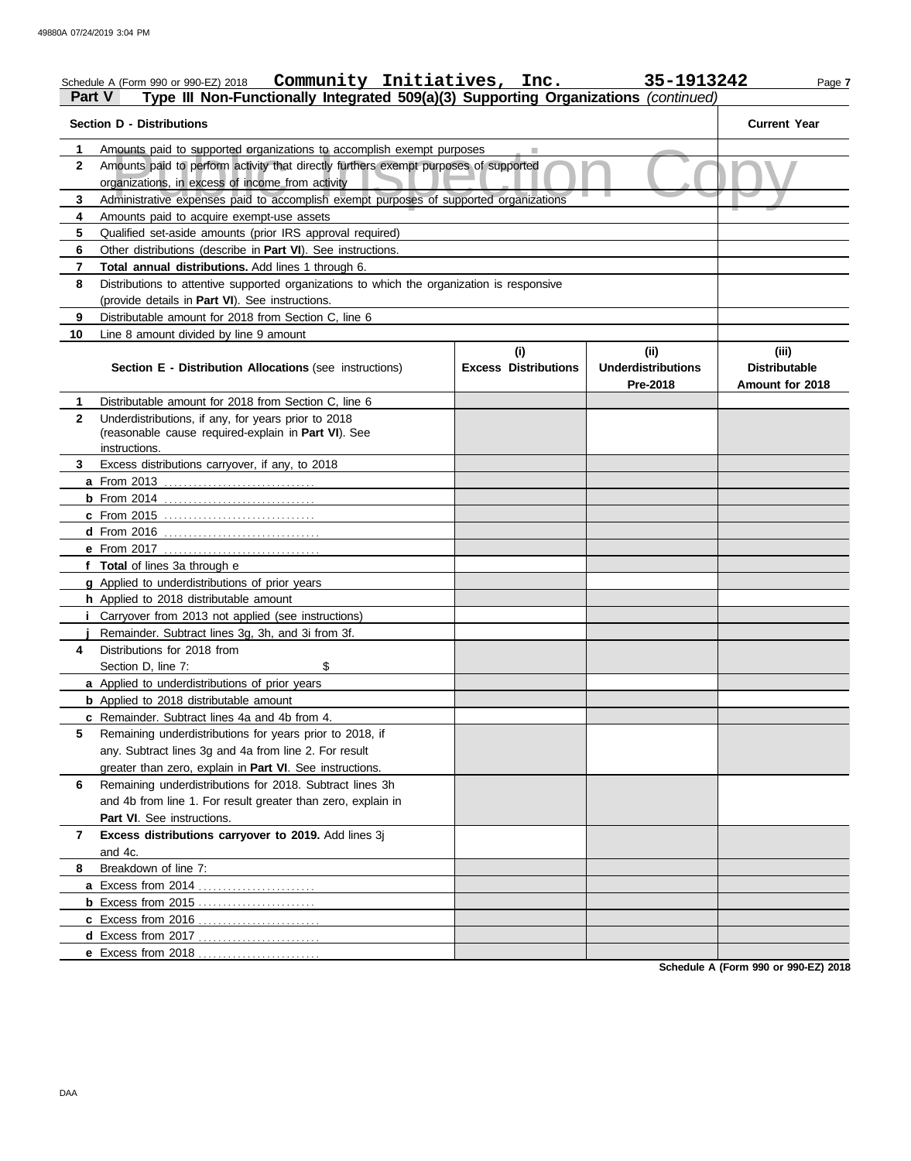| Part V         | Community Initiatives, Inc.<br>Schedule A (Form 990 or 990-EZ) 2018<br>Type III Non-Functionally Integrated 509(a)(3) Supporting Organizations (continued) |                             | 35-1913242                            | Page 7                                  |
|----------------|------------------------------------------------------------------------------------------------------------------------------------------------------------|-----------------------------|---------------------------------------|-----------------------------------------|
|                | <b>Section D - Distributions</b>                                                                                                                           |                             |                                       | <b>Current Year</b>                     |
| 1.             | Amounts paid to supported organizations to accomplish exempt purposes                                                                                      |                             |                                       |                                         |
| $\mathbf{2}$   | Amounts paid to perform activity that directly furthers exempt purposes of supported<br>organizations, in excess of income from activity                   |                             |                                       |                                         |
| 3              |                                                                                                                                                            |                             |                                       |                                         |
| 4              | Administrative expenses paid to accomplish exempt purposes of supported organizations<br>Amounts paid to acquire exempt-use assets                         |                             |                                       |                                         |
| 5              | Qualified set-aside amounts (prior IRS approval required)                                                                                                  |                             |                                       |                                         |
| 6              | Other distributions (describe in Part VI). See instructions.                                                                                               |                             |                                       |                                         |
| $\overline{7}$ | Total annual distributions. Add lines 1 through 6.                                                                                                         |                             |                                       |                                         |
| 8              | Distributions to attentive supported organizations to which the organization is responsive                                                                 |                             |                                       |                                         |
|                | (provide details in Part VI). See instructions.                                                                                                            |                             |                                       |                                         |
| 9              | Distributable amount for 2018 from Section C, line 6                                                                                                       |                             |                                       |                                         |
| 10             | Line 8 amount divided by line 9 amount                                                                                                                     |                             |                                       |                                         |
|                |                                                                                                                                                            | (i)                         | (ii)                                  | (iii)                                   |
|                | Section E - Distribution Allocations (see instructions)                                                                                                    | <b>Excess Distributions</b> | <b>Underdistributions</b><br>Pre-2018 | <b>Distributable</b><br>Amount for 2018 |
| 1              | Distributable amount for 2018 from Section C, line 6                                                                                                       |                             |                                       |                                         |
| $\mathbf{2}$   | Underdistributions, if any, for years prior to 2018                                                                                                        |                             |                                       |                                         |
|                | (reasonable cause required-explain in Part VI). See                                                                                                        |                             |                                       |                                         |
|                | instructions.                                                                                                                                              |                             |                                       |                                         |
| 3              | Excess distributions carryover, if any, to 2018                                                                                                            |                             |                                       |                                         |
|                |                                                                                                                                                            |                             |                                       |                                         |
|                | <b>b</b> From 2014                                                                                                                                         |                             |                                       |                                         |
|                | c From 2015                                                                                                                                                |                             |                                       |                                         |
|                | d From 2016                                                                                                                                                |                             |                                       |                                         |
|                | e From 2017                                                                                                                                                |                             |                                       |                                         |
|                | f Total of lines 3a through e                                                                                                                              |                             |                                       |                                         |
|                | g Applied to underdistributions of prior years                                                                                                             |                             |                                       |                                         |
|                | h Applied to 2018 distributable amount                                                                                                                     |                             |                                       |                                         |
|                | Carryover from 2013 not applied (see instructions)                                                                                                         |                             |                                       |                                         |
|                | Remainder. Subtract lines 3g, 3h, and 3i from 3f.                                                                                                          |                             |                                       |                                         |
| 4              | Distributions for 2018 from                                                                                                                                |                             |                                       |                                         |
|                | \$<br>Section D, line 7:                                                                                                                                   |                             |                                       |                                         |
|                | a Applied to underdistributions of prior years                                                                                                             |                             |                                       |                                         |
|                | <b>b</b> Applied to 2018 distributable amount                                                                                                              |                             |                                       |                                         |
|                | c Remainder. Subtract lines 4a and 4b from 4.                                                                                                              |                             |                                       |                                         |
| 5              | Remaining underdistributions for years prior to 2018, if                                                                                                   |                             |                                       |                                         |
|                | any. Subtract lines 3g and 4a from line 2. For result                                                                                                      |                             |                                       |                                         |
|                | greater than zero, explain in <b>Part VI</b> . See instructions.                                                                                           |                             |                                       |                                         |
| 6              | Remaining underdistributions for 2018. Subtract lines 3h                                                                                                   |                             |                                       |                                         |
|                | and 4b from line 1. For result greater than zero, explain in                                                                                               |                             |                                       |                                         |
|                | Part VI. See instructions.                                                                                                                                 |                             |                                       |                                         |
| 7              | Excess distributions carryover to 2019. Add lines 3j                                                                                                       |                             |                                       |                                         |
|                | and 4c.                                                                                                                                                    |                             |                                       |                                         |
| 8              | Breakdown of line 7:                                                                                                                                       |                             |                                       |                                         |
|                |                                                                                                                                                            |                             |                                       |                                         |
|                | <b>b</b> Excess from 2015                                                                                                                                  |                             |                                       |                                         |
|                |                                                                                                                                                            |                             |                                       |                                         |
|                | d Excess from 2017                                                                                                                                         |                             |                                       |                                         |
|                | e Excess from 2018                                                                                                                                         |                             |                                       |                                         |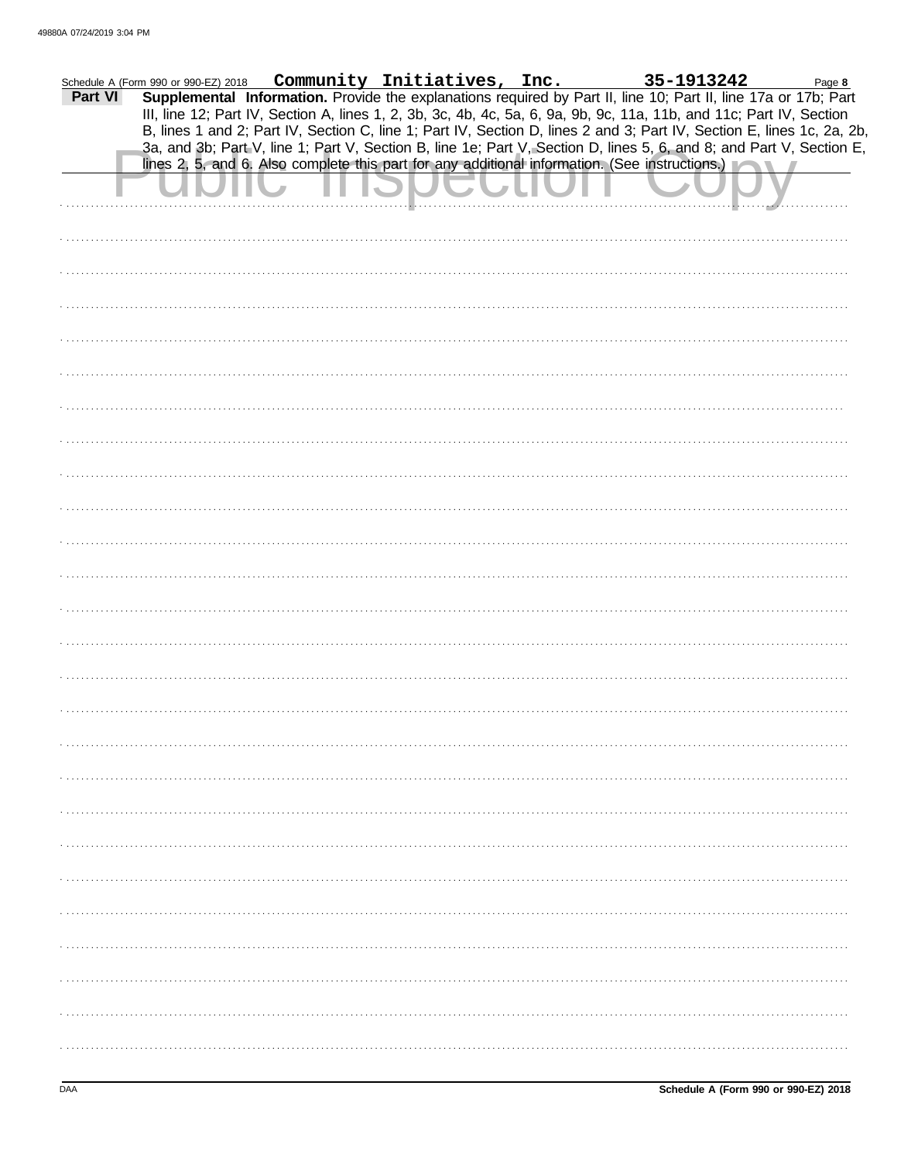| Part VI | Schedule A (Form 990 or 990-EZ) 2018 |  | Community Initiatives, Inc. | 35-1913242<br>Supplemental Information. Provide the explanations required by Part II, line 10; Part II, line 17a or 17b; Part                                                                                                                  | Page 8 |
|---------|--------------------------------------|--|-----------------------------|------------------------------------------------------------------------------------------------------------------------------------------------------------------------------------------------------------------------------------------------|--------|
|         |                                      |  |                             | III, line 12; Part IV, Section A, lines 1, 2, 3b, 3c, 4b, 4c, 5a, 6, 9a, 9b, 9c, 11a, 11b, and 11c; Part IV, Section<br>B, lines 1 and 2; Part IV, Section C, line 1; Part IV, Section D, lines 2 and 3; Part IV, Section E, lines 1c, 2a, 2b, |        |
|         |                                      |  |                             | 3a, and 3b; Part V, line 1; Part V, Section B, line 1e; Part V, Section D, lines 5, 6, and 8; and Part V, Section E,<br>lines 2, 5, and 6. Also complete this part for any additional information. (See instructions.)                         |        |
|         |                                      |  |                             |                                                                                                                                                                                                                                                |        |
|         |                                      |  |                             |                                                                                                                                                                                                                                                |        |
|         |                                      |  |                             |                                                                                                                                                                                                                                                |        |
|         |                                      |  |                             |                                                                                                                                                                                                                                                |        |
|         |                                      |  |                             |                                                                                                                                                                                                                                                |        |
|         |                                      |  |                             |                                                                                                                                                                                                                                                |        |
|         |                                      |  |                             |                                                                                                                                                                                                                                                |        |
|         |                                      |  |                             |                                                                                                                                                                                                                                                |        |
|         |                                      |  |                             |                                                                                                                                                                                                                                                |        |
|         |                                      |  |                             |                                                                                                                                                                                                                                                |        |
|         |                                      |  |                             |                                                                                                                                                                                                                                                |        |
|         |                                      |  |                             |                                                                                                                                                                                                                                                |        |
|         |                                      |  |                             |                                                                                                                                                                                                                                                |        |
|         |                                      |  |                             |                                                                                                                                                                                                                                                |        |
|         |                                      |  |                             |                                                                                                                                                                                                                                                |        |
|         |                                      |  |                             |                                                                                                                                                                                                                                                |        |
|         |                                      |  |                             |                                                                                                                                                                                                                                                |        |
|         |                                      |  |                             |                                                                                                                                                                                                                                                |        |
|         |                                      |  |                             |                                                                                                                                                                                                                                                |        |
|         |                                      |  |                             |                                                                                                                                                                                                                                                |        |
|         |                                      |  |                             |                                                                                                                                                                                                                                                |        |
|         |                                      |  |                             |                                                                                                                                                                                                                                                |        |
|         |                                      |  |                             |                                                                                                                                                                                                                                                |        |
|         |                                      |  |                             |                                                                                                                                                                                                                                                |        |
|         |                                      |  |                             |                                                                                                                                                                                                                                                |        |
|         |                                      |  |                             |                                                                                                                                                                                                                                                |        |
|         |                                      |  |                             |                                                                                                                                                                                                                                                |        |
|         |                                      |  |                             |                                                                                                                                                                                                                                                |        |
|         |                                      |  |                             |                                                                                                                                                                                                                                                |        |
|         |                                      |  |                             |                                                                                                                                                                                                                                                |        |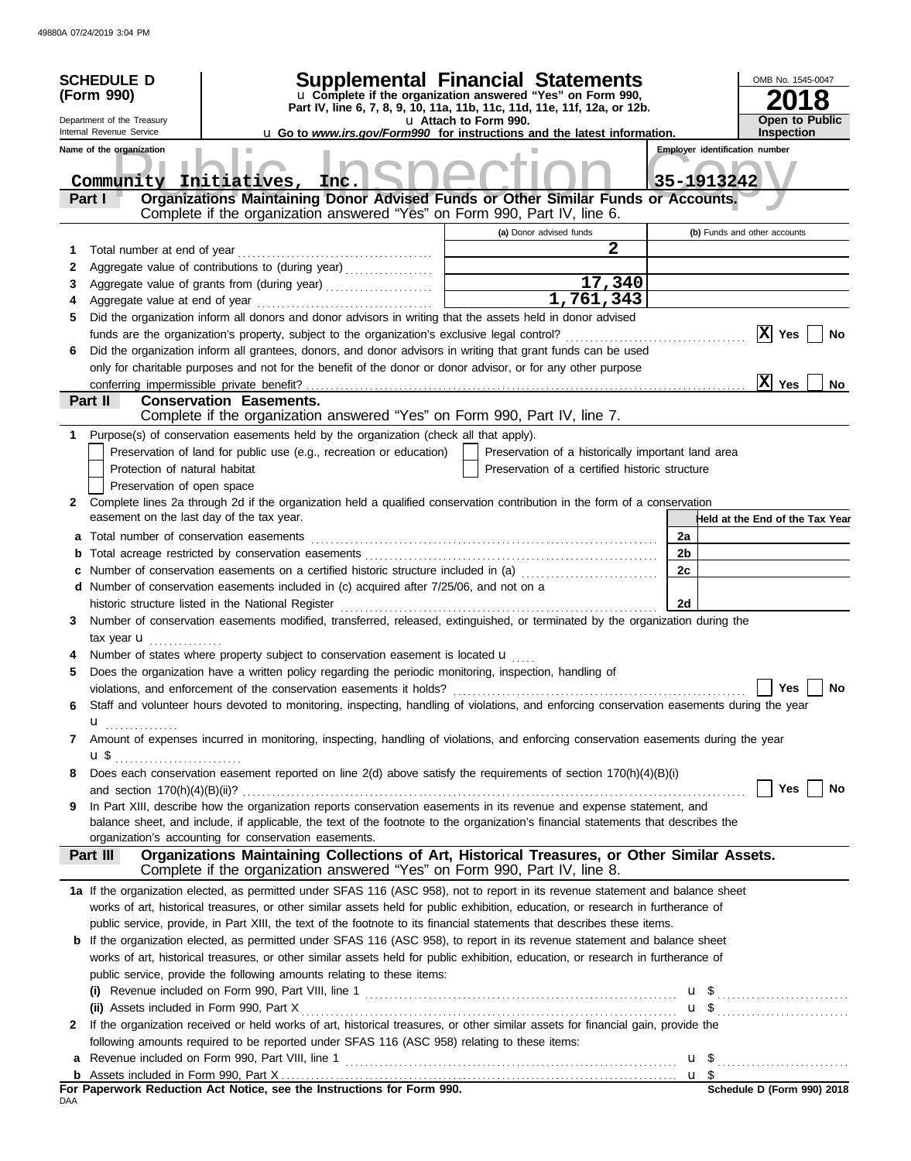|        | <b>Supplemental Financial Statements</b><br><b>SCHEDULE D</b><br>u Complete if the organization answered "Yes" on Form 990,<br>(Form 990)<br>Part IV, line 6, 7, 8, 9, 10, 11a, 11b, 11c, 11d, 11e, 11f, 12a, or 12b.<br>Department of the Treasury<br>u Attach to Form 990.<br>Internal Revenue Service |                                                                                                                                                                           |                                      |                                                    |    | OMB No. 1545-0047<br><b>Open to Public</b><br><b>Inspection</b><br>u Go to www.irs.gov/Form990 for instructions and the latest information. |                                 |  |
|--------|----------------------------------------------------------------------------------------------------------------------------------------------------------------------------------------------------------------------------------------------------------------------------------------------------------|---------------------------------------------------------------------------------------------------------------------------------------------------------------------------|--------------------------------------|----------------------------------------------------|----|---------------------------------------------------------------------------------------------------------------------------------------------|---------------------------------|--|
|        | Name of the organization<br>Community Initiatives,<br>Part I                                                                                                                                                                                                                                             | Inc.<br>Organizations Maintaining Donor Advised Funds or Other Similar Funds or Accounts.<br>Complete if the organization answered "Yes" on Form 990, Part IV, line 6.    |                                      |                                                    |    | <b>Employer identification number</b><br>35-1913242                                                                                         |                                 |  |
|        |                                                                                                                                                                                                                                                                                                          |                                                                                                                                                                           |                                      | (a) Donor advised funds                            |    | (b) Funds and other accounts                                                                                                                |                                 |  |
| 1      | Total number at end of year                                                                                                                                                                                                                                                                              |                                                                                                                                                                           |                                      | 2                                                  |    |                                                                                                                                             |                                 |  |
| 2      |                                                                                                                                                                                                                                                                                                          | Aggregate value of contributions to (during year)                                                                                                                         |                                      |                                                    |    |                                                                                                                                             |                                 |  |
| 3      |                                                                                                                                                                                                                                                                                                          | Aggregate value of grants from (during year)                                                                                                                              | <u> 1989 - Johann Barbara, martx</u> | 17,340                                             |    |                                                                                                                                             |                                 |  |
| 4      |                                                                                                                                                                                                                                                                                                          |                                                                                                                                                                           |                                      | 1,761,343                                          |    |                                                                                                                                             |                                 |  |
| 5      |                                                                                                                                                                                                                                                                                                          | Did the organization inform all donors and donor advisors in writing that the assets held in donor advised                                                                |                                      |                                                    |    |                                                                                                                                             | X Yes<br>No                     |  |
| 6      |                                                                                                                                                                                                                                                                                                          | Did the organization inform all grantees, donors, and donor advisors in writing that grant funds can be used                                                              |                                      |                                                    |    |                                                                                                                                             |                                 |  |
|        |                                                                                                                                                                                                                                                                                                          | only for charitable purposes and not for the benefit of the donor or donor advisor, or for any other purpose                                                              |                                      |                                                    |    |                                                                                                                                             |                                 |  |
|        |                                                                                                                                                                                                                                                                                                          |                                                                                                                                                                           |                                      |                                                    |    | x                                                                                                                                           | Yes<br>No.                      |  |
|        | Part II                                                                                                                                                                                                                                                                                                  | <b>Conservation Easements.</b>                                                                                                                                            |                                      |                                                    |    |                                                                                                                                             |                                 |  |
|        |                                                                                                                                                                                                                                                                                                          | Complete if the organization answered "Yes" on Form 990, Part IV, line 7.                                                                                                 |                                      |                                                    |    |                                                                                                                                             |                                 |  |
|        |                                                                                                                                                                                                                                                                                                          | 1 Purpose(s) of conservation easements held by the organization (check all that apply).                                                                                   |                                      |                                                    |    |                                                                                                                                             |                                 |  |
|        |                                                                                                                                                                                                                                                                                                          | Preservation of land for public use (e.g., recreation or education)                                                                                                       |                                      | Preservation of a historically important land area |    |                                                                                                                                             |                                 |  |
|        | Protection of natural habitat                                                                                                                                                                                                                                                                            |                                                                                                                                                                           |                                      | Preservation of a certified historic structure     |    |                                                                                                                                             |                                 |  |
|        | Preservation of open space                                                                                                                                                                                                                                                                               |                                                                                                                                                                           |                                      |                                                    |    |                                                                                                                                             |                                 |  |
| 2      | easement on the last day of the tax year.                                                                                                                                                                                                                                                                | Complete lines 2a through 2d if the organization held a qualified conservation contribution in the form of a conservation                                                 |                                      |                                                    |    |                                                                                                                                             |                                 |  |
|        | Total number of conservation easements                                                                                                                                                                                                                                                                   |                                                                                                                                                                           |                                      |                                                    | 2a |                                                                                                                                             | Held at the End of the Tax Year |  |
| а<br>b |                                                                                                                                                                                                                                                                                                          |                                                                                                                                                                           |                                      |                                                    | 2b |                                                                                                                                             |                                 |  |
|        |                                                                                                                                                                                                                                                                                                          | Number of conservation easements on a certified historic structure included in (a)                                                                                        |                                      |                                                    | 2c |                                                                                                                                             |                                 |  |
|        |                                                                                                                                                                                                                                                                                                          | d Number of conservation easements included in (c) acquired after 7/25/06, and not on a                                                                                   |                                      |                                                    |    |                                                                                                                                             |                                 |  |
|        |                                                                                                                                                                                                                                                                                                          | historic structure listed in the National Register                                                                                                                        |                                      |                                                    | 2d |                                                                                                                                             |                                 |  |
| 3      |                                                                                                                                                                                                                                                                                                          | Number of conservation easements modified, transferred, released, extinguished, or terminated by the organization during the                                              |                                      |                                                    |    |                                                                                                                                             |                                 |  |
|        | tax year <b>u</b>                                                                                                                                                                                                                                                                                        |                                                                                                                                                                           |                                      |                                                    |    |                                                                                                                                             |                                 |  |
|        |                                                                                                                                                                                                                                                                                                          | Number of states where property subject to conservation easement is located $\mathbf u$                                                                                   |                                      |                                                    |    |                                                                                                                                             |                                 |  |
| 5      |                                                                                                                                                                                                                                                                                                          | Does the organization have a written policy regarding the periodic monitoring, inspection, handling of                                                                    |                                      |                                                    |    |                                                                                                                                             |                                 |  |
|        |                                                                                                                                                                                                                                                                                                          | violations, and enforcement of the conservation easements it holds?                                                                                                       |                                      |                                                    |    |                                                                                                                                             | Yes $\boxed{\phantom{a}}$<br>No |  |
| 6      |                                                                                                                                                                                                                                                                                                          | Staff and volunteer hours devoted to monitoring, inspecting, handling of violations, and enforcing conservation easements during the year                                 |                                      |                                                    |    |                                                                                                                                             |                                 |  |
|        | u <sub></sub>                                                                                                                                                                                                                                                                                            |                                                                                                                                                                           |                                      |                                                    |    |                                                                                                                                             |                                 |  |
| 7      |                                                                                                                                                                                                                                                                                                          | Amount of expenses incurred in monitoring, inspecting, handling of violations, and enforcing conservation easements during the year                                       |                                      |                                                    |    |                                                                                                                                             |                                 |  |
|        | <b>u</b> \$                                                                                                                                                                                                                                                                                              | Does each conservation easement reported on line 2(d) above satisfy the requirements of section 170(h)(4)(B)(i)                                                           |                                      |                                                    |    |                                                                                                                                             |                                 |  |
| 8      |                                                                                                                                                                                                                                                                                                          |                                                                                                                                                                           |                                      |                                                    |    |                                                                                                                                             | Yes $ $<br>No                   |  |
| 9      |                                                                                                                                                                                                                                                                                                          | In Part XIII, describe how the organization reports conservation easements in its revenue and expense statement, and                                                      |                                      |                                                    |    |                                                                                                                                             |                                 |  |
|        |                                                                                                                                                                                                                                                                                                          | balance sheet, and include, if applicable, the text of the footnote to the organization's financial statements that describes the                                         |                                      |                                                    |    |                                                                                                                                             |                                 |  |
|        |                                                                                                                                                                                                                                                                                                          | organization's accounting for conservation easements.                                                                                                                     |                                      |                                                    |    |                                                                                                                                             |                                 |  |
|        | <b>Part III</b>                                                                                                                                                                                                                                                                                          | Organizations Maintaining Collections of Art, Historical Treasures, or Other Similar Assets.<br>Complete if the organization answered "Yes" on Form 990, Part IV, line 8. |                                      |                                                    |    |                                                                                                                                             |                                 |  |
|        |                                                                                                                                                                                                                                                                                                          | 1a If the organization elected, as permitted under SFAS 116 (ASC 958), not to report in its revenue statement and balance sheet                                           |                                      |                                                    |    |                                                                                                                                             |                                 |  |
|        |                                                                                                                                                                                                                                                                                                          | works of art, historical treasures, or other similar assets held for public exhibition, education, or research in furtherance of                                          |                                      |                                                    |    |                                                                                                                                             |                                 |  |
|        |                                                                                                                                                                                                                                                                                                          | public service, provide, in Part XIII, the text of the footnote to its financial statements that describes these items.                                                   |                                      |                                                    |    |                                                                                                                                             |                                 |  |
|        |                                                                                                                                                                                                                                                                                                          | <b>b</b> If the organization elected, as permitted under SFAS 116 (ASC 958), to report in its revenue statement and balance sheet                                         |                                      |                                                    |    |                                                                                                                                             |                                 |  |
|        |                                                                                                                                                                                                                                                                                                          | works of art, historical treasures, or other similar assets held for public exhibition, education, or research in furtherance of                                          |                                      |                                                    |    |                                                                                                                                             |                                 |  |
|        |                                                                                                                                                                                                                                                                                                          | public service, provide the following amounts relating to these items:                                                                                                    |                                      |                                                    |    |                                                                                                                                             |                                 |  |
|        |                                                                                                                                                                                                                                                                                                          | (i) Revenue included on Form 990, Part VIII, line 1 $\ldots$ $\ldots$ $\ldots$ $\ldots$ $\ldots$ $\ldots$ $\ldots$ $\ldots$ $\ldots$ $\ldots$                             |                                      |                                                    |    |                                                                                                                                             |                                 |  |
|        |                                                                                                                                                                                                                                                                                                          | 2 If the organization received or held works of art, historical treasures, or other similar assets for financial gain, provide the                                        |                                      |                                                    |    |                                                                                                                                             | $\mathbf{u}$ \$                 |  |
|        |                                                                                                                                                                                                                                                                                                          | following amounts required to be reported under SFAS 116 (ASC 958) relating to these items:                                                                               |                                      |                                                    |    |                                                                                                                                             |                                 |  |
|        |                                                                                                                                                                                                                                                                                                          |                                                                                                                                                                           |                                      |                                                    |    |                                                                                                                                             |                                 |  |
| b      |                                                                                                                                                                                                                                                                                                          |                                                                                                                                                                           |                                      |                                                    |    |                                                                                                                                             |                                 |  |
|        |                                                                                                                                                                                                                                                                                                          | For Paperwork Reduction Act Notice, see the Instructions for Form 990.                                                                                                    |                                      |                                                    |    |                                                                                                                                             | Schedule D (Form 990) 2018      |  |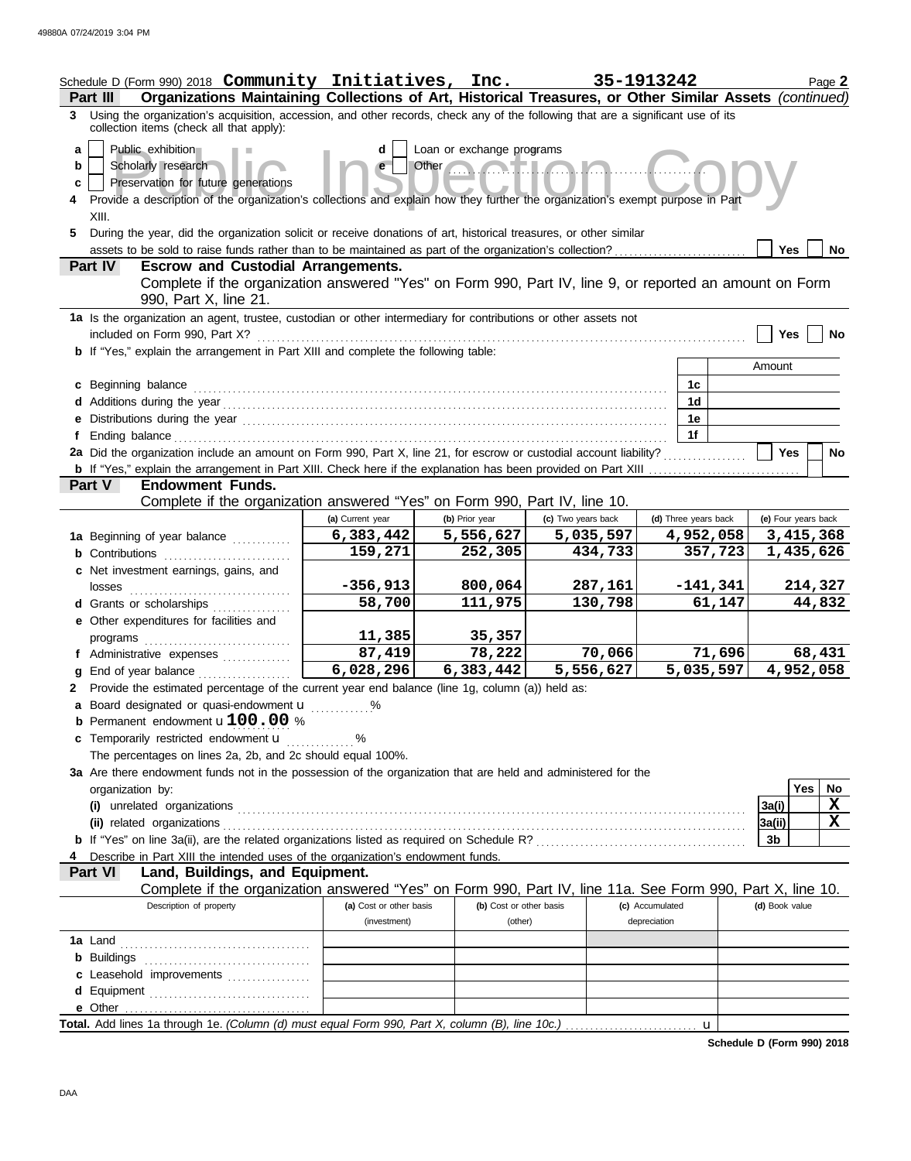|                  | Schedule D (Form 990) 2018 Community Initiatives, Inc.<br>Organizations Maintaining Collections of Art, Historical Treasures, or Other Similar Assets (continued)<br>Part III                                                                                                                                                                    |                                          |                                            | 35-1913242           |                                 |                        |                | Page 2                 |
|------------------|--------------------------------------------------------------------------------------------------------------------------------------------------------------------------------------------------------------------------------------------------------------------------------------------------------------------------------------------------|------------------------------------------|--------------------------------------------|----------------------|---------------------------------|------------------------|----------------|------------------------|
|                  | 3 Using the organization's acquisition, accession, and other records, check any of the following that are a significant use of its<br>collection items (check all that apply):                                                                                                                                                                   |                                          |                                            |                      |                                 |                        |                |                        |
| a<br>b<br>c<br>5 | Public exhibition<br>Scholarly research<br>Preservation for future generations<br>4 Provide a description of the organization's collections and explain how they further the organization's exempt purpose in Part<br>XIII.<br>During the year, did the organization solicit or receive donations of art, historical treasures, or other similar | d<br>e                                   | Loan or exchange programs<br>Other<br>NHI/ |                      |                                 |                        |                |                        |
|                  | assets to be sold to raise funds rather than to be maintained as part of the organization's collection?                                                                                                                                                                                                                                          |                                          |                                            |                      |                                 |                        | <b>Yes</b>     | <b>No</b>              |
|                  | Part IV<br><b>Escrow and Custodial Arrangements.</b><br>Complete if the organization answered "Yes" on Form 990, Part IV, line 9, or reported an amount on Form<br>990, Part X, line 21.                                                                                                                                                         |                                          |                                            |                      |                                 |                        |                |                        |
|                  | 1a Is the organization an agent, trustee, custodian or other intermediary for contributions or other assets not<br>included on Form 990, Part X?                                                                                                                                                                                                 |                                          |                                            |                      |                                 |                        | Yes            | No                     |
|                  | b If "Yes," explain the arrangement in Part XIII and complete the following table:                                                                                                                                                                                                                                                               |                                          |                                            |                      |                                 |                        |                |                        |
|                  |                                                                                                                                                                                                                                                                                                                                                  |                                          |                                            |                      |                                 |                        | Amount         |                        |
|                  | c Beginning balance                                                                                                                                                                                                                                                                                                                              |                                          |                                            |                      |                                 | 1 <sub>c</sub>         |                |                        |
|                  |                                                                                                                                                                                                                                                                                                                                                  |                                          |                                            |                      |                                 | 1d                     |                |                        |
|                  | e Distributions during the year manufactured contains and the year manufactured with the set of the set of the                                                                                                                                                                                                                                   |                                          |                                            |                      |                                 | 1e<br>1f               |                |                        |
|                  | 2a Did the organization include an amount on Form 990, Part X, line 21, for escrow or custodial account liability?                                                                                                                                                                                                                               |                                          |                                            |                      |                                 |                        | <b>Yes</b>     | No                     |
|                  |                                                                                                                                                                                                                                                                                                                                                  |                                          |                                            |                      |                                 |                        |                |                        |
|                  | Part V<br><b>Endowment Funds.</b>                                                                                                                                                                                                                                                                                                                |                                          |                                            |                      |                                 |                        |                |                        |
|                  | Complete if the organization answered "Yes" on Form 990, Part IV, line 10.                                                                                                                                                                                                                                                                       |                                          |                                            |                      |                                 |                        |                |                        |
|                  |                                                                                                                                                                                                                                                                                                                                                  | (a) Current year                         | (b) Prior year                             | (c) Two years back   |                                 | (d) Three years back   |                | (e) Four years back    |
|                  | 1a Beginning of year balance                                                                                                                                                                                                                                                                                                                     | 6,383,442<br>159,271                     | 5,556,627<br>252,305                       | 5,035,597<br>434,733 |                                 | 4,952,058<br>357,723   |                | 3,415,368<br>1,435,626 |
|                  | <b>b</b> Contributions<br>c Net investment earnings, gains, and                                                                                                                                                                                                                                                                                  |                                          |                                            |                      |                                 |                        |                |                        |
|                  | losses                                                                                                                                                                                                                                                                                                                                           | $-356,913$                               | 800,064                                    | 287,161              |                                 | $-141,341$             |                | 214,327                |
|                  | d Grants or scholarships<br>.                                                                                                                                                                                                                                                                                                                    | 58,700                                   | 111,975                                    | 130,798              |                                 | 61,147                 |                | 44,832                 |
|                  | e Other expenditures for facilities and                                                                                                                                                                                                                                                                                                          |                                          |                                            |                      |                                 |                        |                |                        |
|                  | programs                                                                                                                                                                                                                                                                                                                                         | 11,385<br>87,419                         | 35,357<br>78,222                           | 70,066               |                                 | 71,696                 |                | 68,431                 |
|                  | f Administrative expenses<br>g End of year balance                                                                                                                                                                                                                                                                                               | $\sqrt{6,028,296}$                       | 6,383,442                                  | 5,556,627            |                                 | $\overline{5,035,597}$ |                | 4,952,058              |
|                  | 2 Provide the estimated percentage of the current year end balance (line 1g, column (a)) held as:                                                                                                                                                                                                                                                |                                          |                                            |                      |                                 |                        |                |                        |
|                  | a Board designated or quasi-endowment u                                                                                                                                                                                                                                                                                                          | %                                        |                                            |                      |                                 |                        |                |                        |
|                  | <b>b</b> Permanent endowment $u100.00%$                                                                                                                                                                                                                                                                                                          |                                          |                                            |                      |                                 |                        |                |                        |
|                  | c Temporarily restricted endowment u                                                                                                                                                                                                                                                                                                             | $\ldots \ldots \overset{\mathsf{96}}{ }$ |                                            |                      |                                 |                        |                |                        |
|                  | The percentages on lines 2a, 2b, and 2c should equal 100%.                                                                                                                                                                                                                                                                                       |                                          |                                            |                      |                                 |                        |                |                        |
|                  | 3a Are there endowment funds not in the possession of the organization that are held and administered for the                                                                                                                                                                                                                                    |                                          |                                            |                      |                                 |                        |                |                        |
|                  | organization by:                                                                                                                                                                                                                                                                                                                                 |                                          |                                            |                      |                                 |                        | 3a(i)          | Yes<br>No<br>X         |
|                  |                                                                                                                                                                                                                                                                                                                                                  |                                          |                                            |                      |                                 |                        | 3a(ii)         | X                      |
|                  |                                                                                                                                                                                                                                                                                                                                                  |                                          |                                            |                      |                                 |                        | 3b             |                        |
|                  | Describe in Part XIII the intended uses of the organization's endowment funds.                                                                                                                                                                                                                                                                   |                                          |                                            |                      |                                 |                        |                |                        |
|                  | Part VI<br>Land, Buildings, and Equipment.                                                                                                                                                                                                                                                                                                       |                                          |                                            |                      |                                 |                        |                |                        |
|                  | Complete if the organization answered "Yes" on Form 990, Part IV, line 11a. See Form 990, Part X, line 10.                                                                                                                                                                                                                                       |                                          |                                            |                      |                                 |                        |                |                        |
|                  | Description of property                                                                                                                                                                                                                                                                                                                          | (a) Cost or other basis<br>(investment)  | (b) Cost or other basis<br>(other)         |                      | (c) Accumulated<br>depreciation |                        | (d) Book value |                        |
|                  |                                                                                                                                                                                                                                                                                                                                                  |                                          |                                            |                      |                                 |                        |                |                        |
|                  |                                                                                                                                                                                                                                                                                                                                                  |                                          |                                            |                      |                                 |                        |                |                        |
|                  | c Leasehold improvements                                                                                                                                                                                                                                                                                                                         |                                          |                                            |                      |                                 |                        |                |                        |
|                  |                                                                                                                                                                                                                                                                                                                                                  |                                          |                                            |                      |                                 |                        |                |                        |
|                  |                                                                                                                                                                                                                                                                                                                                                  |                                          |                                            |                      |                                 |                        |                |                        |
|                  |                                                                                                                                                                                                                                                                                                                                                  |                                          |                                            |                      |                                 |                        |                |                        |

Total. Add lines 1a through 1e. *(Column (d) must equal Form 990, Part X, column (B), line 10c.)* 

**Schedule D (Form 990) 2018**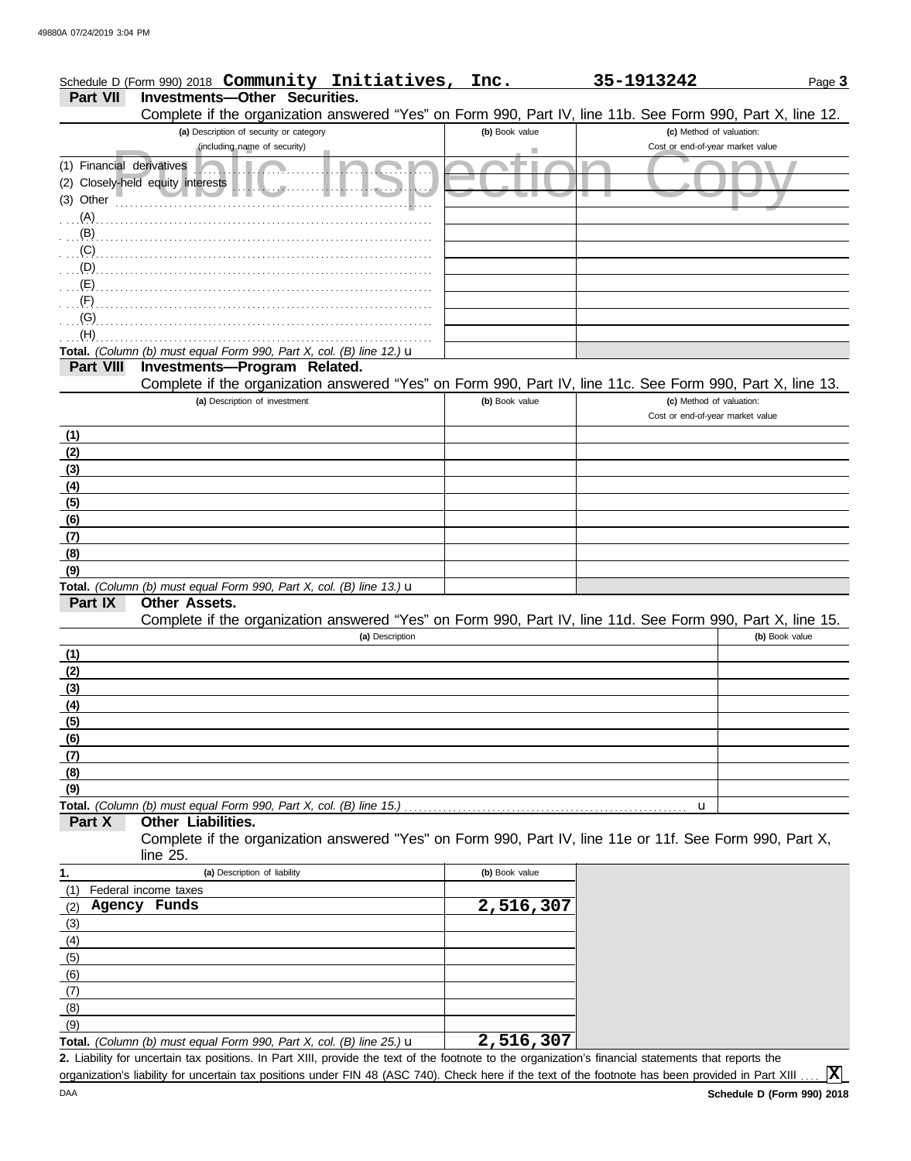|                                                       | Schedule D (Form 990) 2018 Community Initiatives,                                                          | Inc.           | 35-1913242                                                   | Page 3         |
|-------------------------------------------------------|------------------------------------------------------------------------------------------------------------|----------------|--------------------------------------------------------------|----------------|
| Part VII                                              | <b>Investments-Other Securities.</b>                                                                       |                |                                                              |                |
|                                                       | Complete if the organization answered "Yes" on Form 990, Part IV, line 11b. See Form 990, Part X, line 12. |                |                                                              |                |
|                                                       | (a) Description of security or category                                                                    | (b) Book value | (c) Method of valuation:                                     |                |
|                                                       | (including name of security)                                                                               |                | Cost or end-of-year market value                             |                |
| (1) Financial derivatives                             |                                                                                                            |                |                                                              |                |
|                                                       | (2) Closely-held equity interests                                                                          |                |                                                              |                |
| (3) Other                                             |                                                                                                            |                |                                                              |                |
| $(A)$ .                                               |                                                                                                            |                |                                                              |                |
| $\mathbf{B}$                                          |                                                                                                            |                |                                                              |                |
| (C)                                                   |                                                                                                            |                |                                                              |                |
| (D)                                                   |                                                                                                            |                |                                                              |                |
| (E)                                                   |                                                                                                            |                |                                                              |                |
| (F)                                                   |                                                                                                            |                |                                                              |                |
| (G)                                                   |                                                                                                            |                |                                                              |                |
| (H)                                                   |                                                                                                            |                |                                                              |                |
|                                                       | Total. (Column (b) must equal Form 990, Part X, col. (B) line 12.) $\mathbf u$                             |                |                                                              |                |
| <b>Part VIII</b>                                      | Investments-Program Related.                                                                               |                |                                                              |                |
|                                                       | Complete if the organization answered "Yes" on Form 990, Part IV, line 11c. See Form 990, Part X, line 13. |                |                                                              |                |
|                                                       | (a) Description of investment                                                                              | (b) Book value | (c) Method of valuation:<br>Cost or end-of-year market value |                |
|                                                       |                                                                                                            |                |                                                              |                |
| (1)                                                   |                                                                                                            |                |                                                              |                |
| (2)                                                   |                                                                                                            |                |                                                              |                |
| (3)                                                   |                                                                                                            |                |                                                              |                |
| (4)                                                   |                                                                                                            |                |                                                              |                |
| (5)                                                   |                                                                                                            |                |                                                              |                |
| (6)                                                   |                                                                                                            |                |                                                              |                |
| (7)                                                   |                                                                                                            |                |                                                              |                |
| (8)                                                   |                                                                                                            |                |                                                              |                |
| (9)                                                   |                                                                                                            |                |                                                              |                |
| Part IX                                               | Total. (Column (b) must equal Form 990, Part X, col. (B) line 13.) $\mathbf u$<br><b>Other Assets.</b>     |                |                                                              |                |
|                                                       | Complete if the organization answered "Yes" on Form 990, Part IV, line 11d. See Form 990, Part X, line 15. |                |                                                              |                |
|                                                       | (a) Description                                                                                            |                |                                                              | (b) Book value |
| (1)                                                   |                                                                                                            |                |                                                              |                |
|                                                       |                                                                                                            |                |                                                              |                |
| <u>(2)</u><br>(3)                                     |                                                                                                            |                |                                                              |                |
| (4)                                                   |                                                                                                            |                |                                                              |                |
|                                                       |                                                                                                            |                |                                                              |                |
|                                                       |                                                                                                            |                |                                                              |                |
| $rac{(5)}{(6)}$<br>$rac{(6)}{(7)}$<br>$rac{(8)}{(9)}$ |                                                                                                            |                |                                                              |                |
|                                                       |                                                                                                            |                |                                                              |                |
|                                                       |                                                                                                            |                |                                                              |                |
|                                                       | Total. (Column (b) must equal Form 990, Part X, col. (B) line 15.)                                         |                | u                                                            |                |
| Part X                                                | Other Liabilities.                                                                                         |                |                                                              |                |
|                                                       | Complete if the organization answered "Yes" on Form 990, Part IV, line 11e or 11f. See Form 990, Part X,   |                |                                                              |                |
|                                                       | line 25.                                                                                                   |                |                                                              |                |
|                                                       | (a) Description of liability                                                                               | (b) Book value |                                                              |                |
| 1.                                                    |                                                                                                            |                |                                                              |                |

| 1.  | (a) Description of liability                                                           | (b) Book value |
|-----|----------------------------------------------------------------------------------------|----------------|
| (1) | Federal income taxes                                                                   |                |
| (2) | Agency Funds                                                                           | 2,516,307      |
| (3) |                                                                                        |                |
| (4) |                                                                                        |                |
| (5) |                                                                                        |                |
| (6) |                                                                                        |                |
| (7) |                                                                                        |                |
| (8) |                                                                                        |                |
| (9) |                                                                                        |                |
|     | <b>Total.</b> (Column (b) must equal Form 990, Part X, col. (B) line 25.) $\mathbf{u}$ | 2,516,307      |

Liability for uncertain tax positions. In Part XIII, provide the text of the footnote to the organization's financial statements that reports the **2.** organization's liability for uncertain tax positions under FIN 48 (ASC 740). Check here if the text of the footnote has been provided in Part XIII.

**X**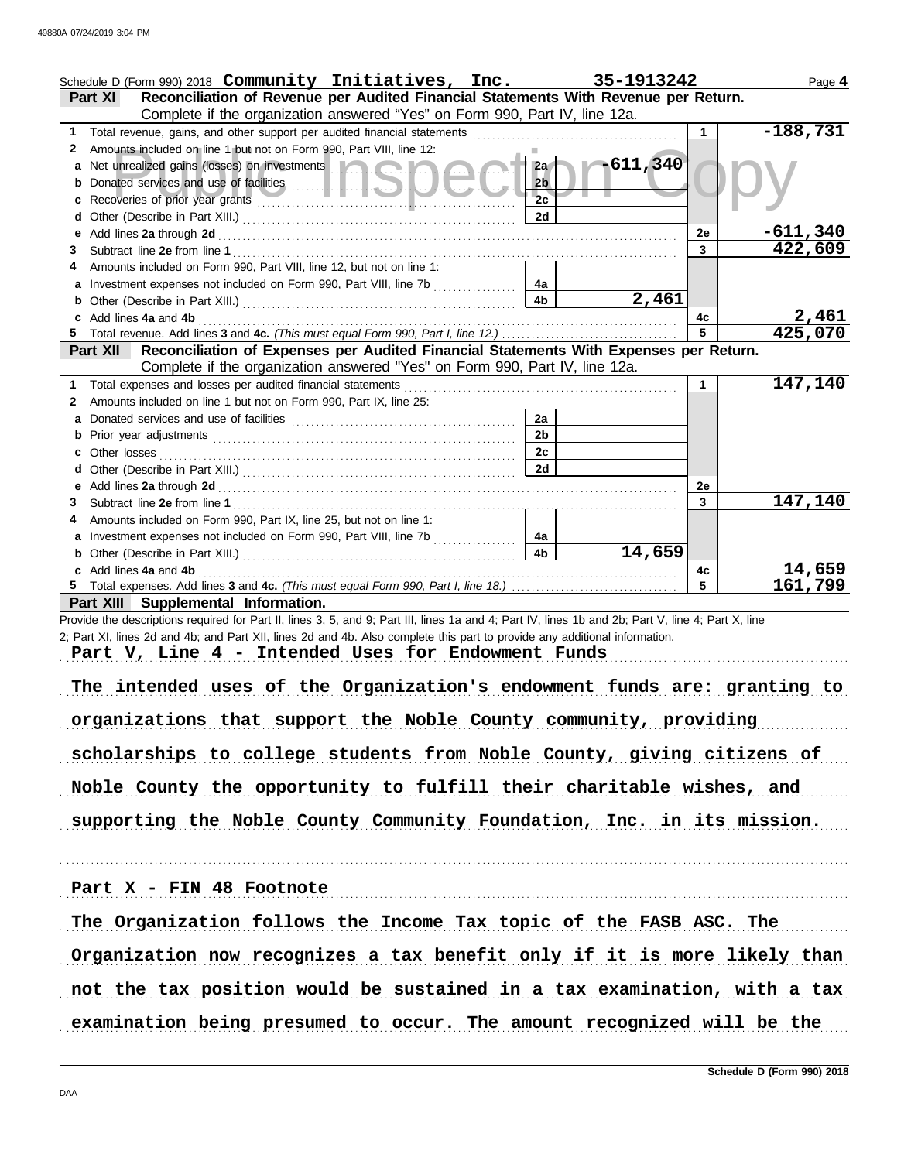|    | Schedule D (Form 990) 2018 Community Initiatives, Inc.                                                                                                                                                                               |                | 35-1913242                                                                                                                                                                                                                           |              | Page 4           |
|----|--------------------------------------------------------------------------------------------------------------------------------------------------------------------------------------------------------------------------------------|----------------|--------------------------------------------------------------------------------------------------------------------------------------------------------------------------------------------------------------------------------------|--------------|------------------|
|    | Reconciliation of Revenue per Audited Financial Statements With Revenue per Return.<br>Part XI                                                                                                                                       |                |                                                                                                                                                                                                                                      |              |                  |
|    | Complete if the organization answered "Yes" on Form 990, Part IV, line 12a.                                                                                                                                                          |                |                                                                                                                                                                                                                                      |              |                  |
| 1. | Total revenue, gains, and other support per audited financial statements                                                                                                                                                             |                |                                                                                                                                                                                                                                      | 1            | $-188,731$       |
| 2  | Amounts included on line 1 but not on Form 990, Part VIII, line 12:                                                                                                                                                                  |                |                                                                                                                                                                                                                                      |              |                  |
|    | Net unrealized gains (losses) on investments <b>the contract of the state of the state of the state of the state of the state of the state of the state of the state of the state of the state of the state of the state of the </b> |                | $2a - 611,340$                                                                                                                                                                                                                       |              |                  |
|    |                                                                                                                                                                                                                                      | 2 <sub>b</sub> |                                                                                                                                                                                                                                      |              |                  |
|    |                                                                                                                                                                                                                                      | 2c             |                                                                                                                                                                                                                                      |              |                  |
|    |                                                                                                                                                                                                                                      | 2d             |                                                                                                                                                                                                                                      |              |                  |
| е  | Add lines 2a through 2d                                                                                                                                                                                                              |                |                                                                                                                                                                                                                                      | <b>2e</b>    | $-611,340$       |
| 3  |                                                                                                                                                                                                                                      |                |                                                                                                                                                                                                                                      | $\mathbf{3}$ | 422,609          |
| 4  | Amounts included on Form 990, Part VIII, line 12, but not on line 1:                                                                                                                                                                 |                |                                                                                                                                                                                                                                      |              |                  |
|    | Investment expenses not included on Form 990, Part VIII, line 7b<br>.                                                                                                                                                                | 4a             |                                                                                                                                                                                                                                      |              |                  |
|    |                                                                                                                                                                                                                                      | 4 <sub>b</sub> | 2,461                                                                                                                                                                                                                                |              |                  |
|    | Add lines 4a and 4b                                                                                                                                                                                                                  |                |                                                                                                                                                                                                                                      | 4c<br>5      | 2,461<br>425,070 |
|    | Reconciliation of Expenses per Audited Financial Statements With Expenses per Return.<br>Part XII                                                                                                                                    |                |                                                                                                                                                                                                                                      |              |                  |
|    | Complete if the organization answered "Yes" on Form 990, Part IV, line 12a.                                                                                                                                                          |                |                                                                                                                                                                                                                                      |              |                  |
| 1. | Total expenses and losses per audited financial statements                                                                                                                                                                           |                |                                                                                                                                                                                                                                      | 1            | 147,140          |
| 2  | Amounts included on line 1 but not on Form 990, Part IX, line 25:                                                                                                                                                                    |                |                                                                                                                                                                                                                                      |              |                  |
| a  |                                                                                                                                                                                                                                      | 2a             |                                                                                                                                                                                                                                      |              |                  |
| b  |                                                                                                                                                                                                                                      | 2 <sub>b</sub> |                                                                                                                                                                                                                                      |              |                  |
|    | Other losses                                                                                                                                                                                                                         | 2c             |                                                                                                                                                                                                                                      |              |                  |
| d  |                                                                                                                                                                                                                                      | 2d             |                                                                                                                                                                                                                                      |              |                  |
| е  |                                                                                                                                                                                                                                      |                |                                                                                                                                                                                                                                      | 2e           |                  |
| 3  |                                                                                                                                                                                                                                      |                |                                                                                                                                                                                                                                      | 3            | 147,140          |
|    | Amounts included on Form 990, Part IX, line 25, but not on line 1:                                                                                                                                                                   |                |                                                                                                                                                                                                                                      |              |                  |
| a  | Investment expenses not included on Form 990, Part VIII, line 7b                                                                                                                                                                     | 4a             |                                                                                                                                                                                                                                      |              |                  |
| b  |                                                                                                                                                                                                                                      | 4 <sub>b</sub> | 14,659                                                                                                                                                                                                                               |              |                  |
|    | c Add lines 4a and 4b                                                                                                                                                                                                                |                | <u> 1986 - Paul Barbara, presidente e político de la presidente de la presidente de la presidente de la presidente de la presidente de la presidente de la presidente de la presidente de la presidente de la presidente de la p</u> | 4с           | 14,659           |
|    |                                                                                                                                                                                                                                      |                |                                                                                                                                                                                                                                      | 5            | 161,799          |
|    | Part XIII Supplemental Information.                                                                                                                                                                                                  |                |                                                                                                                                                                                                                                      |              |                  |
|    | Provide the descriptions required for Part II, lines 3, 5, and 9; Part III, lines 1a and 4; Part IV, lines 1b and 2b; Part V, line 4; Part X, line                                                                                   |                |                                                                                                                                                                                                                                      |              |                  |
|    | 2; Part XI, lines 2d and 4b; and Part XII, lines 2d and 4b. Also complete this part to provide any additional information.                                                                                                           |                |                                                                                                                                                                                                                                      |              |                  |
|    | Part V, Line 4 - Intended Uses for Endowment Funds                                                                                                                                                                                   |                |                                                                                                                                                                                                                                      |              |                  |
|    |                                                                                                                                                                                                                                      |                |                                                                                                                                                                                                                                      |              |                  |
|    | The intended uses of the Organization's endowment funds are: granting to                                                                                                                                                             |                |                                                                                                                                                                                                                                      |              |                  |
|    |                                                                                                                                                                                                                                      |                |                                                                                                                                                                                                                                      |              |                  |
|    | organizations that support the Noble County community, providing                                                                                                                                                                     |                |                                                                                                                                                                                                                                      |              |                  |
|    |                                                                                                                                                                                                                                      |                |                                                                                                                                                                                                                                      |              |                  |
|    | scholarships to college students from Noble County, giving citizens of                                                                                                                                                               |                |                                                                                                                                                                                                                                      |              |                  |
|    | Noble County the opportunity to fulfill their charitable wishes, and                                                                                                                                                                 |                |                                                                                                                                                                                                                                      |              |                  |
|    |                                                                                                                                                                                                                                      |                |                                                                                                                                                                                                                                      |              |                  |
|    | supporting the Noble County Community Foundation, Inc. in its mission.                                                                                                                                                               |                |                                                                                                                                                                                                                                      |              |                  |
|    |                                                                                                                                                                                                                                      |                |                                                                                                                                                                                                                                      |              |                  |
|    | Part X - FIN 48 Footnote                                                                                                                                                                                                             |                |                                                                                                                                                                                                                                      |              |                  |
|    | The Organization follows the Income Tax topic of the FASB ASC. The                                                                                                                                                                   |                |                                                                                                                                                                                                                                      |              |                  |

Organization now recognizes a tax benefit only if it is more likely than

not the tax position would be sustained in a tax examination, with a tax

examination being presumed to occur. The amount recognized will be the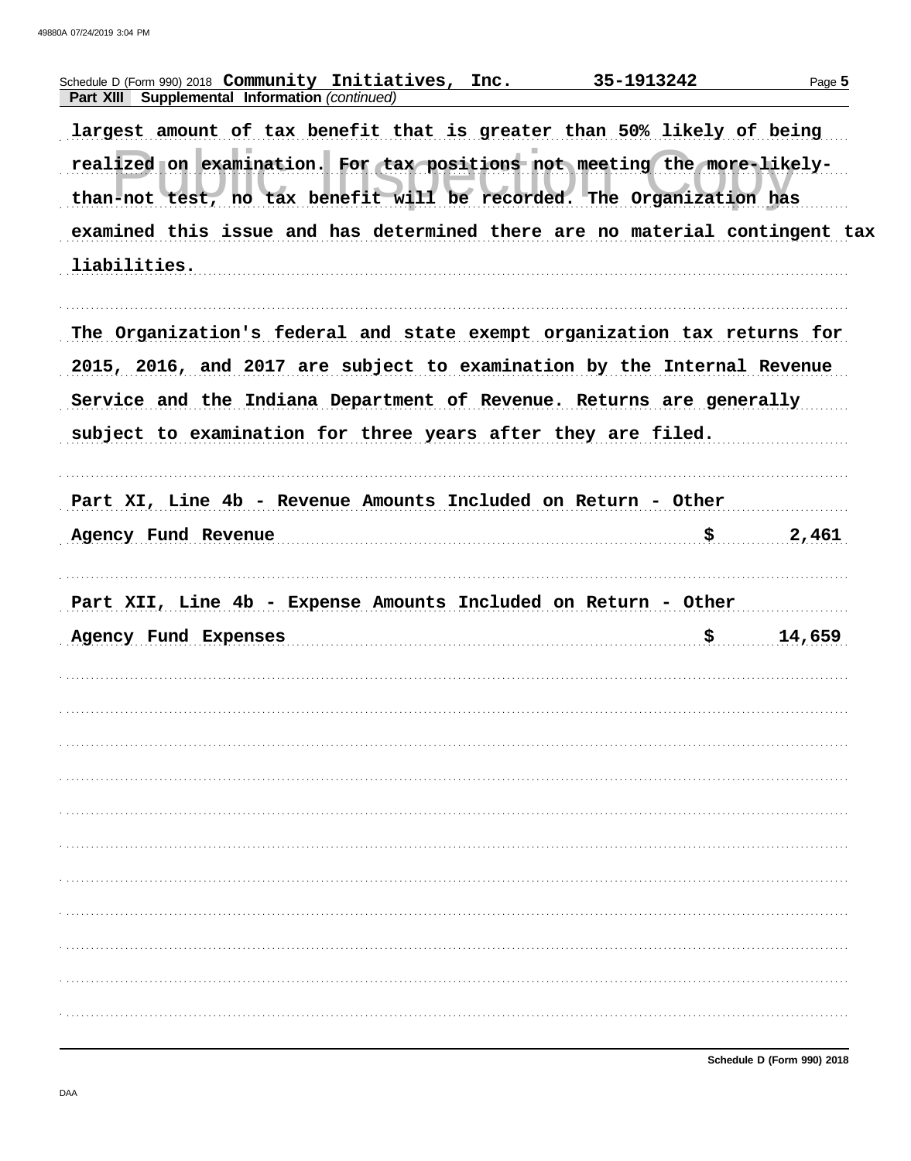| Schedule D (Form 990) 2018 Community Initiatives, Inc.                      | 35-1913242 |        |
|-----------------------------------------------------------------------------|------------|--------|
| Part XIII Supplemental Information (continued)                              |            |        |
| largest amount of tax benefit that is greater than 50% likely of being      |            |        |
| realized on examination. For tax positions not meeting the more-likely-     |            |        |
| than-not test, no tax benefit will be recorded. The Organization has        |            |        |
| examined this issue and has determined there are no material contingent tax |            |        |
| liabilities.                                                                |            |        |
|                                                                             |            |        |
| The Organization's federal and state exempt organization tax returns for    |            |        |
|                                                                             |            |        |
| 2015, 2016, and 2017 are subject to examination by the Internal Revenue     |            |        |
| Service and the Indiana Department of Revenue. Returns are generally        |            |        |
| subject to examination for three years after they are filed.                |            |        |
|                                                                             |            |        |
| Part XI, Line 4b - Revenue Amounts Included on Return - Other               |            |        |
|                                                                             |            |        |
|                                                                             |            |        |
|                                                                             | \$.        | 2,461  |
| Agency Fund Revenue                                                         |            |        |
| Part XII, Line 4b - Expense Amounts Included on Return - Other              |            |        |
| Agency Fund Expenses                                                        | \$         | 14,659 |
|                                                                             |            |        |
|                                                                             |            |        |
|                                                                             |            |        |
|                                                                             |            |        |
|                                                                             |            |        |
|                                                                             |            |        |
|                                                                             |            |        |
|                                                                             |            |        |
|                                                                             |            |        |
|                                                                             |            |        |
|                                                                             |            |        |
|                                                                             |            |        |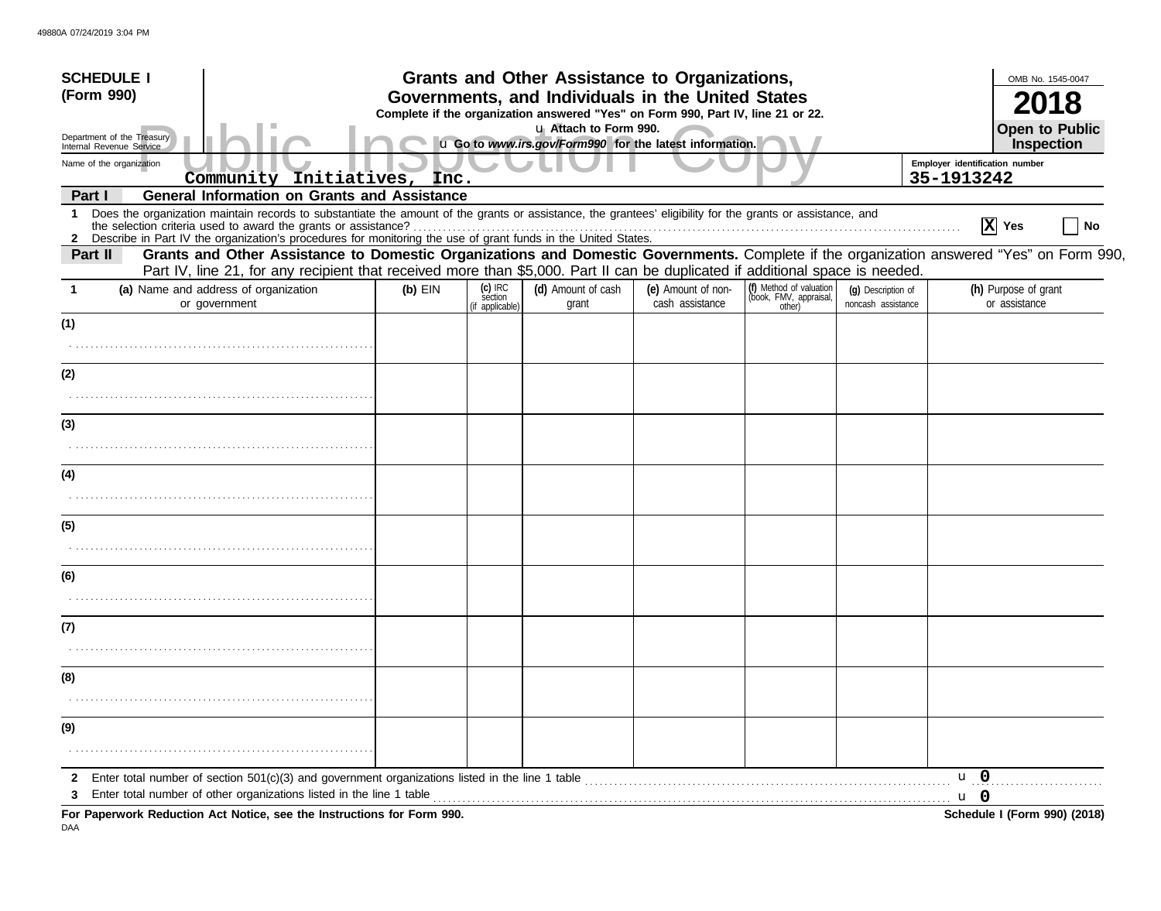| <b>SCHEDULE I</b>                                                                                                                                   |                                                                                                                                                                                                                                                                                                                                                                                              |           |                                       | Grants and Other Assistance to Organizations, |                                       |                                                             |                                          |                                | OMB No. 1545-0047                     |
|-----------------------------------------------------------------------------------------------------------------------------------------------------|----------------------------------------------------------------------------------------------------------------------------------------------------------------------------------------------------------------------------------------------------------------------------------------------------------------------------------------------------------------------------------------------|-----------|---------------------------------------|-----------------------------------------------|---------------------------------------|-------------------------------------------------------------|------------------------------------------|--------------------------------|---------------------------------------|
| (Form 990)<br>Governments, and Individuals in the United States<br>Complete if the organization answered "Yes" on Form 990, Part IV, line 21 or 22. |                                                                                                                                                                                                                                                                                                                                                                                              |           |                                       |                                               |                                       |                                                             |                                          |                                |                                       |
| u Attach to Form 990.<br>Department of the Treasury<br>u Go to www.irs.gov/Form990 for the latest information.<br>Internal Revenue Service          |                                                                                                                                                                                                                                                                                                                                                                                              |           |                                       |                                               |                                       |                                                             |                                          |                                | <b>Open to Public</b><br>Inspection   |
| Name of the organization                                                                                                                            |                                                                                                                                                                                                                                                                                                                                                                                              |           |                                       |                                               |                                       |                                                             |                                          | Employer identification number |                                       |
|                                                                                                                                                     | Community Initiatives, Inc.                                                                                                                                                                                                                                                                                                                                                                  |           |                                       |                                               |                                       |                                                             |                                          | 35-1913242                     |                                       |
| Part I<br>1                                                                                                                                         | <b>General Information on Grants and Assistance</b><br>Does the organization maintain records to substantiate the amount of the grants or assistance, the grantees' eligibility for the grants or assistance, and<br>the selection criteria used to award the grants or assistance?                                                                                                          |           |                                       |                                               |                                       |                                                             |                                          |                                | $\overline{X}$ Yes<br><b>No</b>       |
| Part II                                                                                                                                             | 2 Describe in Part IV the organization's procedures for monitoring the use of grant funds in the United States.<br>Grants and Other Assistance to Domestic Organizations and Domestic Governments. Complete if the organization answered "Yes" on Form 990.<br>Part IV, line 21, for any recipient that received more than \$5,000. Part II can be duplicated if additional space is needed. |           |                                       |                                               |                                       |                                                             |                                          |                                |                                       |
| -1                                                                                                                                                  | (a) Name and address of organization<br>or government                                                                                                                                                                                                                                                                                                                                        | $(b)$ EIN | (c) IRC<br>section<br>(if applicable) | (d) Amount of cash<br>grant                   | (e) Amount of non-<br>cash assistance | (f) Method of valuation<br>(book, FMV, appraisal,<br>other) | (g) Description of<br>noncash assistance |                                | (h) Purpose of grant<br>or assistance |
| (1)                                                                                                                                                 |                                                                                                                                                                                                                                                                                                                                                                                              |           |                                       |                                               |                                       |                                                             |                                          |                                |                                       |
| (2)                                                                                                                                                 |                                                                                                                                                                                                                                                                                                                                                                                              |           |                                       |                                               |                                       |                                                             |                                          |                                |                                       |
|                                                                                                                                                     |                                                                                                                                                                                                                                                                                                                                                                                              |           |                                       |                                               |                                       |                                                             |                                          |                                |                                       |
| (3)                                                                                                                                                 |                                                                                                                                                                                                                                                                                                                                                                                              |           |                                       |                                               |                                       |                                                             |                                          |                                |                                       |
| (4)                                                                                                                                                 |                                                                                                                                                                                                                                                                                                                                                                                              |           |                                       |                                               |                                       |                                                             |                                          |                                |                                       |
|                                                                                                                                                     |                                                                                                                                                                                                                                                                                                                                                                                              |           |                                       |                                               |                                       |                                                             |                                          |                                |                                       |
| (5)                                                                                                                                                 |                                                                                                                                                                                                                                                                                                                                                                                              |           |                                       |                                               |                                       |                                                             |                                          |                                |                                       |
|                                                                                                                                                     |                                                                                                                                                                                                                                                                                                                                                                                              |           |                                       |                                               |                                       |                                                             |                                          |                                |                                       |
| (6)                                                                                                                                                 |                                                                                                                                                                                                                                                                                                                                                                                              |           |                                       |                                               |                                       |                                                             |                                          |                                |                                       |
| (7)                                                                                                                                                 |                                                                                                                                                                                                                                                                                                                                                                                              |           |                                       |                                               |                                       |                                                             |                                          |                                |                                       |
| (8)                                                                                                                                                 |                                                                                                                                                                                                                                                                                                                                                                                              |           |                                       |                                               |                                       |                                                             |                                          |                                |                                       |
| (9)                                                                                                                                                 |                                                                                                                                                                                                                                                                                                                                                                                              |           |                                       |                                               |                                       |                                                             |                                          |                                |                                       |
|                                                                                                                                                     |                                                                                                                                                                                                                                                                                                                                                                                              |           |                                       |                                               |                                       |                                                             |                                          |                                |                                       |
| 2                                                                                                                                                   |                                                                                                                                                                                                                                                                                                                                                                                              |           |                                       |                                               |                                       |                                                             |                                          | $\mathbf{u}$ 0                 |                                       |
| 3                                                                                                                                                   | For Paperwork Reduction Act Notice, see the Instructions for Form 990.                                                                                                                                                                                                                                                                                                                       |           |                                       |                                               |                                       |                                                             |                                          | <b>u</b> 0                     | Schedule I (Form 990) (2018)          |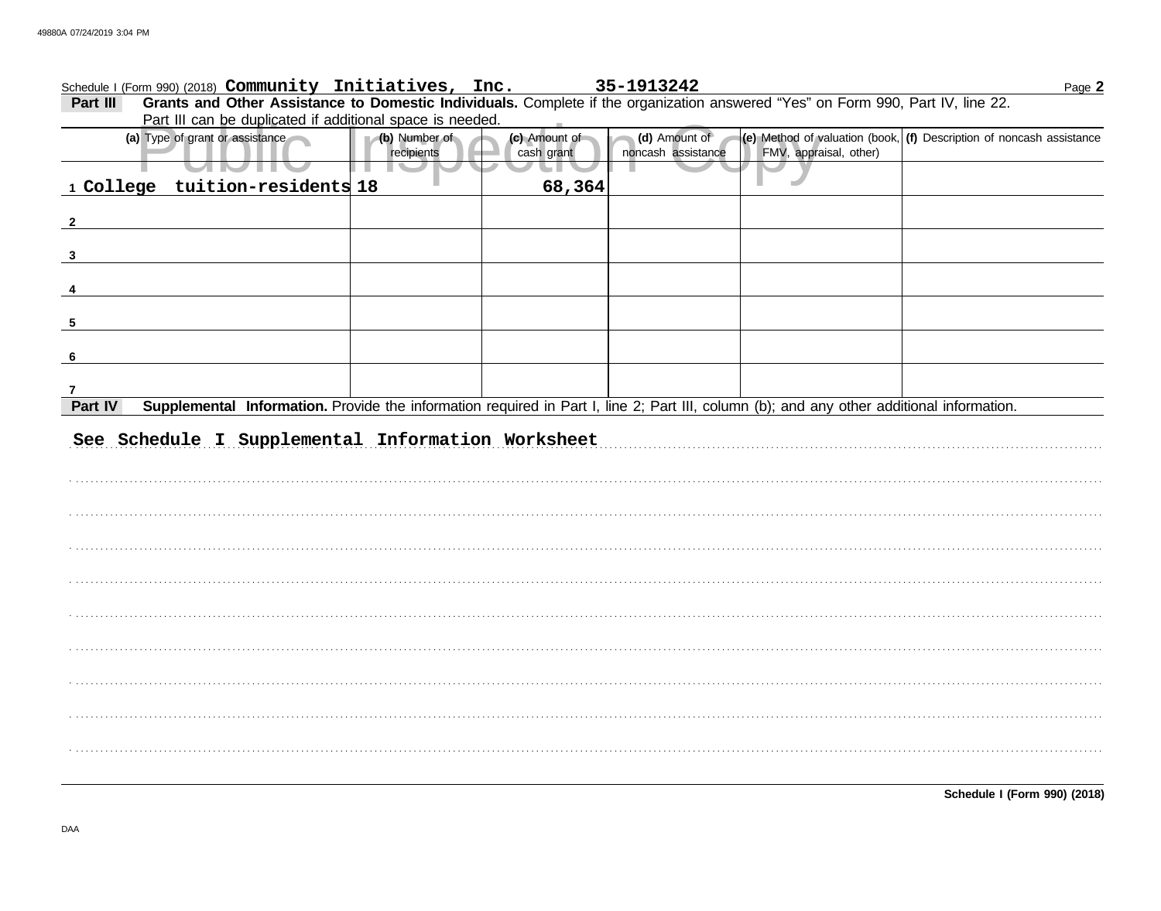|              |                |                                 | Schedule I (Form 990) (2018) Community Initiatives, Inc.  |                                                                                                                                           | 35-1913242                          |  |                        |  | Page 2                                                                                                                   |
|--------------|----------------|---------------------------------|-----------------------------------------------------------|-------------------------------------------------------------------------------------------------------------------------------------------|-------------------------------------|--|------------------------|--|--------------------------------------------------------------------------------------------------------------------------|
| Part III     |                |                                 | Part III can be duplicated if additional space is needed. | Grants and Other Assistance to Domestic Individuals. Complete if the organization answered "Yes" on Form 990, Part IV, line 22.           |                                     |  |                        |  |                                                                                                                          |
|              | $\blacksquare$ | (a) Type of grant or assistance | (b) Number of<br>recipients                               | (c) Amount of<br>cash grant                                                                                                               | (d) Amount of<br>noncash assistance |  | FMV, appraisal, other) |  | $\left  \textbf{(e)} \right $ Method of valuation (book, $\left  \textbf{(f)} \right $ Description of noncash assistance |
|              |                | 1 College tuition-residents 18  |                                                           | 68,364                                                                                                                                    |                                     |  |                        |  |                                                                                                                          |
| $\mathbf{2}$ |                |                                 |                                                           |                                                                                                                                           |                                     |  |                        |  |                                                                                                                          |
| $\mathbf{3}$ |                |                                 |                                                           |                                                                                                                                           |                                     |  |                        |  |                                                                                                                          |
|              |                |                                 |                                                           |                                                                                                                                           |                                     |  |                        |  |                                                                                                                          |
| 5            |                |                                 |                                                           |                                                                                                                                           |                                     |  |                        |  |                                                                                                                          |
| 6            |                |                                 |                                                           |                                                                                                                                           |                                     |  |                        |  |                                                                                                                          |
|              |                |                                 |                                                           |                                                                                                                                           |                                     |  |                        |  |                                                                                                                          |
| Part IV      |                |                                 |                                                           | Supplemental Information. Provide the information required in Part I, line 2; Part III, column (b); and any other additional information. |                                     |  |                        |  |                                                                                                                          |
|              |                |                                 |                                                           | See Schedule I Supplemental Information Worksheet                                                                                         |                                     |  |                        |  |                                                                                                                          |
|              |                |                                 |                                                           |                                                                                                                                           |                                     |  |                        |  |                                                                                                                          |
|              |                |                                 |                                                           |                                                                                                                                           |                                     |  |                        |  |                                                                                                                          |
|              |                |                                 |                                                           |                                                                                                                                           |                                     |  |                        |  |                                                                                                                          |
|              |                |                                 |                                                           |                                                                                                                                           |                                     |  |                        |  |                                                                                                                          |
|              |                |                                 |                                                           |                                                                                                                                           |                                     |  |                        |  |                                                                                                                          |
|              |                |                                 |                                                           |                                                                                                                                           |                                     |  |                        |  |                                                                                                                          |
|              |                |                                 |                                                           |                                                                                                                                           |                                     |  |                        |  |                                                                                                                          |
|              |                |                                 |                                                           |                                                                                                                                           |                                     |  |                        |  |                                                                                                                          |
|              |                |                                 |                                                           |                                                                                                                                           |                                     |  |                        |  |                                                                                                                          |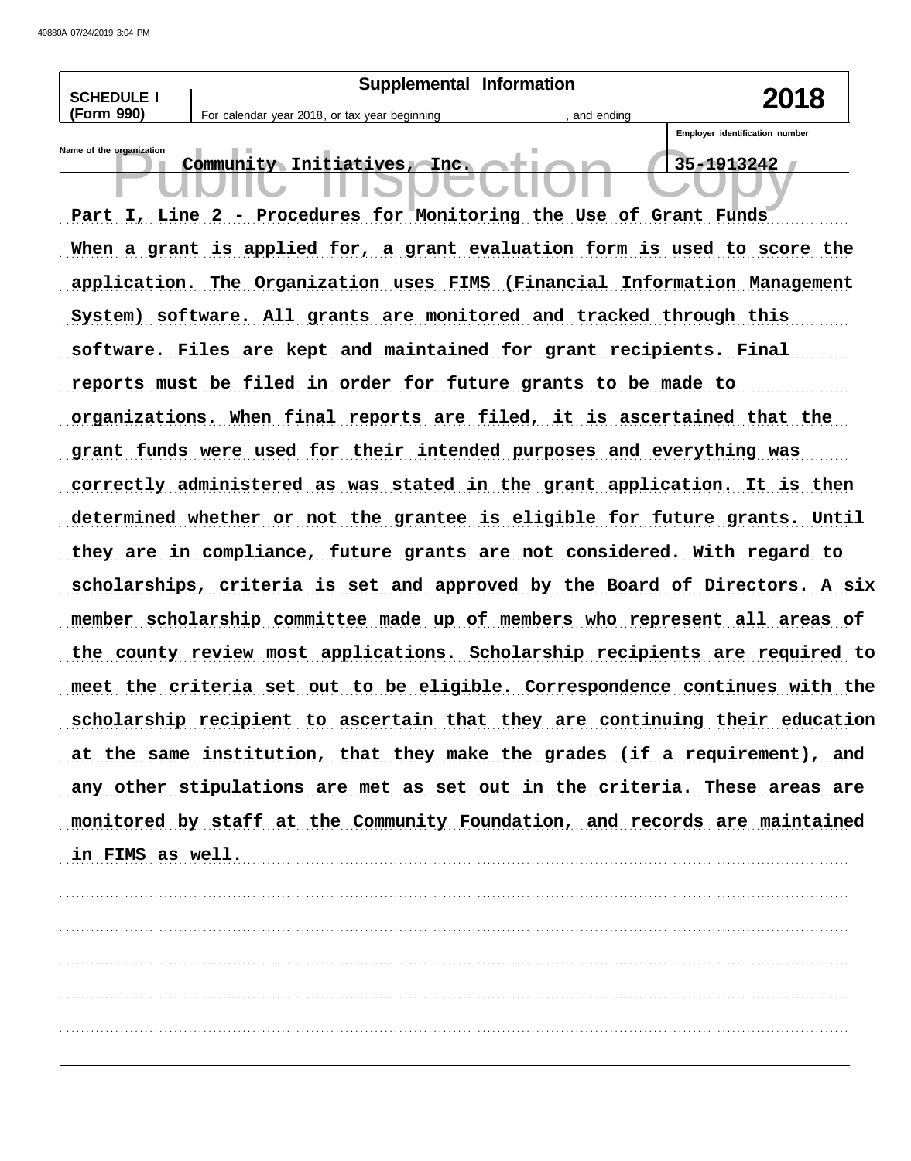| <b>SCHEDULE I</b>        | Supplemental Information                                                                         |                                              |
|--------------------------|--------------------------------------------------------------------------------------------------|----------------------------------------------|
| (Form 990)               | For calendar year 2018, or tax year beginning<br>, and ending                                    | 2018                                         |
| Name of the organization | Community Initiatives, Inc.<br>Part I, Line 2 - Procedures for Monitoring the Use of Grant Funds | Employer identification number<br>35-1913242 |
|                          | When a grant is applied for, a grant evaluation form is used to score the                        |                                              |
|                          | application. The Organization uses FIMS (Financial Information Management                        |                                              |
|                          | System) software. All grants are monitored and tracked through this                              |                                              |
|                          | software. Files are kept and maintained for grant recipients. Final                              |                                              |
|                          | reports must be filed in order for future grants to be made to                                   |                                              |
|                          | organizations. When final reports are filed, it is ascertained that the                          |                                              |
|                          | grant funds were used for their intended purposes and everything was                             |                                              |
|                          | correctly administered as was stated in the grant application. It is then                        |                                              |
|                          | determined whether or not the grantee is eligible for future grants. Until                       |                                              |
|                          | they are in compliance, future grants are not considered. With regard to                         |                                              |
|                          | scholarships, criteria is set and approved by the Board of Directors. A six                      |                                              |
|                          | member scholarship committee made up of members who represent all areas of                       |                                              |
|                          | the county review most applications. Scholarship recipients are required to                      |                                              |
|                          | meet the criteria set out to be eligible. Correspondence continues with the                      |                                              |
|                          | scholarship recipient to ascertain that they are continuing their education                      |                                              |
|                          | at the same institution, that they make the grades (if a requirement), and                       |                                              |
|                          | any other stipulations are met as set out in the criteria. These areas are                       |                                              |
|                          | monitored by staff at the Community Foundation, and records are maintained                       |                                              |
| in FIMS as well.         |                                                                                                  |                                              |
|                          |                                                                                                  |                                              |
|                          |                                                                                                  |                                              |
|                          |                                                                                                  |                                              |
|                          |                                                                                                  |                                              |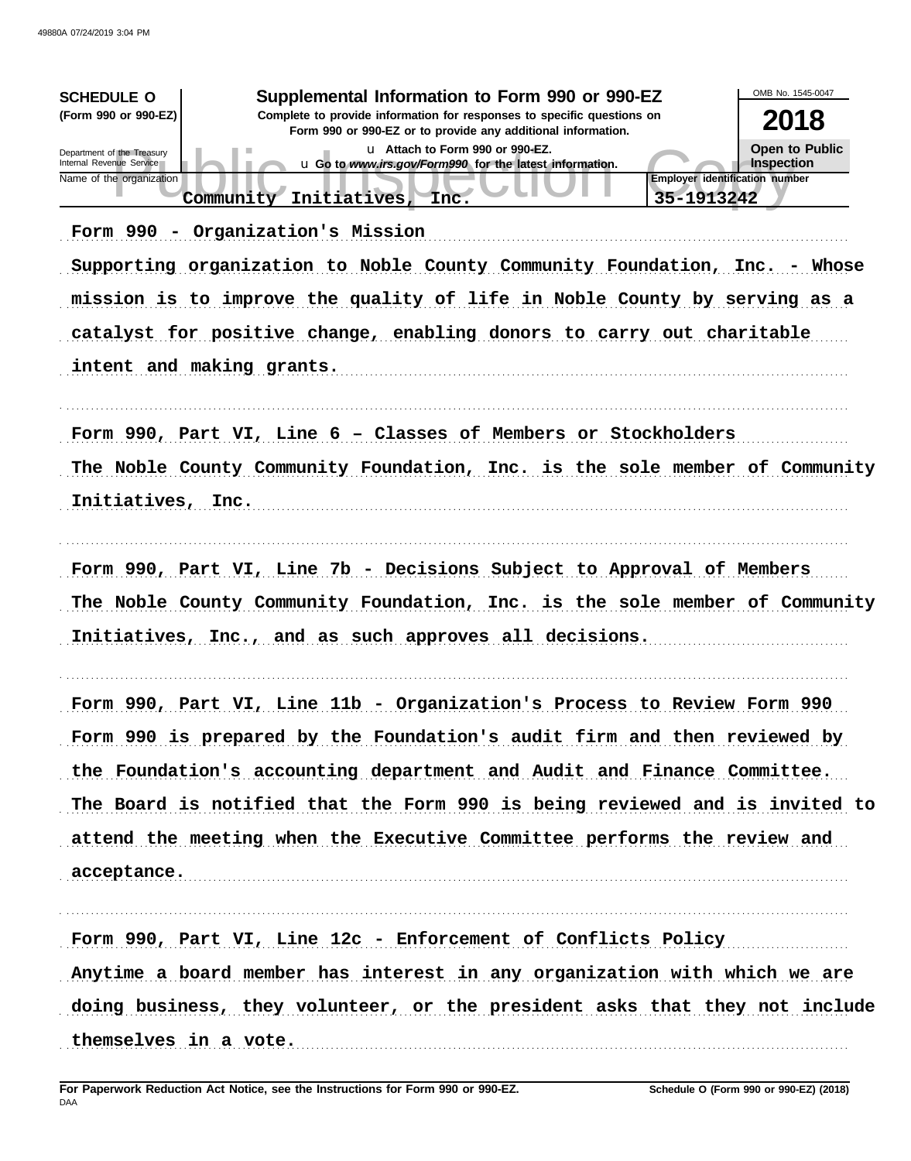| Supplemental Information to Form 990 or 990-EZ<br><b>SCHEDULE O</b><br>(Form 990 or 990-EZ)<br>Complete to provide information for responses to specific questions on<br>Form 990 or 990-EZ or to provide any additional information.<br>u Attach to Form 990 or 990-EZ.<br>Department of the Treasury<br>Internal Revenue Service<br>u Go to www.irs.gov/Form990 for the latest information.<br>Employer identification number<br>Name of the organization<br>35-1913242<br>Initiatives,<br>Community<br>Inc.<br>Form 990 - Organization's Mission<br>Supporting organization to Noble County Community Foundation, Inc. - Whose<br>mission is to improve the quality of life in Noble County by serving as a<br>catalyst for positive change, enabling donors to carry out charitable<br>intent and making grants. | OMB No. 1545-0047<br>2018<br>Open to Public<br><b>Inspection</b> |
|----------------------------------------------------------------------------------------------------------------------------------------------------------------------------------------------------------------------------------------------------------------------------------------------------------------------------------------------------------------------------------------------------------------------------------------------------------------------------------------------------------------------------------------------------------------------------------------------------------------------------------------------------------------------------------------------------------------------------------------------------------------------------------------------------------------------|------------------------------------------------------------------|
| Form 990, Part VI, Line 6 - Classes of Members or Stockholders<br>The Noble County Community Foundation, Inc. is the sole member of Community<br>Initiatives, Inc.                                                                                                                                                                                                                                                                                                                                                                                                                                                                                                                                                                                                                                                   |                                                                  |
| Form 990, Part VI, Line 7b - Decisions Subject to Approval of Members<br>The Noble County Community Foundation, Inc. is the sole member of Community<br>Initiatives, Inc., and as such approves all decisions.                                                                                                                                                                                                                                                                                                                                                                                                                                                                                                                                                                                                       |                                                                  |
| Form 990, Part VI, Line 11b - Organization's Process to Review Form 990<br>Form 990 is prepared by the Foundation's audit firm and then reviewed by<br>the Foundation's accounting department and Audit and Finance Committee.<br>The Board is notified that the Form 990 is being reviewed and is invited to<br>attend the meeting when the Executive Committee performs the review and<br>acceptance.                                                                                                                                                                                                                                                                                                                                                                                                              |                                                                  |
| Form 990, Part VI, Line 12c - Enforcement of Conflicts Policy<br>Anytime a board member has interest in any organization with which we are<br>doing business, they volunteer, or the president asks that they not include<br>themselves in a vote.                                                                                                                                                                                                                                                                                                                                                                                                                                                                                                                                                                   |                                                                  |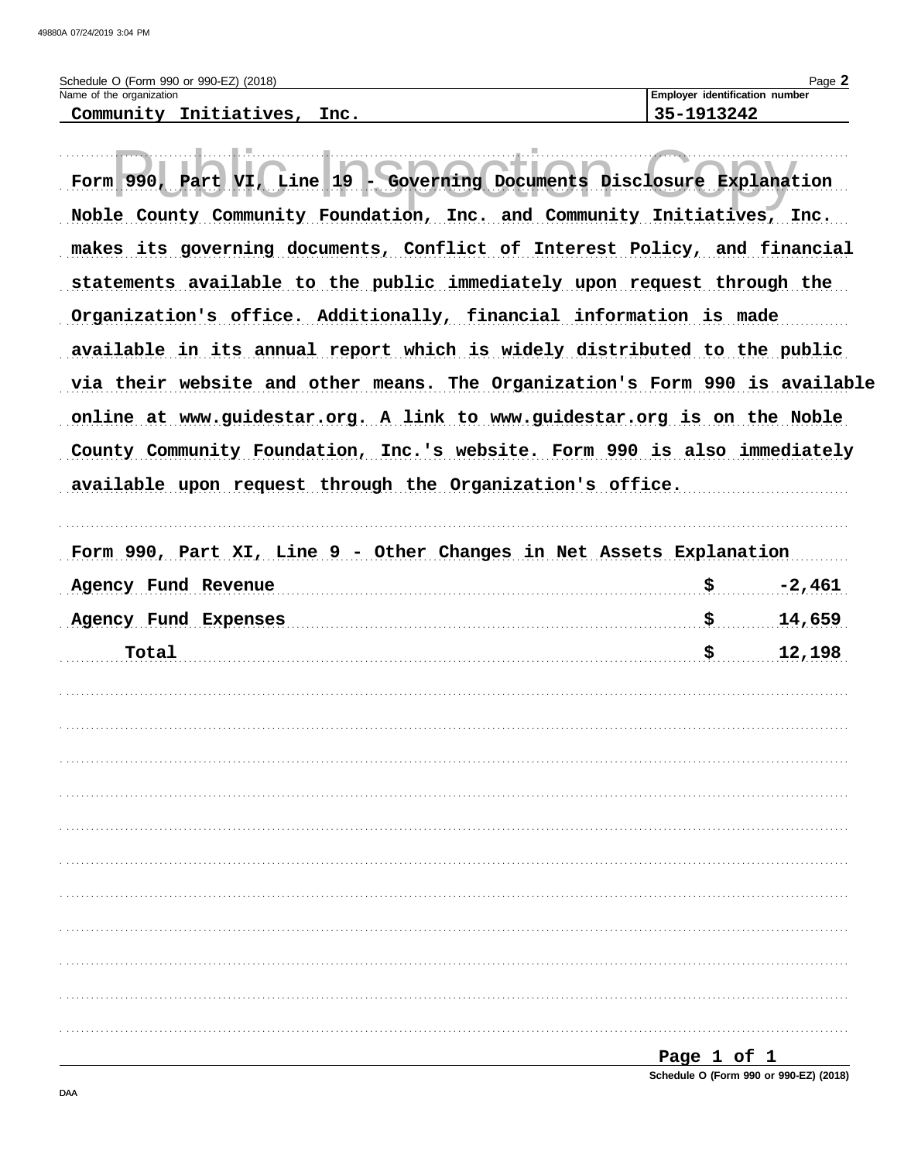| Schedule O (Form 990 or 990-EZ) (2018) | $P$ aqe $\blacktriangle$              |
|----------------------------------------|---------------------------------------|
| Name of the organization               | <b>Employer identification number</b> |
| Community Initiatives,<br>Inc.         | 35-1913242                            |

| Form 990, Part VI, Line 19 - Governing Documents Disclosure Explanation     |             |          |
|-----------------------------------------------------------------------------|-------------|----------|
| Noble County Community Foundation, Inc. and Community Initiatives, Inc.     |             |          |
| makes its governing documents, Conflict of Interest Policy, and financial   |             |          |
| statements available to the public immediately upon request through the     |             |          |
| Organization's office. Additionally, financial information is made          |             |          |
| available in its annual report which is widely distributed to the public    |             |          |
| via their website and other means. The Organization's Form 990 is available |             |          |
| online at www.guidestar.org. A link to www.guidestar.org is on the Noble    |             |          |
| County Community Foundation, Inc.'s website. Form 990 is also immediately   |             |          |
| available upon request through the Organization's office.                   |             |          |
|                                                                             |             |          |
| Form 990, Part XI, Line 9 - Other Changes in Net Assets Explanation         |             |          |
| Agency Fund Revenue                                                         | \$          | $-2,461$ |
| Agency Fund Expenses                                                        | \$          | 14,659   |
| Total                                                                       | \$          | 12,198   |
|                                                                             |             |          |
|                                                                             |             |          |
|                                                                             |             |          |
|                                                                             |             |          |
|                                                                             |             |          |
|                                                                             |             |          |
|                                                                             |             |          |
|                                                                             |             |          |
|                                                                             |             |          |
|                                                                             |             |          |
|                                                                             |             |          |
|                                                                             | Page 1 of 1 |          |

Schedule O (Form 990 or 990-EZ) (2018)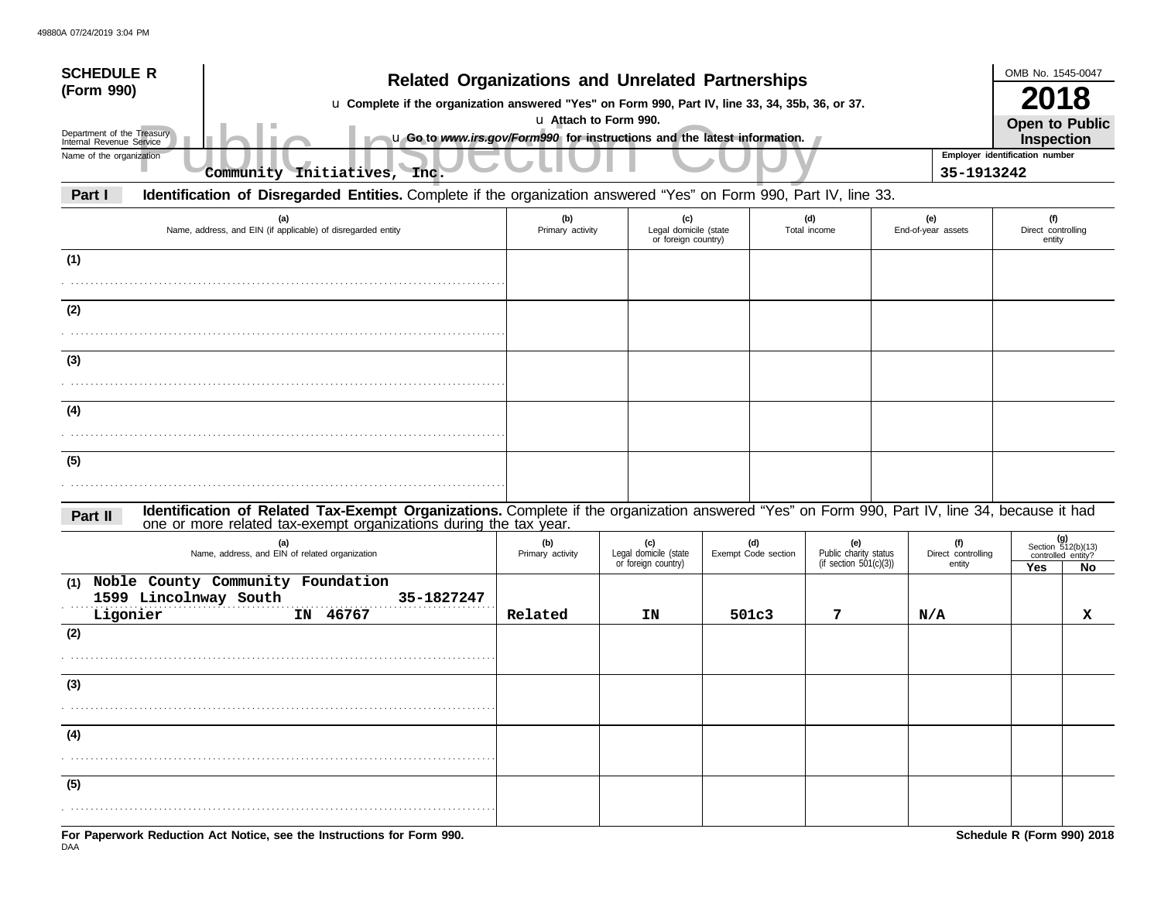| <b>SCHEDULE R</b><br>(Form 990)<br>Department of the Treasury<br>Internal Revenue Service | <b>Related Organizations and Unrelated Partnerships</b><br>u Complete if the organization answered "Yes" on Form 990, Part IV, line 33, 34, 35b, 36, or 37.<br>u Attach to Form 990.<br>u Go to www.irs.gov/Form990 for instructions and the latest information. |                         |                                                     |                            |                                                        |                                     |                                                          |    |  |
|-------------------------------------------------------------------------------------------|------------------------------------------------------------------------------------------------------------------------------------------------------------------------------------------------------------------------------------------------------------------|-------------------------|-----------------------------------------------------|----------------------------|--------------------------------------------------------|-------------------------------------|----------------------------------------------------------|----|--|
| Name of the organization                                                                  | Community Initiatives, Inc.                                                                                                                                                                                                                                      |                         |                                                     |                            |                                                        | 35-1913242                          | Employer identification number                           |    |  |
| Part I                                                                                    | Identification of Disregarded Entities. Complete if the organization answered "Yes" on Form 990, Part IV, line 33.                                                                                                                                               |                         |                                                     |                            |                                                        |                                     |                                                          |    |  |
| (a)<br>Name, address, and EIN (if applicable) of disregarded entity                       |                                                                                                                                                                                                                                                                  | (b)<br>Primary activity | (c)<br>Legal domicile (state<br>or foreign country) |                            | (d)<br>Total income                                    | (e)<br>End-of-year assets           | (f)<br>Direct controlling<br>entity                      |    |  |
| (1)                                                                                       |                                                                                                                                                                                                                                                                  |                         |                                                     |                            |                                                        |                                     |                                                          |    |  |
| (2)                                                                                       |                                                                                                                                                                                                                                                                  |                         |                                                     |                            |                                                        |                                     |                                                          |    |  |
| (3)                                                                                       |                                                                                                                                                                                                                                                                  |                         |                                                     |                            |                                                        |                                     |                                                          |    |  |
| (4)                                                                                       |                                                                                                                                                                                                                                                                  |                         |                                                     |                            |                                                        |                                     |                                                          |    |  |
|                                                                                           |                                                                                                                                                                                                                                                                  |                         |                                                     |                            |                                                        |                                     |                                                          |    |  |
| (5)                                                                                       |                                                                                                                                                                                                                                                                  |                         |                                                     |                            |                                                        |                                     |                                                          |    |  |
| Part II                                                                                   | Identification of Related Tax-Exempt Organizations. Complete if the organization answered "Yes" on Form 990, Part IV, line 34, because it had<br>one or more related tax-exempt organizations during the tax year.                                               |                         |                                                     |                            |                                                        |                                     |                                                          |    |  |
|                                                                                           | (a)<br>Name, address, and EIN of related organization                                                                                                                                                                                                            | (b)<br>Primary activity | (c)<br>Legal domicile (state<br>or foreign country) | (d)<br>Exempt Code section | (e)<br>Public charity status<br>(if section 501(c)(3)) | (f)<br>Direct controlling<br>entity | $(g)$<br>Section 512(b)(13)<br>controlled entity?<br>Yes | No |  |
| 1599 Lincolnway South<br>Ligonier                                                         | (1) Noble County Community Foundation<br>35-1827247<br>46767<br>IN                                                                                                                                                                                               | Related                 | IN                                                  | 501c3                      | 7                                                      | N/A                                 |                                                          | x  |  |
| (2)                                                                                       |                                                                                                                                                                                                                                                                  |                         |                                                     |                            |                                                        |                                     |                                                          |    |  |
| (3)                                                                                       |                                                                                                                                                                                                                                                                  |                         |                                                     |                            |                                                        |                                     |                                                          |    |  |
|                                                                                           |                                                                                                                                                                                                                                                                  |                         |                                                     |                            |                                                        |                                     |                                                          |    |  |
| (4)                                                                                       |                                                                                                                                                                                                                                                                  |                         |                                                     |                            |                                                        |                                     |                                                          |    |  |
| (5)                                                                                       |                                                                                                                                                                                                                                                                  |                         |                                                     |                            |                                                        |                                     |                                                          |    |  |
|                                                                                           | For Paperwork Reduction Act Notice, see the Instructions for Form 990.                                                                                                                                                                                           |                         |                                                     |                            |                                                        |                                     | Schedule R (Form 990) 2018                               |    |  |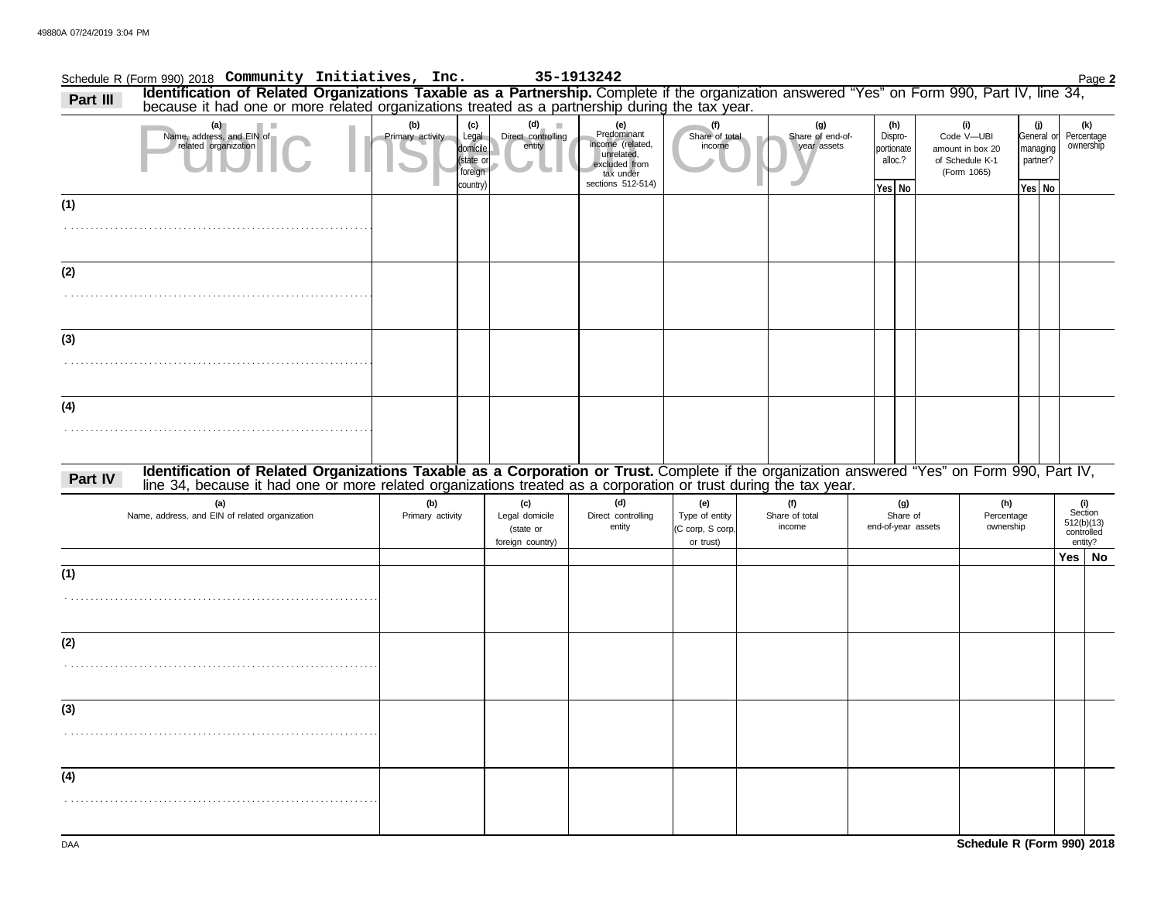|          | Schedule R (Form 990) 2018 Community Initiatives, Inc.                                                                                                                                                                                                           |                         |                                                              |                                                        | 35-1913242                                                                                              |                                                        |                                        |                                                   |                                                                         |                                |                                                     | Page 2                                                |
|----------|------------------------------------------------------------------------------------------------------------------------------------------------------------------------------------------------------------------------------------------------------------------|-------------------------|--------------------------------------------------------------|--------------------------------------------------------|---------------------------------------------------------------------------------------------------------|--------------------------------------------------------|----------------------------------------|---------------------------------------------------|-------------------------------------------------------------------------|--------------------------------|-----------------------------------------------------|-------------------------------------------------------|
| Part III | Identification of Related Organizations Taxable as a Partnership. Complete if the organization answered "Yes" on Form 990, Part IV, line 34, because it had one or more related organizations treated as a partnership during                                    |                         |                                                              |                                                        |                                                                                                         |                                                        |                                        |                                                   |                                                                         |                                |                                                     |                                                       |
|          | (a)<br>Name, address, and EIN of<br>related organization                                                                                                                                                                                                         | (b)<br>Primary activity | (c)<br>Legal<br>domicile<br>(state or<br>foreign<br>country) | (d)<br>Direct controlling<br>entity                    | (e)<br>Predominant<br>income (related,<br>unrelated,<br>excluded from<br>tax under<br>sections 512-514) | (f)<br>Share of total<br>income                        | (g)<br>Share of end-of-<br>year assets | (h)<br>Dispro-<br>portionate<br>alloc.?<br>Yes No | (i)<br>Code V-UBI<br>amount in box 20<br>of Schedule K-1<br>(Form 1065) |                                | (j)<br>General or<br>managing<br>partner?<br>Yes No | (k)<br>Percentage<br>ownership                        |
| (1)      |                                                                                                                                                                                                                                                                  |                         |                                                              |                                                        |                                                                                                         |                                                        |                                        |                                                   |                                                                         |                                |                                                     |                                                       |
|          |                                                                                                                                                                                                                                                                  |                         |                                                              |                                                        |                                                                                                         |                                                        |                                        |                                                   |                                                                         |                                |                                                     |                                                       |
| (2)      |                                                                                                                                                                                                                                                                  |                         |                                                              |                                                        |                                                                                                         |                                                        |                                        |                                                   |                                                                         |                                |                                                     |                                                       |
|          |                                                                                                                                                                                                                                                                  |                         |                                                              |                                                        |                                                                                                         |                                                        |                                        |                                                   |                                                                         |                                |                                                     |                                                       |
| (3)      |                                                                                                                                                                                                                                                                  |                         |                                                              |                                                        |                                                                                                         |                                                        |                                        |                                                   |                                                                         |                                |                                                     |                                                       |
|          |                                                                                                                                                                                                                                                                  |                         |                                                              |                                                        |                                                                                                         |                                                        |                                        |                                                   |                                                                         |                                |                                                     |                                                       |
| (4)      |                                                                                                                                                                                                                                                                  |                         |                                                              |                                                        |                                                                                                         |                                                        |                                        |                                                   |                                                                         |                                |                                                     |                                                       |
|          |                                                                                                                                                                                                                                                                  |                         |                                                              |                                                        |                                                                                                         |                                                        |                                        |                                                   |                                                                         |                                |                                                     |                                                       |
| Part IV  | Identification of Related Organizations Taxable as a Corporation or Trust. Complete if the organization answered "Yes" on Form 990, Part IV,<br>line 34, because it had one or more related organizations treated as a corporation or trust during the tax year. |                         |                                                              |                                                        |                                                                                                         |                                                        |                                        |                                                   |                                                                         |                                |                                                     |                                                       |
|          | (a)<br>Name, address, and EIN of related organization                                                                                                                                                                                                            | (b)<br>Primary activity |                                                              | (c)<br>Legal domicile<br>(state or<br>foreign country) | (d)<br>Direct controlling<br>entity                                                                     | (e)<br>Type of entity<br>(C corp, S corp,<br>or trust) | (f)<br>Share of total<br>income        | (g)<br>Share of<br>end-of-year assets             |                                                                         | (h)<br>Percentage<br>ownership |                                                     | (i)<br>Section<br>512(b)(13)<br>controlled<br>entity? |
|          |                                                                                                                                                                                                                                                                  |                         |                                                              |                                                        |                                                                                                         |                                                        |                                        |                                                   |                                                                         |                                |                                                     | Yes   No                                              |
| (1)      |                                                                                                                                                                                                                                                                  |                         |                                                              |                                                        |                                                                                                         |                                                        |                                        |                                                   |                                                                         |                                |                                                     |                                                       |
|          |                                                                                                                                                                                                                                                                  |                         |                                                              |                                                        |                                                                                                         |                                                        |                                        |                                                   |                                                                         |                                |                                                     |                                                       |
| (2)      |                                                                                                                                                                                                                                                                  |                         |                                                              |                                                        |                                                                                                         |                                                        |                                        |                                                   |                                                                         |                                |                                                     |                                                       |
|          |                                                                                                                                                                                                                                                                  |                         |                                                              |                                                        |                                                                                                         |                                                        |                                        |                                                   |                                                                         |                                |                                                     |                                                       |
| (3)      |                                                                                                                                                                                                                                                                  |                         |                                                              |                                                        |                                                                                                         |                                                        |                                        |                                                   |                                                                         |                                |                                                     |                                                       |
|          |                                                                                                                                                                                                                                                                  |                         |                                                              |                                                        |                                                                                                         |                                                        |                                        |                                                   |                                                                         |                                |                                                     |                                                       |
| (4)      |                                                                                                                                                                                                                                                                  |                         |                                                              |                                                        |                                                                                                         |                                                        |                                        |                                                   |                                                                         |                                |                                                     |                                                       |
|          |                                                                                                                                                                                                                                                                  |                         |                                                              |                                                        |                                                                                                         |                                                        |                                        |                                                   |                                                                         |                                |                                                     |                                                       |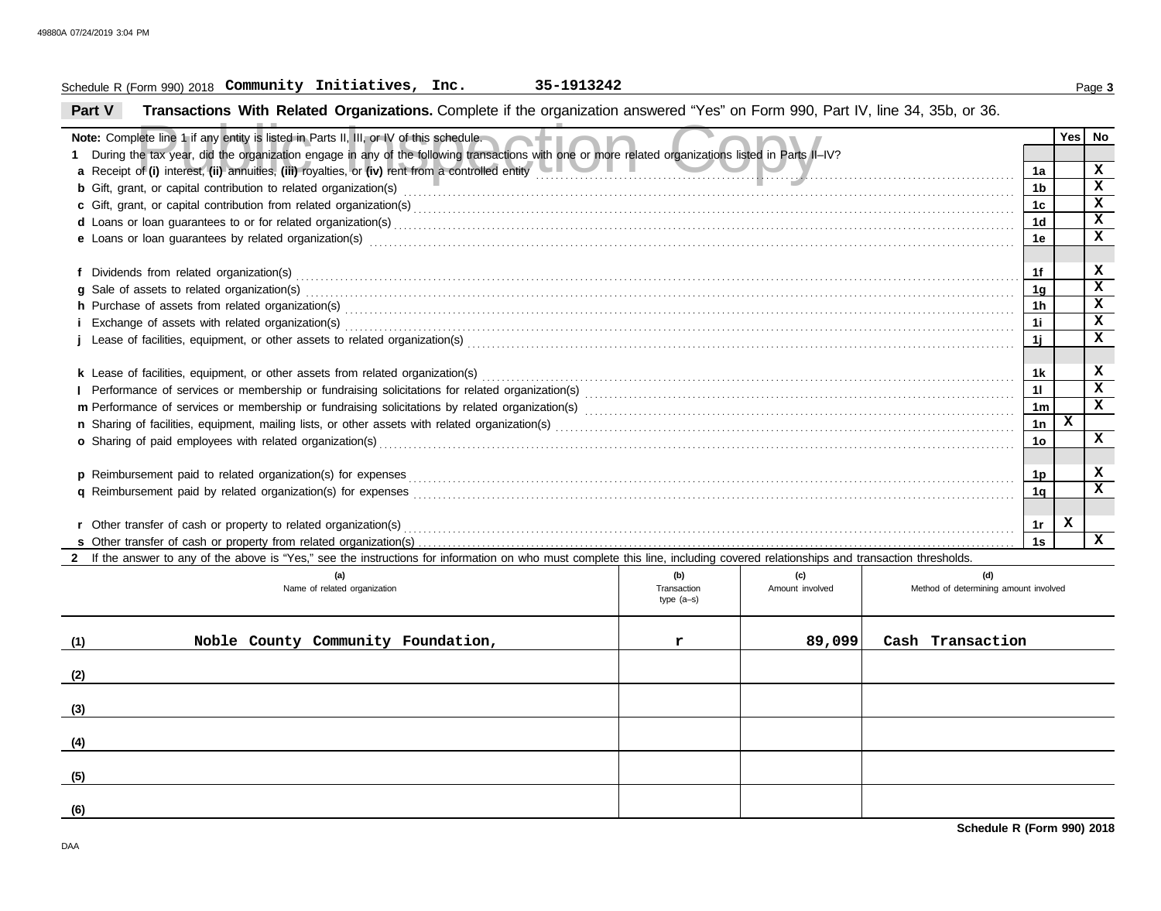## Schedule R (Form 990) 2018 Page **3 Community Initiatives, Inc. 35-1913242**

**Part V Transactions With Related Organizations.** Complete if the organization answered "Yes" on Form 990, Part IV, line 34, 35b, or 36.

| Note: Complete line 1 if any entity is listed in Parts II, III, or IV of this schedule.                                                                                                                                        |                                    |                        |                                              |                | Yes | No                |  |  |  |
|--------------------------------------------------------------------------------------------------------------------------------------------------------------------------------------------------------------------------------|------------------------------------|------------------------|----------------------------------------------|----------------|-----|-------------------|--|--|--|
| During the tax year, did the organization engage in any of the following transactions with one or more related organizations listed in Parts II-IV?                                                                            |                                    |                        |                                              | 1a             |     | X                 |  |  |  |
| a Receipt of (i) interest, (ii) annuities, (iii) royalties, or (iv) rent from a controlled entity                                                                                                                              |                                    |                        |                                              |                |     |                   |  |  |  |
|                                                                                                                                                                                                                                |                                    |                        |                                              |                |     |                   |  |  |  |
|                                                                                                                                                                                                                                |                                    |                        |                                              | 1c<br>1d       |     | X<br>$\mathbf{x}$ |  |  |  |
|                                                                                                                                                                                                                                |                                    |                        |                                              |                |     |                   |  |  |  |
| e Loans or loan guarantees by related organization(s) encourance contract the contract contract of the contract or contract or contract or contract or contract or contract or contract or contract or contract or contract or |                                    |                        |                                              | 1e             |     | X                 |  |  |  |
|                                                                                                                                                                                                                                |                                    |                        |                                              | 1f             |     | x                 |  |  |  |
| g Sale of assets to related organization(s)                                                                                                                                                                                    |                                    |                        |                                              |                |     |                   |  |  |  |
|                                                                                                                                                                                                                                |                                    |                        |                                              |                |     |                   |  |  |  |
| h Purchase of assets from related organization(s) with an intervention of the content of the content of assets from related organization(s) with an intervention of the content of the content of the content of the content o |                                    |                        |                                              |                |     |                   |  |  |  |
|                                                                                                                                                                                                                                |                                    |                        |                                              | 1j             |     | x                 |  |  |  |
|                                                                                                                                                                                                                                |                                    |                        |                                              |                |     |                   |  |  |  |
|                                                                                                                                                                                                                                |                                    |                        |                                              | 1k             |     | x                 |  |  |  |
| k Lease of facilities, equipment, or other assets from related organization(s) Materian and the content content of facilities, equipment, or other assets from related organization(s) Materian and the content content of the |                                    |                        |                                              |                |     |                   |  |  |  |
|                                                                                                                                                                                                                                |                                    |                        |                                              |                |     |                   |  |  |  |
|                                                                                                                                                                                                                                |                                    |                        |                                              |                |     |                   |  |  |  |
| o Sharing of paid employees with related organization(s) encourance contains an account of the state of the state or state or state or state or state or state or state or state or state or state or state or state or state  |                                    |                        |                                              |                |     |                   |  |  |  |
|                                                                                                                                                                                                                                |                                    |                        |                                              |                |     |                   |  |  |  |
| p Reimbursement paid to related organization(s) for expenses                                                                                                                                                                   |                                    |                        |                                              | 1p             |     | x                 |  |  |  |
|                                                                                                                                                                                                                                |                                    |                        |                                              | 1 <sub>q</sub> |     | $\mathbf x$       |  |  |  |
|                                                                                                                                                                                                                                |                                    |                        |                                              |                |     |                   |  |  |  |
| r Other transfer of cash or property to related organization(s)                                                                                                                                                                |                                    |                        |                                              | 1r             | x   |                   |  |  |  |
|                                                                                                                                                                                                                                |                                    |                        |                                              |                |     |                   |  |  |  |
| 2 If the answer to any of the above is "Yes," see the instructions for information on who must complete this line, including covered relationships and transaction thresholds.                                                 |                                    |                        |                                              |                |     |                   |  |  |  |
| (a)<br>Name of related organization                                                                                                                                                                                            | (b)<br>Transaction<br>type $(a-s)$ | (c)<br>Amount involved | (d)<br>Method of determining amount involved |                |     |                   |  |  |  |
| Noble County Community Foundation,<br>(1)                                                                                                                                                                                      | r                                  | 89,099                 | Cash Transaction                             |                |     |                   |  |  |  |
| (2)                                                                                                                                                                                                                            |                                    |                        |                                              |                |     |                   |  |  |  |
| (3)                                                                                                                                                                                                                            |                                    |                        |                                              |                |     |                   |  |  |  |
|                                                                                                                                                                                                                                |                                    |                        |                                              |                |     |                   |  |  |  |
| (4)                                                                                                                                                                                                                            |                                    |                        |                                              |                |     |                   |  |  |  |
| (5)                                                                                                                                                                                                                            |                                    |                        |                                              |                |     |                   |  |  |  |

**(6)**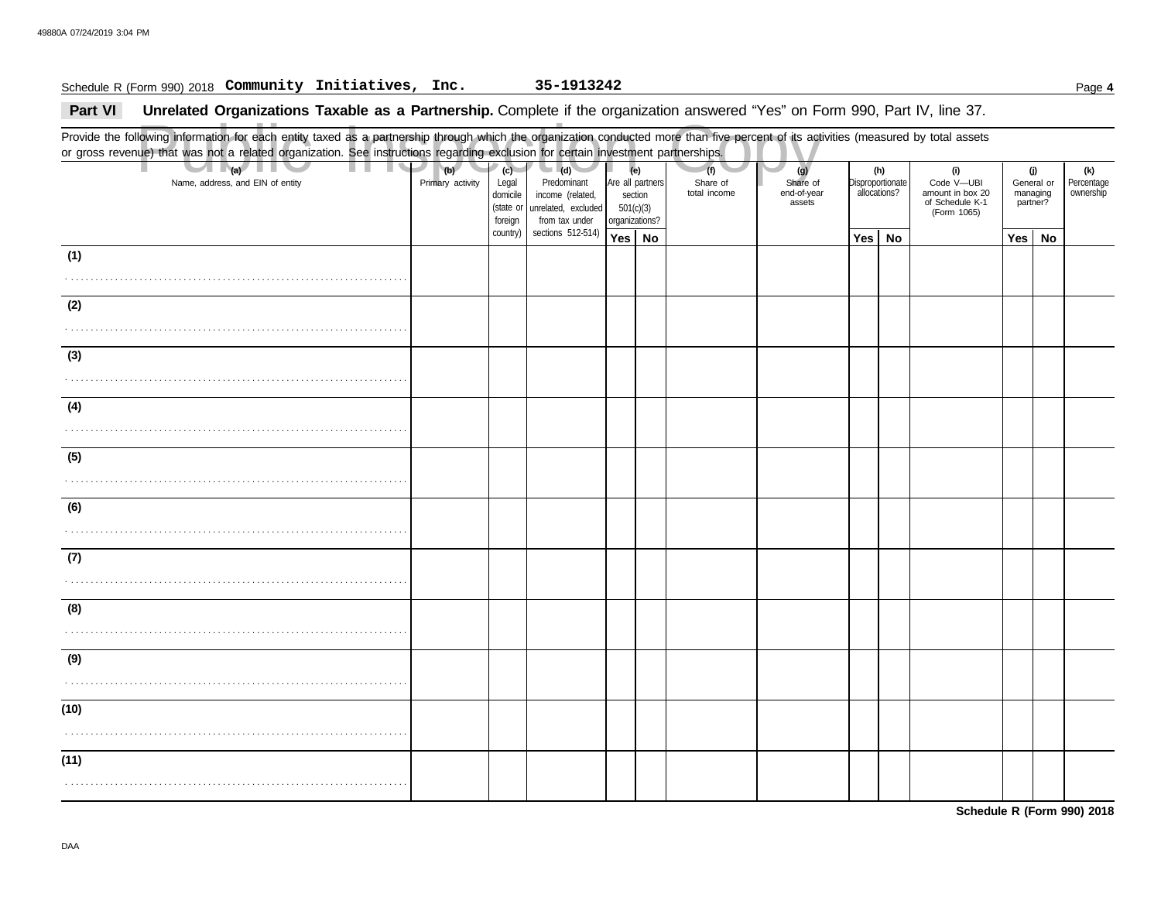## Schedule R (Form 990) 2018 Page **4 Community Initiatives, Inc. 35-1913242**

## **Part VI** Unrelated Organizations Taxable as a Partnership. Complete if the organization answered "Yes" on Form 990, Part IV, line 37.

Public Inspection Copy Provide the following information for each entity taxed as a partnership through which the organization conducted more than five percent of its activities (measured by total assets or gross revenue) that was not a related organization. See instructions regarding exclusion for certain investment partnerships. Name, address, and EIN of entity **Primary activity | Legal** domicile (state or Are all partners section 501(c)(3) organizations? Share of end-of-year assets **Disproportionate** allocations? Code V—UBI amount in box 20 of Schedule K-1 General or managing partner? **(a) (b) (c) (e) (g) (h) (i) (j)** . . . . . . . . . . . . . . . . . . . . . . . . . . . . . . . . . . . . . . . . . . . . . . . . . . . . . . . . . . . . . . . . . . . . . . **Yes No Yes No Yes No** . . . . . . . . . . . . . . . . . . . . . . . . . . . . . . . . . . . . . . . . . . . . . . . . . . . . . . . . . . . . . . . . . . . . . . . . . . . . . . . . . . . . . . . . . . . . . . . . . . . . . . . . . . . . . . . . . . . . . . . . . . . . . . . . . . . . . . . . . . . . . . . . . . . . . . . . . . . . . . . . . . . . . . . . . . . . . . . . . . . . . . . . . . . . . . . . . . . . . . . . . . . . . . . . . . . . . . . . . . . . . . . . . . . . . . . . . . . . . . . . . . . . . . . . . . . . . . . . . . . . . . . . . . . . . . . . . . . . . . . . . . . . . . . . . . . . . . . . . . . . . . . . . . . . . . . . . . . . . . . . . . . . . . . . . . . . . . . . . . . . . . . . . . . . . . . . . . . . . . . . . . . . . . . . . . . . . . . . . . . . . . . . . . . . . . . . . . . . . . . . . . . . . . . . . . . . . . . . . . . . . . . . . . . . . . . . . . . . . . . . . . . . . . . . . . . . . . . . . . . . . . . . . . . . . . . . . . . . . . . . . . . . . . . . . . . . . . . . . . . . . . . . . . . . . . . . . . . . . . . . . . . . . . . . . . . . . . . . . . . . . . . . . . . . . . . . . . . . . . . . . . . . . . . . . . . . . . . . . . . . . . . . . . . . . . . . . . . . . . . . . . . . . . . . . . . . . . . . . . . . . . . . . . . . . . . . . . . . . . . . . . . . . . . . . . . . . . . . . . . . . . . . . . . . . . . . . . . . . . . . . . . . . . . . . . . . . . . . . . . . (Form 1065) **(1) (2) (3) (4) (5) (6) (7) (8) (9) (10) (11) (d)** unrelated, excluded income (related, Predominant from tax under sections 512-514) foreign country) **(f)** total income Share of **(k)** ownership Percentage

**Schedule R (Form 990) 2018**

DAA